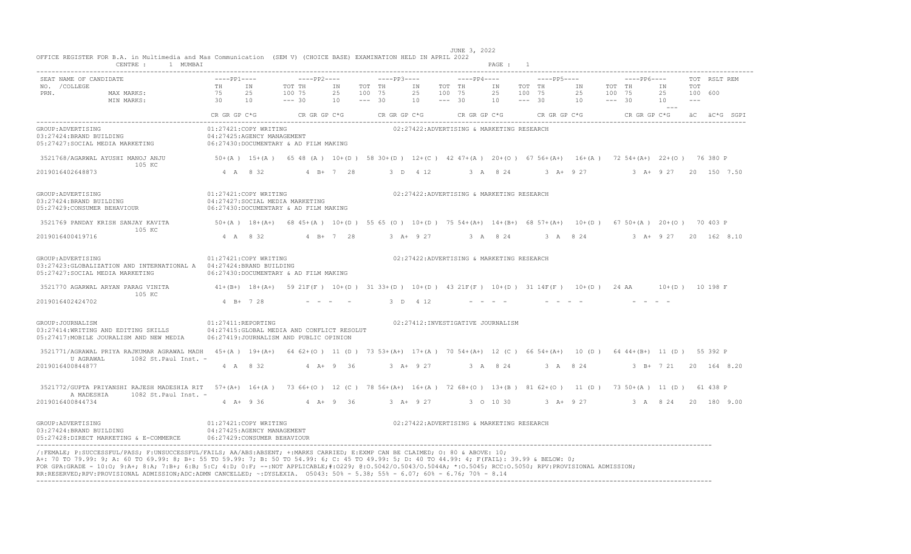| CENTRE : 1 MUMBAI                                                                                                                                                                                                                                                                                                                                                                                                                                                                                                                                                                |                                                     |                       |                                                                                                                               |                                    |              |          |                              |                                           | PAGE : 1              |        |                                 |                                                |        |                        |                        |              |  |
|----------------------------------------------------------------------------------------------------------------------------------------------------------------------------------------------------------------------------------------------------------------------------------------------------------------------------------------------------------------------------------------------------------------------------------------------------------------------------------------------------------------------------------------------------------------------------------|-----------------------------------------------------|-----------------------|-------------------------------------------------------------------------------------------------------------------------------|------------------------------------|--------------|----------|------------------------------|-------------------------------------------|-----------------------|--------|---------------------------------|------------------------------------------------|--------|------------------------|------------------------|--------------|--|
| SEAT NAME OF CANDIDATE<br>NO. / COLLEGE<br>MAX MARKS: $^{111}$<br>MAX MARKS: $^{112}$<br>30<br>PRN.                                                                                                                                                                                                                                                                                                                                                                                                                                                                              | TH IN                                               | 25<br>10              | ----pp1----      ----pp2----     ----pp3----     ----pp4----     ----pp5----      ----pp6----<br>TOT TH<br>100 75<br>$--- 30$ | ΙN<br>25 100 75<br>$10 - - - - 30$ | TOT TH<br>IN | 25<br>10 | TOT TH<br>100 75<br>$--- 30$ |                                           | 25<br>$10 - - - - 30$ | 100 75 | IN TOT TH IN                    | 25 100 75<br>$10 \qquad \qquad -- - \qquad 30$ | TOT TH | ΙN<br>25<br>10         | TOT<br>100 600<br>---- | TOT RSLT REM |  |
|                                                                                                                                                                                                                                                                                                                                                                                                                                                                                                                                                                                  |                                                     |                       | CR GR GP C*G CR GR GP C*G CR GR GP C*G CR GR GP C*G CR GR GP C*G CR GR CP C*G CR GP C*G äC äC*G SGPI                          |                                    |              |          |                              |                                           |                       |        |                                 |                                                |        |                        |                        |              |  |
| GROUP: ADVERTISING<br>03:27424:BRAND BUILDING<br>05:27427:SOCIAL MEDIA MARKETING                                                                                                                                                                                                                                                                                                                                                                                                                                                                                                 |                                                     | 01:27421:COPY WRITING | 04:27425:AGENCY MANAGEMENT<br>06:27430:DOCUMENTARY & AD FILM MAKING                                                           |                                    |              |          |                              | 02:27422:ADVERTISING & MARKETING RESEARCH |                       |        |                                 |                                                |        |                        |                        |              |  |
| 3521768/AGARWAL AYUSHI MANOJ ANJU<br>105 KC                                                                                                                                                                                                                                                                                                                                                                                                                                                                                                                                      |                                                     |                       | 50+(A) 15+(A) 65 48 (A) 10+(D) 58 30+(D) 12+(C) 42 47+(A) 20+(O) 67 56+(A+) 16+(A) 72 54+(A+) 22+(O) 76 380 P                 |                                    |              |          |                              |                                           |                       |        |                                 |                                                |        |                        |                        |              |  |
| 2019016402648873                                                                                                                                                                                                                                                                                                                                                                                                                                                                                                                                                                 |                                                     | 4 A 8 32              | $4 B+ 7 28$                                                                                                                   |                                    |              | 3 D 4 12 |                              | 3 A 8 24                                  |                       |        | $3 \tA+ 9 \t27$                 |                                                |        | 3 A+ 9 27 20 150 7.50  |                        |              |  |
| GROUP: ADVERTISING<br>03:27424:BRAND BUILDING<br>05:27429: CONSUMER BEHAVIOUR                                                                                                                                                                                                                                                                                                                                                                                                                                                                                                    |                                                     | 01:27421:COPY WRITING | 04:27427:SOCIAL MEDIA MARKETING<br>06:27430:DOCUMENTARY & AD FILM MAKING                                                      |                                    |              |          |                              | 02:27422:ADVERTISING & MARKETING RESEARCH |                       |        |                                 |                                                |        |                        |                        |              |  |
| 3521769 PANDAY KRISH SANJAY KAVITA 50+(A) 18+(A+) 68 45+(A) 10+(D) 55 65 (O) 10+(D) 75 54+(A+) 14+(B+) 68 57+(A+) 10+(D) 67 50+(A) 20+(O) 70 403 P                                                                                                                                                                                                                                                                                                                                                                                                                               |                                                     |                       |                                                                                                                               |                                    |              |          |                              |                                           |                       |        |                                 |                                                |        |                        |                        |              |  |
| 105 KC<br>2019016400419716                                                                                                                                                                                                                                                                                                                                                                                                                                                                                                                                                       |                                                     |                       | 4 A 8 32 4 B + 7 28                                                                                                           |                                    | $3 + 927$    |          |                              | 3 A 8 24                                  |                       |        | 3 A 8 24 3 A + 9 27 20 162 8.10 |                                                |        |                        |                        |              |  |
| GROUP: ADVERTISING<br>03:27423:GLOBALIZATION AND INTERNATIONAL A   04:27424:BRAND BUILDING<br>05:27427:SOCIAL MEDIA MARKETING 6:27430:DOCUMENTARY & AD FILM MAKING                                                                                                                                                                                                                                                                                                                                                                                                               | 01:27421:COPY WRITING                               |                       |                                                                                                                               |                                    |              |          |                              | 02:27422:ADVERTISING & MARKETING RESEARCH |                       |        |                                 |                                                |        |                        |                        |              |  |
| 3521770 AGARWAL ARYAN PARAG VINITA 41+(B+) 18+(A+) 59 21F(F) 10+(D) 31 33+(D) 10+(D) 43 21F(F) 10+(D) 31 14F(F) 10+(D) 24 AA 10+(D) 10 198 F<br>105 KC                                                                                                                                                                                                                                                                                                                                                                                                                           |                                                     |                       |                                                                                                                               |                                    |              |          |                              |                                           |                       |        |                                 |                                                |        |                        |                        |              |  |
| 2019016402424702                                                                                                                                                                                                                                                                                                                                                                                                                                                                                                                                                                 |                                                     | 4 B + 7 28            |                                                                                                                               |                                    |              | 3 D 4 12 |                              |                                           |                       |        |                                 |                                                |        |                        |                        |              |  |
| GROUP: JOURNALISM<br>03:27414:WRITING AND EDITING SKILLS<br>05:27417: MOBILE JOURALISM AND NEW MEDIA                                                                                                                                                                                                                                                                                                                                                                                                                                                                             | $01:27411$ :REPORTING                               |                       | 04:27415: GLOBAL MEDIA AND CONFLICT RESOLUT<br>06:27419:JOURNALISM AND PUBLIC OPINION                                         |                                    |              |          |                              | 02:27412:INVESTIGATIVE JOURNALISM         |                       |        |                                 |                                                |        |                        |                        |              |  |
| 3521771/AGRAWAL PRIYA RAJKUMAR AGRAWAL MADH 45+(A) 19+(A+) 64 62+(O) 11 (D) 73 53+(A+) 17+(A) 70 54+(A+) 12 (C) 66 54+(A+) 10 (D) 64 44+(B+) 11 (D) 55 392 P                                                                                                                                                                                                                                                                                                                                                                                                                     |                                                     |                       |                                                                                                                               |                                    |              |          |                              |                                           |                       |        |                                 |                                                |        |                        |                        |              |  |
| U AGRAWAL<br>$1082$ St. Paul Inst. -<br>2019016400844877                                                                                                                                                                                                                                                                                                                                                                                                                                                                                                                         |                                                     | 4 A 8 32              |                                                                                                                               | $4$ $\overline{A}$ + 9 36          | $3 + 927$    |          |                              |                                           |                       |        | 3 A 8 24 3 A 8 24               |                                                |        | 3 B + 7 21 20 164 8.20 |                        |              |  |
| 3521772/GUPTA PRIYANSHI RAJESH MADESHIA RIT 57+(A+) 16+(A) 73 66+(O) 12 (C) 78 56+(A+) 16+(A) 72 68+(O) 13+(B) 81 62+(O) 11 (D) 73 50+(A) 11 (D) 61 438 P<br>$1082$ St. Paul Inst. -<br>A MADESHIA                                                                                                                                                                                                                                                                                                                                                                               |                                                     |                       |                                                                                                                               |                                    |              |          |                              |                                           |                       |        |                                 |                                                |        |                        |                        |              |  |
| 2019016400844734                                                                                                                                                                                                                                                                                                                                                                                                                                                                                                                                                                 |                                                     | $4 A + 9 36$          | 4 A+ 9 36 3 A+ 9 27 3 0 10 30 3 A+ 9 27 3 A 8 24 20 180 9 00                                                                  |                                    |              |          |                              |                                           |                       |        |                                 |                                                |        |                        |                        |              |  |
| GROUP:ADVERTISING<br>03:27424:BRAND BUILDING<br>05:27428:DIRECT MARKETING & E-COMMERCE 06:27429:CONSUMER BEHAVIOUR                                                                                                                                                                                                                                                                                                                                                                                                                                                               | 01:27421:COPY WRITING<br>04:27425:AGENCY MANAGEMENT |                       |                                                                                                                               |                                    |              |          |                              | 02:27422:ADVERTISING & MARKETING RESEARCH |                       |        |                                 |                                                |        |                        |                        |              |  |
| /:FEMALE; P:SUCCESSFUL/PASS; F:UNSUCCESSFUL/FAILS; AA/ABS:ABSENT; +:MARKS CARRIED; E:EXMP CAN BE CLAIMED; 0: 80 & ABOVE: 10;<br>A+: 70 TO 79.99: 9; A: 60 TO 69.99: 8; B+: 55 TO 59.99: 7; B: 50 TO 54.99: 6; C: 45 TO 49.99: 5; D: 40 TO 44.99: 4; F(FAIL): 39.99 & BELOW: 0;<br>FOR GPA:GRADE - 10:0; 9:A+; 8:A; 7:B+; 6:B; 5:C; 4:D; 0:F; --:NOT APPLICABLE;#:0229; 0:0.5042/0.5043/0.5044A; *:0.5045; RCC:0.5050; RPV:PROVISIONAL ADMISSION;<br>RR:RESERVED;RPV:PROVISIONAL ADMISSION;ADC:ADMN CANCELLED; ~: DYSLEXIA. 05043: 50% - 5.38; 55% - 6.07; 60% - 6.76; 70% - 8.14 |                                                     |                       |                                                                                                                               |                                    |              |          |                              |                                           |                       |        |                                 |                                                |        |                        |                        |              |  |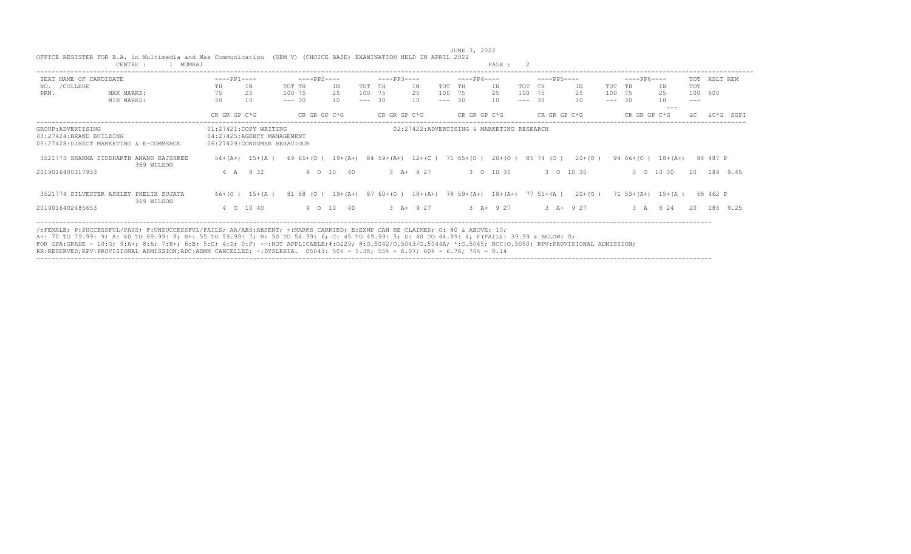| CENTRE :<br>MUMBAI                                    |                                                     |                         |                                                             | PAGE :                                                     |                        |                                      |
|-------------------------------------------------------|-----------------------------------------------------|-------------------------|-------------------------------------------------------------|------------------------------------------------------------|------------------------|--------------------------------------|
| SEAT NAME OF CANDIDATE                                | $---PP1---$                                         | $---PP2---$             | $---PP3---$                                                 | $---PP4---$                                                | $---PP5---$            | $---PP6---$<br>RSLT REM<br>TOT       |
| /COLLEGE<br>NO.                                       | IN<br>TH                                            | ΙN<br>TOT TH            | TOT<br>TH<br>ΙN                                             | ΙN<br>TH<br>TOT                                            | TOT TH<br>ΙN<br>TOT    | TOT<br>IN<br>TH                      |
| PRN.<br>MAX MARKS:                                    | 25                                                  | 25<br>100 75            | 100<br>75<br>25                                             | 75<br>100<br>25                                            | 100 75<br>25           | 25<br>100 600<br>100 75              |
| MIN MARKS:                                            | 30<br>10                                            | $--- 30$<br>10          | $\overline{30}$<br>10 <sup>°</sup><br>$\qquad \qquad - - -$ | 10 <sup>°</sup><br>$-30$<br>$---$<br>$\qquad \qquad - - -$ | 10<br>- 30             | 10<br>$--- 30$<br>$---$<br>$--$      |
|                                                       | CR GR GP C*G                                        | CR GR GP C*G            | CR GR GP C*G                                                | CR GR GP C*G                                               | CR GR GP C*G           | CR GR GP C*G<br>äC*G<br>SGPI         |
| GROUP: ADVERTISING<br>03:27424:BRAND BUILDING         | 01:27421:COPY WRITING<br>04:27425:AGENCY MANAGEMENT |                         |                                                             | 02:27422:ADVERTISING & MARKETING RESEARCH                  |                        |                                      |
| 05:27428:DIRECT MARKETING & E-COMMERCE                | 06:27429:CONSUMER BEHAVIOUR                         |                         |                                                             |                                                            |                        |                                      |
| 3521773 SHARMA SIDDHARTH ANAND RAJSHREE<br>369 WILSON | $54 + (A+)$<br>$15+ (A)$                            | $6965+10$<br>$19+ (A+)$ | 84 59+(A+)<br>$12+ (C)$                                     | $20+ (0)$<br>71 65+(0)                                     | 85 74 (0)<br>$20+ (0)$ | $18 + (A+)$<br>84 487 P<br>$9466+10$ |
| 2019016400317933                                      | 4 A 8 32                                            | 4 0 10 40               | $3 A+ 9 27$                                                 | 3 0 10 30                                                  | 3 0 10 30              | 3 0 10 30<br>20 189 9.45             |
| 3521774 SILVESTER ASHLEY PHELIX SUJATA<br>369 WILSON  | $66+(O)$ 15+(A)                                     | 81 68 (0)               | $19+(A+)$ 87 60+(0)<br>$18 + (A+)$                          | $78$ 59+(A+) 18+(A+) 77 51+(A)                             | $20+ (0)$              | $71\ 53+(A+)$ 15+(A)<br>68 462 P     |
| 2019016402485653                                      | 4 0 10 40                                           | 4 0 10 40               | $3 A+ 9 27$                                                 | $3 A+ 9 27$                                                | $3 A+ 9 27$            | 8 2 4<br>185 9.25<br>3A<br>20        |
|                                                       |                                                     |                         |                                                             |                                                            |                        |                                      |

 JUNE 3, 2022 OFFICE REGISTER FOR B.A. in Multimedia and Mas Communication (SEM V) (CHOICE BASE) EXAMINATION HELD IN APRIL 2022 CENTRE : 1 MUMBAI **PAGE : 2**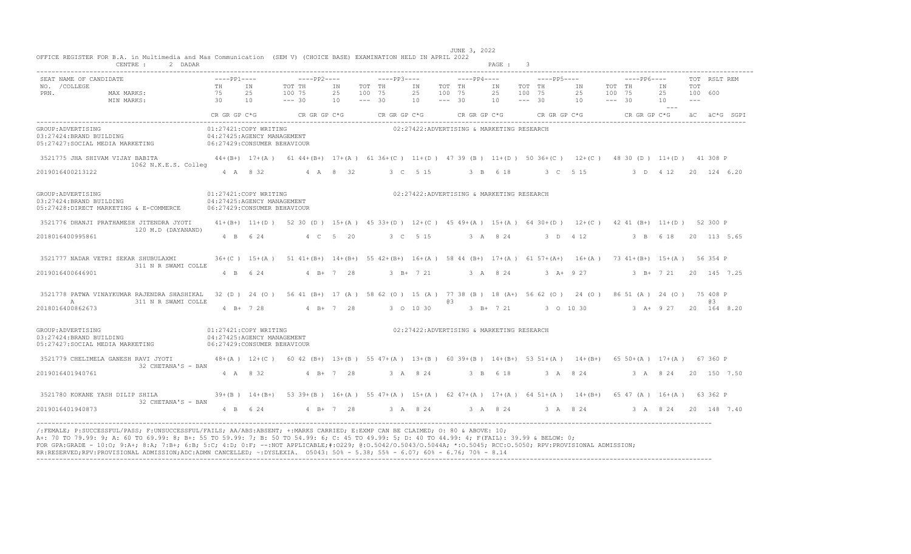|                                                 | CENTRE :<br>2 DADAR                                                                                                                                                              |                                                                                     |                |                                                                                                                   |                |                              |              |                |                              |                                            | PAGE: 3        |                              |             |                |                              |             |                           |                          |              |             |
|-------------------------------------------------|----------------------------------------------------------------------------------------------------------------------------------------------------------------------------------|-------------------------------------------------------------------------------------|----------------|-------------------------------------------------------------------------------------------------------------------|----------------|------------------------------|--------------|----------------|------------------------------|--------------------------------------------|----------------|------------------------------|-------------|----------------|------------------------------|-------------|---------------------------|--------------------------|--------------|-------------|
| SEAT NAME OF CANDIDATE<br>NO. / COLLEGE<br>PRN. | MAX MARKS:<br>MIN MARKS:                                                                                                                                                         | $---PP1---$<br><b>TH</b><br>75<br>$\overline{30}$                                   | IN<br>25<br>10 | $---PP2---$<br>TOT TH<br>100 75<br>$--- 30$                                                                       | ΙN<br>25<br>10 | TOT TH<br>100 75<br>$--- 30$ | $---PP3---$  | ΙN<br>25<br>10 | TOT TH<br>100 75<br>$--- 30$ | $---PP4---$                                | IN<br>25<br>10 | TOT TH<br>100 75<br>$--- 30$ | $---PP5---$ | IN<br>25<br>10 | TOT TH<br>100 75<br>$--- 30$ | $---PP6---$ | IN<br>25<br>10<br>$  -$   | TOT<br>100 600<br>$   -$ | TOT RSLT REM |             |
|                                                 |                                                                                                                                                                                  | CR GR GP C*G                                                                        |                | $CR$ GR GP $C*G$                                                                                                  |                |                              | CR GR GP C*G |                |                              | CR GR GP $C*G$ CR GR GP $C*G$              |                |                              |             |                |                              |             | CR GR GP C*G aC aC*G SGPI |                          |              |             |
| GROUP: ADVERTISING<br>03:27424:BRAND BUILDING   | 05:27427:SOCIAL MEDIA MARKETING 06:27429:CONSUMER BEHAVIOUR                                                                                                                      | 01:27421:COPY WRITING<br>04:27425:AGENCY MANAGEMENT                                 |                |                                                                                                                   |                |                              |              |                |                              | 02:27422:ADVERTISING & MARKETING RESEARCH  |                |                              |             |                |                              |             |                           |                          |              |             |
|                                                 | 3521775 JHA SHIVAM VIJAY BABITA 614 (B+) 17+(A) 6144+(B+) 17+(A) 6136+(C) 11+(D) 4739 (B) 11+(D) 5036+(C) 12+(C) 4830 (D) 11+(D) 41308 P<br>1062 N.K.E.S. Colleg                 |                                                                                     |                |                                                                                                                   |                |                              |              |                |                              |                                            |                |                              |             |                |                              |             |                           |                          |              |             |
| 2019016400213122                                |                                                                                                                                                                                  |                                                                                     | 4 A 8 32       |                                                                                                                   | 4 A 8 32       |                              |              | 3 C 5 15       |                              |                                            | 3 B 6 18       |                              | 3 C 5 15    |                |                              |             | 3 D 4 12 20 124 6.20      |                          |              |             |
| GROUP: ADVERTISING<br>03:27424: BRAND BUILDING  | 05:27428:DIRECT MARKETING & E-COMMERCE                                                                                                                                           | 01:27421:COPY WRITING<br>04:27425:AGENCY MANAGEMENT<br>06:27429: CONSUMER BEHAVIOUR |                |                                                                                                                   |                |                              |              |                |                              | 02:27422:ADVERTISING & MARKETING RESEARCH  |                |                              |             |                |                              |             |                           |                          |              |             |
|                                                 | 3521776 DHANJI PRATHAMESH JITENDRA JYOTI<br>120 M.D (DAYANAND)                                                                                                                   |                                                                                     |                | 41+(B+) 11+(D) 52 30 (D) 15+(A) 45 33+(D) 12+(C) 45 49+(A) 15+(A) 64 30+(D) 12+(C) 42 41 (B+) 11+(D) 52 300 P     |                |                              |              |                |                              |                                            |                |                              |             |                |                              |             |                           |                          |              |             |
| 2018016400995861                                |                                                                                                                                                                                  |                                                                                     | 4 B 6 24       |                                                                                                                   | 4 C 5 20       |                              |              | 3 C 5 15       |                              | 3 A 8 24 3 D 4 12                          |                |                              |             |                |                              |             | 3 B 6 18 20 113 5.65      |                          |              |             |
|                                                 | 3521777 NADAR VETRI SEKAR SHUBULAXMI<br>311 N R SWAMI COLLE                                                                                                                      |                                                                                     |                | 36+(C) 15+(A) 51 41+(B+) 14+(B+) 55 42+(B+) 16+(A) 58 44 (B+) 17+(A) 61 57+(A+) 16+(A) 73 41+(B+) 15+(A) 56 354 P |                |                              |              |                |                              |                                            |                |                              |             |                |                              |             |                           |                          |              |             |
| 2019016400646901                                |                                                                                                                                                                                  |                                                                                     | 4 B 6 24       |                                                                                                                   | $4 B+ 7 28$    |                              |              | 3 B+ 7 21      |                              | 3 A 8 24 3 A + 9 27 3 B + 7 21 20 145 7.25 |                |                              |             |                |                              |             |                           |                          |              |             |
| A                                               | 3521778 PATWA VINAYKUMAR RAJENDRA SHASHIKAL 32 (D) 24 (O) 56 41 (B+) 17 (A) 58 62 (O) 15 (A) 77 38 (B) 18 (A+) 56 62 (O) 24 (O) 86 51 (A) 24 (O) 75 408 P<br>311 N R SWAMI COLLE |                                                                                     |                |                                                                                                                   |                |                              |              |                | 03.                          |                                            |                |                              |             |                |                              |             |                           |                          | a3           |             |
| 2018016400862673                                |                                                                                                                                                                                  |                                                                                     | 4 B+ 7 28      |                                                                                                                   | $4 B+ 7 28$    |                              |              | 3 0 10 30      |                              | 3 B+ 7 21 3 0 10 30 3 A+ 9 27 20 164 8.20  |                |                              |             |                |                              |             |                           |                          |              |             |
| GROUP: ADVERTISING<br>03:27424:BRAND BUILDING   | 05:27427:SOCIAL MEDIA MARKETING                                                                                                                                                  | 01:27421:COPY WRITING<br>04:27425:AGENCY MANAGEMENT<br>06:27429: CONSUMER BEHAVIOUR |                |                                                                                                                   |                |                              |              |                |                              | 02:27422:ADVERTISING & MARKETING RESEARCH  |                |                              |             |                |                              |             |                           |                          |              |             |
| 3521779 CHELIMELA GANESH RAVI JYOTI             | 32 CHETANA'S - BAN                                                                                                                                                               |                                                                                     |                | 48+(A) 12+(C) 60 42 (B+) 13+(B) 55 47+(A) 13+(B) 60 39+(B) 14+(B+) 53 51+(A) 14+(B+) 65 50+(A) 17+(A) 67 360 P    |                |                              |              |                |                              |                                            |                |                              |             |                |                              |             |                           |                          |              |             |
| 2019016401940761                                |                                                                                                                                                                                  |                                                                                     | 4 A 8 32       |                                                                                                                   | $4$ B+ 7 28    |                              | 3 A 8 24     |                |                              | 3 B 6 18                                   |                |                              |             | 3 A 8 24       |                              |             | 3 A 8 24                  |                          |              | 20 150 7.50 |
|                                                 | 3521780 KOKANE YASH DILIP SHILA<br>32 CHETANA'S - BAN                                                                                                                            |                                                                                     |                | 39+(B) 14+(B+) 53 39+(B) 16+(A) 55 47+(A) 15+(A) 62 47+(A) 17+(A) 64 51+(A) 14+(B+) 65 47 (A) 16+(A) 63 362 P     |                |                              |              |                |                              |                                            |                |                              |             |                |                              |             |                           |                          |              |             |
| 2019016401940873                                |                                                                                                                                                                                  |                                                                                     |                | 4 B 6 24 4 B + 7 28 3 A 8 24 3 A 8 24 3 A 8 24 3 A 8 24 20 148 7.40                                               |                |                              |              |                |                              |                                            |                |                              |             |                |                              |             |                           |                          |              |             |

FOR GPA:GRADE - 10:0; 9:A+; 8:A; 7:B+; 6:B; 5:C; 4:D; 0:F; --:NOT APPLICABLE;#:O229; @:O.5042/O.5043/O.5044A; \*:O.5045; RCC:O.5050; RPV:PROVISIONAL ADMISSION;<br>RR:RESERVED;RPV:PROVISIONAL ADMISSION;ADC:ADMN CANCELLED; ~:DYS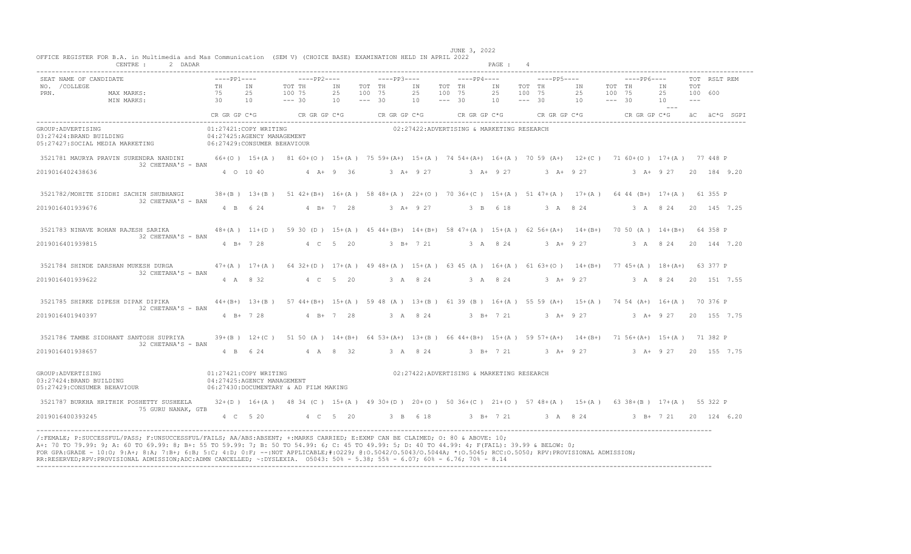|                                                 | CENTRE : 2 DADAR                                                                                                                                                                                                                                                                                                                                                                                                                                                                                                                                                                 |                      |                                                     |                                                                                                                   |                       |                    |                                                     |                |                              |                                           | PAGE : 4       |                              |                                                 |                                                                                                                                                                                                                                                  |                             |                         |              |  |
|-------------------------------------------------|----------------------------------------------------------------------------------------------------------------------------------------------------------------------------------------------------------------------------------------------------------------------------------------------------------------------------------------------------------------------------------------------------------------------------------------------------------------------------------------------------------------------------------------------------------------------------------|----------------------|-----------------------------------------------------|-------------------------------------------------------------------------------------------------------------------|-----------------------|--------------------|-----------------------------------------------------|----------------|------------------------------|-------------------------------------------|----------------|------------------------------|-------------------------------------------------|--------------------------------------------------------------------------------------------------------------------------------------------------------------------------------------------------------------------------------------------------|-----------------------------|-------------------------|--------------|--|
| SEAT NAME OF CANDIDATE<br>NO. / COLLEGE<br>PRN. |                                                                                                                                                                                                                                                                                                                                                                                                                                                                                                                                                                                  | $---PP1---$<br>TH IN | 25<br>10                                            | TOT TH<br>100 75<br>$--- 30$                                                                                      | IN<br>25 100 75<br>10 | TOT TH<br>$--- 30$ |                                                     | IN<br>25<br>10 | TOT TH<br>100 75<br>$--- 30$ | $---PP4---$                               | IN<br>25<br>10 | TOT TH<br>100 75<br>$--- 30$ | $---PP5---$<br>IN<br>25 100 75<br>$10 - - - 30$ | $---PP6---$<br>TOT TH                                                                                                                                                                                                                            | IN<br>25<br>10<br>$- - - -$ | TOT<br>100 600<br>$  -$ | TOT RSLT REM |  |
|                                                 |                                                                                                                                                                                                                                                                                                                                                                                                                                                                                                                                                                                  | CR GR GP C*G         |                                                     | $CR$ GR GP $C*G$ CR GR GP $C*G$                                                                                   |                       |                    |                                                     |                |                              | CR GR GP C*G                              |                |                              |                                                 | $CR \text{ GR} \text{ GR} \text{ CF}^+G$ accretion of the creative creative creative creative creative creative creative creative creative creative creative creative creative creative creative creative creative creative creative creative cr |                             |                         |              |  |
| GROUP: ADVERTISING<br>03:27424:BRAND BUILDING   | 05:27427:SOCIAL MEDIA MARKETING 06:27429:CONSUMER BEHAVIOUR                                                                                                                                                                                                                                                                                                                                                                                                                                                                                                                      |                      | 01:27421:COPY WRITING<br>04:27425:AGENCY MANAGEMENT |                                                                                                                   |                       |                    |                                                     |                |                              | 02:27422:ADVERTISING & MARKETING RESEARCH |                |                              |                                                 |                                                                                                                                                                                                                                                  |                             |                         |              |  |
|                                                 | 3521781 MAURYA PRAVIN SURENDRA NANDINI<br>32 CHETANA'S - BAN                                                                                                                                                                                                                                                                                                                                                                                                                                                                                                                     |                      |                                                     | 66+(0) 15+(A) 81 60+(0) 15+(A) 75 59+(A+) 15+(A) 74 54+(A+) 16+(A) 70 59 (A+) 12+(C) 71 60+(0) 17+(A) 77 448 P    |                       |                    |                                                     |                |                              |                                           |                |                              |                                                 |                                                                                                                                                                                                                                                  |                             |                         |              |  |
| 2019016402438636                                |                                                                                                                                                                                                                                                                                                                                                                                                                                                                                                                                                                                  |                      |                                                     | 4 0 10 40 4 A + 9 36                                                                                              |                       |                    | 3 A+ 9 27 3 A+ 9 27 3 A+ 9 27 3 A+ 9 27 20 184 9 20 |                |                              |                                           |                |                              |                                                 |                                                                                                                                                                                                                                                  |                             |                         |              |  |
|                                                 | 3521782/MOHITE SIDDHI SACHIN SHUBHANGI<br>32 CHETANA'S - BAN                                                                                                                                                                                                                                                                                                                                                                                                                                                                                                                     |                      |                                                     | 38+(B) 13+(B) 51 42+(B+) 16+(A) 58 48+(A) 22+(O) 70 36+(C) 15+(A) 51 47+(A) 17+(A) 64 44 (B+) 17+(A) 61 355 P     |                       |                    |                                                     |                |                              |                                           |                |                              |                                                 |                                                                                                                                                                                                                                                  |                             |                         |              |  |
| 2019016401939676                                |                                                                                                                                                                                                                                                                                                                                                                                                                                                                                                                                                                                  |                      |                                                     | 4 B 6 24 4 B + 7 28                                                                                               |                       |                    | 3 A + 9 27 3 B 6 18 3 A 8 24 3 A 8 24 20 145 7.25   |                |                              |                                           |                |                              |                                                 |                                                                                                                                                                                                                                                  |                             |                         |              |  |
|                                                 | 3521783 NINAVE ROHAN RAJESH SARIKA<br>32 CHETANA'S - BAN                                                                                                                                                                                                                                                                                                                                                                                                                                                                                                                         |                      |                                                     | 48+(A) 11+(D) 59 30 (D) 15+(A) 45 44+(B+) 14+(B+) 58 47+(A) 15+(A) 62 56+(A+) 14+(B+) 70 50 (A) 14+(B+) 64 358 P  |                       |                    |                                                     |                |                              |                                           |                |                              |                                                 |                                                                                                                                                                                                                                                  |                             |                         |              |  |
| 2019016401939815                                |                                                                                                                                                                                                                                                                                                                                                                                                                                                                                                                                                                                  |                      | $4$ B+ $7$ 28                                       |                                                                                                                   | 4 C 5 20              |                    |                                                     | $3 B+ 7 21$    |                              |                                           | 3 A 8 24       |                              | $3 + 927$                                       |                                                                                                                                                                                                                                                  | 3 A 8 24 20 144 7.20        |                         |              |  |
|                                                 | 3521784 SHINDE DARSHAN MUKESH DURGA<br>32 CHETANA'S - BAN                                                                                                                                                                                                                                                                                                                                                                                                                                                                                                                        |                      |                                                     | 47+(A) 17+(A) 64 32+(D) 17+(A) 49 48+(A) 15+(A) 63 45 (A) 16+(A) 61 63+(O) 14+(B+) 77 45+(A) 18+(A+) 63 377 P     |                       |                    |                                                     |                |                              |                                           |                |                              |                                                 |                                                                                                                                                                                                                                                  |                             |                         |              |  |
| 2019016401939622                                |                                                                                                                                                                                                                                                                                                                                                                                                                                                                                                                                                                                  |                      | 4 A 8 32                                            | 4 C 5 20                                                                                                          |                       |                    | 3 A 8 24 3 A 8 24 3 A + 9 27 3 A 8 24 20 151 7.55   |                |                              |                                           |                |                              |                                                 |                                                                                                                                                                                                                                                  |                             |                         |              |  |
|                                                 | 3521785 SHIRKE DIPESH DIPAK DIPIKA<br>32 CHETANA'S - BAN                                                                                                                                                                                                                                                                                                                                                                                                                                                                                                                         |                      |                                                     | 44+(B+) 13+(B) 57 44+(B+) 15+(A) 59 48 (A) 13+(B) 61 39 (B) 16+(A) 55 59 (A+) 15+(A) 74 54 (A+) 16+(A) 70 376 P   |                       |                    |                                                     |                |                              |                                           |                |                              |                                                 |                                                                                                                                                                                                                                                  |                             |                         |              |  |
| 2019016401940397                                |                                                                                                                                                                                                                                                                                                                                                                                                                                                                                                                                                                                  |                      | 4 B + 7 28                                          | $4 B+ 7 28$                                                                                                       |                       |                    | 3 A 8 24                                            |                |                              |                                           |                |                              |                                                 | 3 B + 7 21 3 A + 9 27 3 A + 9 27 20 155 7.75                                                                                                                                                                                                     |                             |                         |              |  |
|                                                 | 3521786 TAMBE SIDDHANT SANTOSH SUPRIYA<br>32 CHETANA'S - BAN                                                                                                                                                                                                                                                                                                                                                                                                                                                                                                                     |                      |                                                     | 39+(B) 12+(C) 51 50 (A) 14+(B+) 64 53+(A+) 13+(B) 66 44+(B+) 15+(A) 59 57+(A+) 14+(B+) 71 56+(A+) 15+(A) 71 382 P |                       |                    |                                                     |                |                              |                                           |                |                              |                                                 |                                                                                                                                                                                                                                                  |                             |                         |              |  |
| 2019016401938657                                |                                                                                                                                                                                                                                                                                                                                                                                                                                                                                                                                                                                  |                      | 4 B 6 24                                            | 4 A 8 32                                                                                                          |                       |                    |                                                     | 3 A 8 24       |                              |                                           | 3 B+ 7 21      |                              |                                                 | 3 A+ 9 27 3 A+ 9 27 20 155 7.75                                                                                                                                                                                                                  |                             |                         |              |  |
|                                                 | GROUP:ADVERTISING<br>03:27424:BRAND BUILDING<br>05:27429: CONSUMER BEHAVIOUR                                                                                                                                                                                                                                                                                                                                                                                                                                                                                                     |                      | 01:27421:COPY WRITING<br>04:27425:AGENCY MANAGEMENT | 06:27430:DOCUMENTARY & AD FILM MAKING                                                                             |                       |                    |                                                     |                |                              | 02:27422:ADVERTISING & MARKETING RESEARCH |                |                              |                                                 |                                                                                                                                                                                                                                                  |                             |                         |              |  |
|                                                 | 3521787 BURKHA HRITHIK POSHETTY SUSHEELA<br>75 GURU NANAK, GTB                                                                                                                                                                                                                                                                                                                                                                                                                                                                                                                   |                      |                                                     | 32+(D) 16+(A) 48 34 (C) 15+(A) 49 30+(D) 20+(O) 50 36+(C) 21+(O) 57 48+(A) 15+(A) 63 38+(B) 17+(A) 55 322 P       |                       |                    |                                                     |                |                              |                                           |                |                              |                                                 |                                                                                                                                                                                                                                                  |                             |                         |              |  |
| 2019016400393245                                |                                                                                                                                                                                                                                                                                                                                                                                                                                                                                                                                                                                  |                      |                                                     | 4 C 5 20 4 C 5 20 3 B 6 18 3 B + 7 21 3 A 8 24 3 B + 7 21 20 124 6.20                                             |                       |                    |                                                     |                |                              |                                           |                |                              |                                                 |                                                                                                                                                                                                                                                  |                             |                         |              |  |
|                                                 | /:FEMALE: P:SUCCESSFUL/PASS: F:UNSUCCESSFUL/FAILS: AA/ABS:ABSENT: +:MARKS CARRIED: E:EXMP CAN BE CLAIMED: 0: 80 & ABOVE: 10:<br>A+: 70 TO 79.99: 9; A: 60 TO 69.99: 8; B+: 55 TO 59.99: 7; B: 50 TO 54.99: 6; C: 45 TO 49.99: 5; D: 40 TO 44.99: 4; F(FAIL): 39.99 & BELOW: 0;<br>FOR GPA:GRADE - 10:0; 9:A+; 8:A; 7:B+; 6:B; 5:C; 4:D; 0:F; --:NOT APPLICABLE;#:0229; 0:0.5042/0.5043/0.5044A; *:0.5045; RCC:0.5050; RPV:PROVISIONAL ADMISSION;<br>RR:RESERVED;RPV:PROVISIONAL ADMISSION;ADC:ADMN CANCELLED; ~: DYSLEXIA. 05043: 50% - 5.38; 55% - 6.07; 60% - 6.76; 70% - 8.14 |                      |                                                     |                                                                                                                   |                       |                    |                                                     |                |                              |                                           |                |                              |                                                 |                                                                                                                                                                                                                                                  |                             |                         |              |  |

JUNE 3, 2022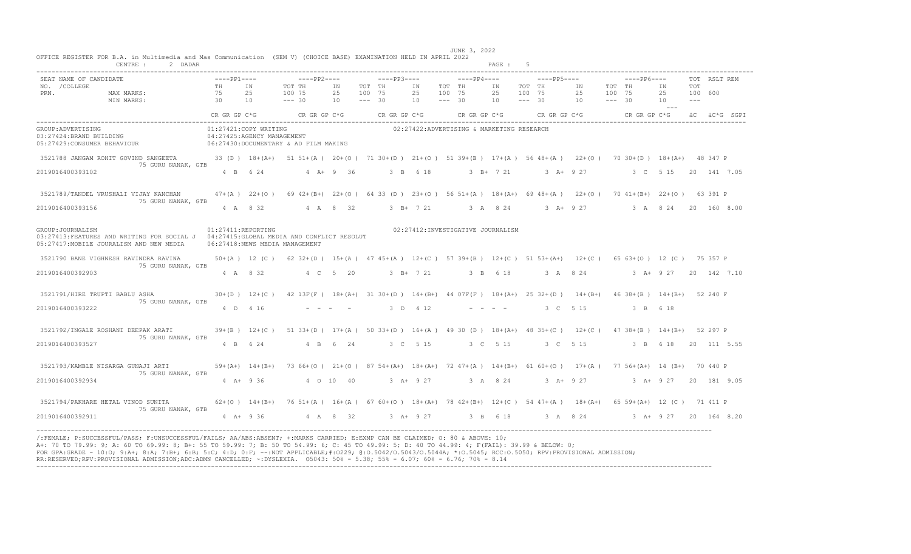|                                | CENTRE :<br>2 DADAR                                                                                                                                                                                                                                                                                                                                                                                                                                                                                                                                                             |  |                       |                                                                                                                    |  |                                                     |          |                                           | PAGE : |          |  |          |                                     |  |              |
|--------------------------------|---------------------------------------------------------------------------------------------------------------------------------------------------------------------------------------------------------------------------------------------------------------------------------------------------------------------------------------------------------------------------------------------------------------------------------------------------------------------------------------------------------------------------------------------------------------------------------|--|-----------------------|--------------------------------------------------------------------------------------------------------------------|--|-----------------------------------------------------|----------|-------------------------------------------|--------|----------|--|----------|-------------------------------------|--|--------------|
|                                | SEAT NAME OF CANDIDATE $---PP1---$<br>NO. /COLLEGE MAXMARKS: THE THE THE THE THE TRE THE TRE THE TRE THE TRE TOT THE TRE TRE TRE TRE TRE TRE TRE TRE<br>PRN. MAXMARKS: 75 25 100 75 25 100 75 25 100 75 25 100 75 25 100 75 25 100 75 25 100 ---<br>MINMARKS: 30 10 ---- 3                                                                                                                                                                                                                                                                                                      |  |                       |                                                                                                                    |  |                                                     |          |                                           |        |          |  |          | 25 100 600<br>and the second second |  | TOT RSLT REM |
|                                |                                                                                                                                                                                                                                                                                                                                                                                                                                                                                                                                                                                 |  |                       |                                                                                                                    |  |                                                     |          |                                           |        |          |  |          |                                     |  |              |
| GROUP: ADVERTISING             | $03:27424:BRAND BULIDING05:27429:CONSUMER BEHAVIOUR06:27430:DOCIMENTARY & AD FILM MAKING$                                                                                                                                                                                                                                                                                                                                                                                                                                                                                       |  | 01:27421:COPY WRITING |                                                                                                                    |  |                                                     |          | 02:27422:ADVERTISING & MARKETING RESEARCH |        |          |  |          |                                     |  |              |
|                                | 3521788 JANGAM ROHIT GOVIND SANGEETA 33 (D) 18+(A+) 51 51+(A) 20+(O) 71 30+(D) 21+(O) 51 39+(B) 17+(A) 56 48+(A) 22+(O) 70 30+(D) 18+(A+) 48 347 P<br>75 GURU NANAK, GTB                                                                                                                                                                                                                                                                                                                                                                                                        |  |                       |                                                                                                                    |  |                                                     |          |                                           |        |          |  |          |                                     |  |              |
| 2019016400393102               |                                                                                                                                                                                                                                                                                                                                                                                                                                                                                                                                                                                 |  | 4 B 6 24              | $4 A + 9 36$                                                                                                       |  | 3 B 6 18 3 B + 7 21 3 A + 9 27 3 C 5 15 20 141 7.05 |          |                                           |        |          |  |          |                                     |  |              |
|                                | 3521789/TANDEL VRUSHALI VIJAY KANCHAN<br>75 GURU NANAK, GTB                                                                                                                                                                                                                                                                                                                                                                                                                                                                                                                     |  |                       | 47+(A) 22+(O) 69 42+(B+) 22+(O) 64 33 (D) 23+(O) 56 51+(A) 18+(A+) 69 48+(A) 22+(O) 70 41+(B+) 22+(O) 63 391 P     |  |                                                     |          |                                           |        |          |  |          |                                     |  |              |
| 2019016400393156               |                                                                                                                                                                                                                                                                                                                                                                                                                                                                                                                                                                                 |  |                       | 4 A 8 32 4 A 8 32 3 B+ 7 21 3 A 8 24 3 A+ 9 27 3 A 8 24 20 160 8.00                                                |  |                                                     |          |                                           |        |          |  |          |                                     |  |              |
| GROUP: JOURNALISM              | 03:27413: FEATURES AND WRITING FOR SOCIAL J 04:27415: GLOBAL MEDIA AND CONFLICT RESOLUT<br>05:27417: MOBILE JOURALISM AND NEW MEDIA                                                                                                                                                                                                                                                                                                                                                                                                                                             |  | $01:27411$ :REPORTING | 06:27418:NEWS MEDIA MANAGEMENT                                                                                     |  |                                                     |          | 02:27412:INVESTIGATIVE JOURNALISM         |        |          |  |          |                                     |  |              |
|                                | 3521790 BANE VIGHNESH RAVINDRA RAVINA<br>75 GURU NANAK, GTB                                                                                                                                                                                                                                                                                                                                                                                                                                                                                                                     |  |                       | 50+(A) 12 (C) 62 32+(D) 15+(A) 47 45+(A) 12+(C) 57 39+(B) 12+(C) 51 53+(A+) 12+(C) 65 63+(0) 12 (C) 75 357 P       |  |                                                     |          |                                           |        |          |  |          |                                     |  |              |
| 2019016400392903               |                                                                                                                                                                                                                                                                                                                                                                                                                                                                                                                                                                                 |  |                       | 4 A 8 32 4 C 5 20                                                                                                  |  | 3 B+ 7 21 3 B 6 18 3 A 8 24 3 A+ 9 27 20 142 7.10   |          |                                           |        |          |  |          |                                     |  |              |
| 3521791/HIRE TRUPTI BABLU ASHA | 75 GURU NANAK, GTB                                                                                                                                                                                                                                                                                                                                                                                                                                                                                                                                                              |  |                       | 30+(D) 12+(C) 42 13F(F) 18+(A+) 31 30+(D) 14+(B+) 44 07F(F) 18+(A+) 25 32+(D) 14+(B+) 46 38+(B) 14+(B+) 52 240 F   |  |                                                     |          |                                           |        |          |  |          |                                     |  |              |
| 2019016400393222               |                                                                                                                                                                                                                                                                                                                                                                                                                                                                                                                                                                                 |  | 4 D 4 16              |                                                                                                                    |  |                                                     | 3 D 4 12 |                                           |        | 3 C 5 15 |  | 3 B 6 18 |                                     |  |              |
|                                | 3521792/INGALE ROSHANI DEEPAK ARATI<br>75 GURU NANAK, GTB                                                                                                                                                                                                                                                                                                                                                                                                                                                                                                                       |  |                       | 39+(B) 12+(C) 51 33+(D) 17+(A) 50 33+(D) 16+(A) 49 30 (D) 18+(A+) 48 35+(C) 12+(C) 47 38+(B) 14+(B+) 52 297 P      |  |                                                     |          |                                           |        |          |  |          |                                     |  |              |
| 2019016400393527               |                                                                                                                                                                                                                                                                                                                                                                                                                                                                                                                                                                                 |  |                       | 4 B 6 24 4 B 6 24                                                                                                  |  | 3 C 5 15 3 C 5 15 3 C 5 15 3 B 6 18 20 111 5.55     |          |                                           |        |          |  |          |                                     |  |              |
|                                | 3521793/KAMBLE NISARGA GUNAJI ARTI<br>75 GURU NANAK, GTB                                                                                                                                                                                                                                                                                                                                                                                                                                                                                                                        |  |                       | 59+(A+) 14+(B+) 73 66+(O) 21+(O) 87 54+(A+) 18+(A+) 72 47+(A) 14+(B+) 61 60+(O) 17+(A) 77 56+(A+) 14 (B+) 70 440 P |  |                                                     |          |                                           |        |          |  |          |                                     |  |              |
| 2019016400392934               |                                                                                                                                                                                                                                                                                                                                                                                                                                                                                                                                                                                 |  |                       | 4 A+ 9 36 4 0 10 40                                                                                                |  | 3 A+ 9 27 3 A 8 24 3 A+ 9 27 3 A+ 9 27 20 181 9 05  |          |                                           |        |          |  |          |                                     |  |              |
|                                | 3521794/PAKHARE HETAL VINOD SUNITA 62+(0) 14+(B+) 76 51+(A) 16+(A) 67 60+(0) 18+(A+) 78 42+(B+) 12+(C) 54 47+(A) 18+(A+) 65 59+(A+) 12 (C) 71 411 P<br>75 GURU NANAK, GTB                                                                                                                                                                                                                                                                                                                                                                                                       |  |                       |                                                                                                                    |  |                                                     |          |                                           |        |          |  |          |                                     |  |              |
| 2019016400392911               |                                                                                                                                                                                                                                                                                                                                                                                                                                                                                                                                                                                 |  |                       | 4 A+ 9 36 4 A 8 32 3 A+ 9 27 3 B 6 18 3 A 8 24 3 A+ 9 27 20 164 8.20                                               |  |                                                     |          |                                           |        |          |  |          |                                     |  |              |
|                                | /:FEMALE; P:SUCCESSFUL/PASS; F:UNSUCCESSFUL/FAILS; AA/ABS:ABSENT; +:MARKS CARRIED; E:EXMP CAN BE CLAIMED; O: 80 & ABOVE: 10;<br>A+: 70 TO 79.99: 9; A: 60 TO 69.99: 8; B+: 55 TO 59.99: 7; B: 50 TO 54.99: 6; C: 45 TO 49.99: 5; D: 40 TO 44.99: 4; F(FAIL): 39.99 & BELOW: 0;<br>FOR GPA:GRADE - 10:0; 9:A+; 8:A; 7:B+; 6:B; 5:C; 4:D; 0:F; --:NOT APPLICABLE;#:0229; 0:0.5042/0.5043/0.5044A; *:0.5045; RCC:0.5050; RPV:PROVISIONAL ADMISSION;<br>RR:RESERVED;RPV:PROVISIONAL ADMISSION;ADC:ADMN CANCELLED; ~:DYSLEXIA. 05043: 50% - 5.38; 55% - 6.07; 60% - 6.76; 70% - 8.14 |  |                       |                                                                                                                    |  |                                                     |          |                                           |        |          |  |          |                                     |  |              |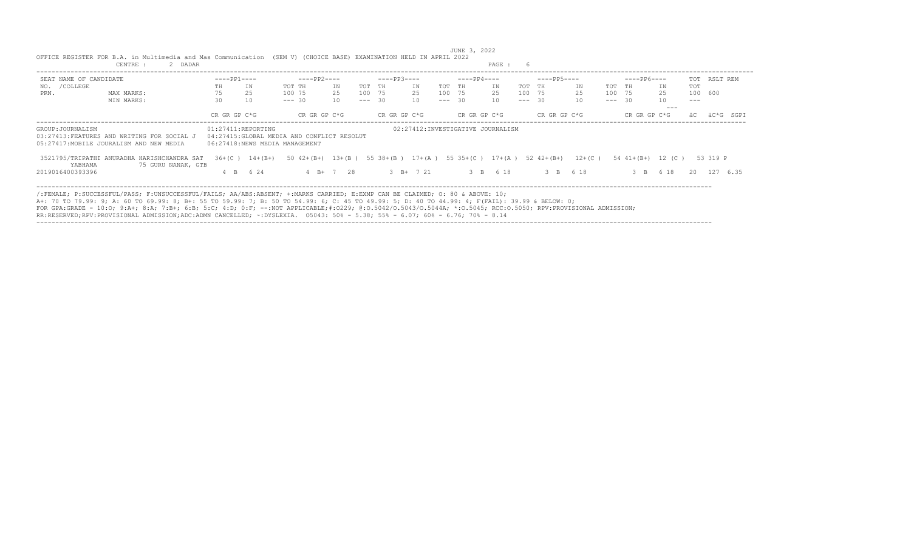|                        | OFFICE REGISTER FOR B.A. in Multimedia and Mas Communication (SEM V) (CHOICE BASE) EXAMINATION HELD IN APRIL 2022                                                                                                                                                                                                                                                                                                                                                                                                                                                               |                    |                   |                                                                               |             |          |              |    |          | JUNE 3, 2022 |                                    |          |              |           |          |                   |          |          |              |
|------------------------|---------------------------------------------------------------------------------------------------------------------------------------------------------------------------------------------------------------------------------------------------------------------------------------------------------------------------------------------------------------------------------------------------------------------------------------------------------------------------------------------------------------------------------------------------------------------------------|--------------------|-------------------|-------------------------------------------------------------------------------|-------------|----------|--------------|----|----------|--------------|------------------------------------|----------|--------------|-----------|----------|-------------------|----------|----------|--------------|
|                        | CENTRE :<br>2 DADAR                                                                                                                                                                                                                                                                                                                                                                                                                                                                                                                                                             |                    |                   |                                                                               |             |          |              |    |          |              | PAGE :                             |          |              |           |          |                   |          |          |              |
| SEAT NAME OF CANDIDATE |                                                                                                                                                                                                                                                                                                                                                                                                                                                                                                                                                                                 | $---PP1---$        |                   | -----PP2----                                                                  |             |          | $---PP3---$  |    |          | $---PP4---$  |                                    |          | $---PP5---$  |           |          | $---PP6---$       |          |          | TOT RSLT REM |
| /COLLEGE<br>NO.        |                                                                                                                                                                                                                                                                                                                                                                                                                                                                                                                                                                                 | TН                 | IN                | TOT TH                                                                        | ΙN          | TOT TH   |              | ΙN | TOT TH   |              | ΙN                                 | TOT TH   |              | ΙN        | TOT TH   |                   | ΙN       | TOT      |              |
| PRN.                   | MAX MARKS:                                                                                                                                                                                                                                                                                                                                                                                                                                                                                                                                                                      | 75                 | 25                | 100 75                                                                        | 25          |          | 100 75<br>25 |    | 100 75   |              | 25                                 | 100 75   |              | 25        | 100 75   |                   | 25       | 100 600  |              |
|                        | MIN MARKS:                                                                                                                                                                                                                                                                                                                                                                                                                                                                                                                                                                      | 30                 | 10                | $--- 30$                                                                      | 10          | $--- 30$ |              | 10 | $--- 30$ |              | 10                                 | $--- 30$ |              | 10        | $--- 30$ |                   | 10       | $\cdots$ |              |
|                        |                                                                                                                                                                                                                                                                                                                                                                                                                                                                                                                                                                                 | CR GR GP C*G       |                   | CR GR GP C*G                                                                  |             |          | CR GR GP C*G |    |          | CR GR GP C*G |                                    |          | CR GR GP C*G |           |          | CR GR GP C*G      |          |          | SGPT         |
| GROUP: JOURNALISM      | 03:27413:FEATURES AND WRITING FOR SOCIAL J<br>05:27417: MOBILE JOURALISM AND NEW MEDIA                                                                                                                                                                                                                                                                                                                                                                                                                                                                                          | 01:27411:REPORTING |                   | 04:27415: GLOBAL MEDIA AND CONFLICT RESOLUT<br>06:27418:NEWS MEDIA MANAGEMENT |             |          |              |    |          |              | 02:27412: INVESTIGATIVE JOURNALISM |          |              |           |          |                   |          |          |              |
| YABHAMA                | 3521795/TRIPATHI ANURADHA HARISHCHANDRA SAT<br>75 GURU NANAK, GTB                                                                                                                                                                                                                                                                                                                                                                                                                                                                                                               |                    | $36+ (C)$ 14+(B+) | 50 42+(B+) $13+(B)$ 55 38+(B) 17+(A) 55 35+(C) 17+(A) 52 42+(B+)              |             |          |              |    |          |              |                                    |          |              | $12+ (C)$ |          | 54 41+(B+) 12 (C) |          |          | 53 319 P     |
| 2019016400393396       |                                                                                                                                                                                                                                                                                                                                                                                                                                                                                                                                                                                 |                    | 4 B 6 24          |                                                                               | $4 B+ 7 28$ |          | 3 B+ 7 21    |    |          |              | 3 B 6 18                           |          | 3 B 6 18     |           |          |                   | 3 B 6 18 |          | 20 127 6.35  |
|                        | /:FEMALE; P:SUCCESSFUL/PASS; F:UNSUCCESSFUL/FAILS; AA/ABS:ABSENT; +:MARKS CARRIED; E:EXMP CAN BE CLAIMED; O: 80 & ABOVE: 10;<br>A+: 70 TO 79.99: 9; A: 60 TO 69.99: 8; B+: 55 TO 59.99: 7; B: 50 TO 54.99: 6; C: 45 TO 49.99: 5; D: 40 TO 44.99: 4; F(FAIL): 39.99 & BELOW: 0;<br>FOR GPA:GRADE - 10:0; 9:A+; 8:A; 7:B+; 6:B; 5:C; 4:D; 0:F; --:NOT APPLICABLE;#:0229; 0:0.5042/0.5043/0.5044A; *:0.5045; RCC:0.5050; RPV:PROVISIONAL ADMISSION;<br>RR:RESERVED;RPV:PROVISIONAL ADMISSION;ADC:ADMN CANCELLED; ~:DYSLEXIA. 05043: 50% - 5.38; 55% - 6.07; 60% - 6.76; 70% - 8.14 |                    |                   |                                                                               |             |          |              |    |          |              |                                    |          |              |           |          |                   |          |          |              |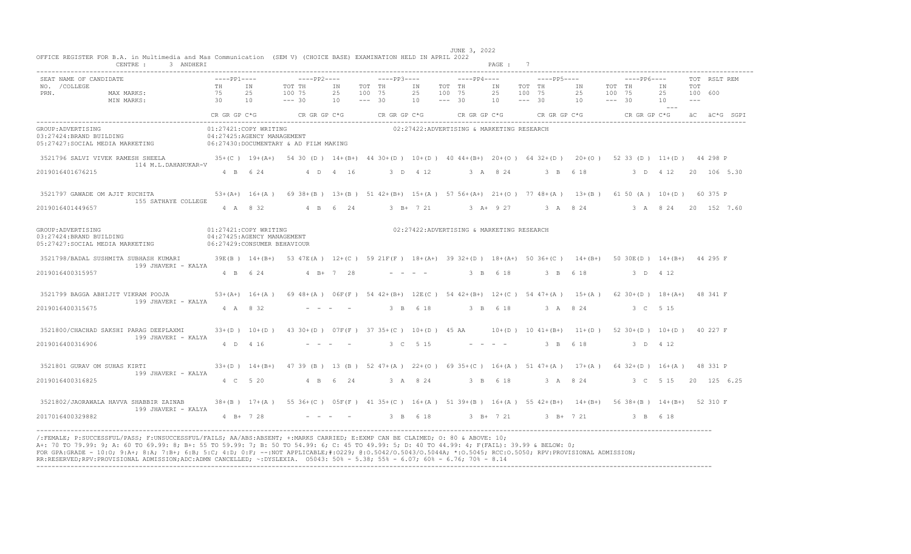| SEAT NAME OF CANDIDATE |                                                                                                                                                                                                                                                        | $---PP1---$                |           |                                                                                                                |          |          |  |                                                   |  |  |  |             |
|------------------------|--------------------------------------------------------------------------------------------------------------------------------------------------------------------------------------------------------------------------------------------------------|----------------------------|-----------|----------------------------------------------------------------------------------------------------------------|----------|----------|--|---------------------------------------------------|--|--|--|-------------|
| NO. / COLLEGE          |                                                                                                                                                                                                                                                        |                            |           |                                                                                                                |          |          |  |                                                   |  |  |  |             |
|                        | MAX MARKS: TH IN TOT TH IN TOT TH IN TOT TH IN TOT TH IN TOT TH IN TOT TH IN TOT<br>MAX MARKS: 75 25 100 75 25 100 75 25 100 75 25 100 75 25 100 75 25 100 600<br>MIN MARKS: 30 10 ---30 10 ---30 10 ---- 30 10 --- 30 10 --- 30 10<br>PRN. MAX MARKS: |                            |           |                                                                                                                |          |          |  |                                                   |  |  |  |             |
|                        |                                                                                                                                                                                                                                                        |                            |           |                                                                                                                |          |          |  |                                                   |  |  |  |             |
|                        |                                                                                                                                                                                                                                                        |                            |           | CR GR GP C*G CR GR GP C*G CR GR GP C*G CR GR GP C*G CR GR GP C*G CR GR GP C*G CR GR GP C*G $AC*G$ CR GR GP C*G |          |          |  |                                                   |  |  |  |             |
| GROUP: ADVERTISING     |                                                                                                                                                                                                                                                        |                            |           | 01:27421:COPY WRITING                                                                                          |          |          |  | 02:27422:ADVERTISING & MARKETING RESEARCH         |  |  |  |             |
|                        | 04:27425:AGENCY MANAGEMENT<br>03:27424:BRAND BUILDING 04:27425:AGENCY MANAGEMENT<br>05:27427:SOCIAL MEDIA MARKETING 06:27430:DOCUMENTARY & AD FILM MAKING                                                                                              |                            |           |                                                                                                                |          |          |  |                                                   |  |  |  |             |
|                        |                                                                                                                                                                                                                                                        |                            |           |                                                                                                                |          |          |  |                                                   |  |  |  |             |
|                        | 3521796 SALVI VIVEK RAMESH SHEELA 35+(C) 19+(A+) 54 30 (D) 14+(B+) 44 30+(D) 10+(D) 40 44+(B+) 20+(O) 64 32+(D) 20+(O) 52 33 (D) 11+(D) 44 298 P<br>114 M.L.DAHANUKAR-V                                                                                |                            |           |                                                                                                                |          |          |  |                                                   |  |  |  |             |
| 2019016401676215       |                                                                                                                                                                                                                                                        |                            |           | 4 B 6 24 4 D 4 16                                                                                              |          |          |  |                                                   |  |  |  |             |
|                        | 3521797 GAWADE OM AJIT RUCHITA 60 375 P (A+) 16+(A) 69 38+(B) 13+(B) 51 42+(B+) 15+(A) 57 56+(A+) 21+(O) 77 48+(A) 13+(B) 61 50 (A) 10+(D) 60 375 P                                                                                                    |                            |           |                                                                                                                |          |          |  |                                                   |  |  |  |             |
| 2019016401449657       | 155 SATHAYE COLLEGE                                                                                                                                                                                                                                    |                            |           | 4 A 8 32 4 B 6 24 3 B + 7 21 3 A + 9 27 3 A 8 24 3 A 8 24 20 152 7.60                                          |          |          |  |                                                   |  |  |  |             |
|                        |                                                                                                                                                                                                                                                        |                            |           |                                                                                                                |          |          |  |                                                   |  |  |  |             |
|                        |                                                                                                                                                                                                                                                        | 01:27421:COPY WRITING      |           |                                                                                                                |          |          |  | 02:27422:ADVERTISING & MARKETING RESEARCH         |  |  |  |             |
|                        | GROUP:ADVERTISING<br>03:27424:BRAND BUILDING                                                                                                                                                                                                           | 04:27425:AGENCY MANAGEMENT |           |                                                                                                                |          |          |  |                                                   |  |  |  |             |
|                        | 05:27427: SOCIAL MEDIA MARKETING 06:27429: CONSUMER BEHAVIOUR                                                                                                                                                                                          |                            |           |                                                                                                                |          |          |  |                                                   |  |  |  |             |
|                        | 3521798/BADAL SUSHMITA SUBHASH KUMARI 39E(B) 14+(B+) 53 47E(A) 12+(C) 59 21F(F) 18+(A+) 39 32+(D) 18+(A+) 50 36+(C) 14+(B+) 50 30E(D) 14+(B+) 44 295 F                                                                                                 |                            |           |                                                                                                                |          |          |  |                                                   |  |  |  |             |
| 2019016400315957       | 199 JHAVERI - KALYA                                                                                                                                                                                                                                    |                            |           | 4 B 6 24 4 B + 7 28                                                                                            |          |          |  | $-$ - - - 3 B 6 18 3 B 6 18 3 D 4 12              |  |  |  |             |
|                        |                                                                                                                                                                                                                                                        |                            |           |                                                                                                                |          |          |  |                                                   |  |  |  |             |
|                        | 3521799 BAGGA ABHIJIT VIKRAM POOJA 53+(A+) 16+(A) 69 48+(A) 06F(F) 54 42+(B+) 12E(C) 54 42+(B+) 12+(C) 54 47+(A) 15+(A) 62 30+(D) 18+(A+) 48 341 F                                                                                                     |                            |           |                                                                                                                |          |          |  |                                                   |  |  |  |             |
| 2019016400315675       | 199 JHAVERI - KALYA                                                                                                                                                                                                                                    |                            | 4 A 8 32  |                                                                                                                |          |          |  | 3 B 6 18 3 B 6 18 3 A 8 24 3 C 5 15               |  |  |  |             |
|                        |                                                                                                                                                                                                                                                        |                            |           |                                                                                                                |          |          |  |                                                   |  |  |  |             |
|                        | 3521800/CHACHAD SAKSHI PARAG DEEPLAXMI                                                                                                                                                                                                                 |                            |           | $33+(D)$ 10+(D) 43 30+(D) 07F(F) 37 35+(C) 10+(D) 45 AA 10+(D) 10 41+(B+) 11+(D) 52 30+(D) 10+(D) 40 227 F     |          |          |  |                                                   |  |  |  |             |
| 2019016400316906       | 199 JHAVERI - KALYA                                                                                                                                                                                                                                    |                            | 4 D 4 16  |                                                                                                                |          | 3 C 5 15 |  | $- - - - -$ 3 B 6 18 3 D 4 12                     |  |  |  |             |
|                        |                                                                                                                                                                                                                                                        |                            |           |                                                                                                                |          |          |  |                                                   |  |  |  |             |
|                        | 3521801 GURAV OM SUHAS KIRTI                                                                                                                                                                                                                           |                            |           | 33+(D) 14+(B+) 47 39 (B) 13 (B) 52 47+(A) 22+(O) 69 35+(C) 16+(A) 51 47+(A) 17+(A) 64 32+(D) 16+(A) 48 331 P   |          |          |  |                                                   |  |  |  |             |
|                        | 199 JHAVERI - KALYA                                                                                                                                                                                                                                    |                            |           |                                                                                                                |          |          |  |                                                   |  |  |  |             |
| 2019016400316825       |                                                                                                                                                                                                                                                        |                            | 4 C 5 20  |                                                                                                                | 4 B 6 24 |          |  | 3 A 8 24 3 B 6 18 3 A 8 24 3 C 5 15               |  |  |  | 20 125 6.25 |
|                        | 3521802/JAORAWALA HAVVA SHABBIR ZAINAB 38+(B) 17+(A) 55 36+(C) 05F(F) 41 35+(C) 16+(A) 51 39+(B) 16+(A) 55 42+(B+) 14+(B+) 56 38+(B) 14+(B+) 52 310 F                                                                                                  |                            |           |                                                                                                                |          |          |  |                                                   |  |  |  |             |
|                        | 199 JHAVERI - KALYA                                                                                                                                                                                                                                    |                            |           |                                                                                                                |          |          |  |                                                   |  |  |  |             |
| 2017016400329882       |                                                                                                                                                                                                                                                        |                            | 4 B+ 7 28 |                                                                                                                |          |          |  | $-$ - - - 3 B 6 18 3 B + 7 21 3 B + 7 21 3 B 6 18 |  |  |  |             |
|                        |                                                                                                                                                                                                                                                        |                            |           |                                                                                                                |          |          |  |                                                   |  |  |  |             |
|                        | /:FEMALE; P:SUCCESSFUL/PASS; F:UNSUCCESSFUL/FAILS; AA/ABS:ABSENT; +:MARKS CARRIED; E:EXMP CAN BE CLAIMED; O: 80 & ABOVE: 10;                                                                                                                           |                            |           |                                                                                                                |          |          |  |                                                   |  |  |  |             |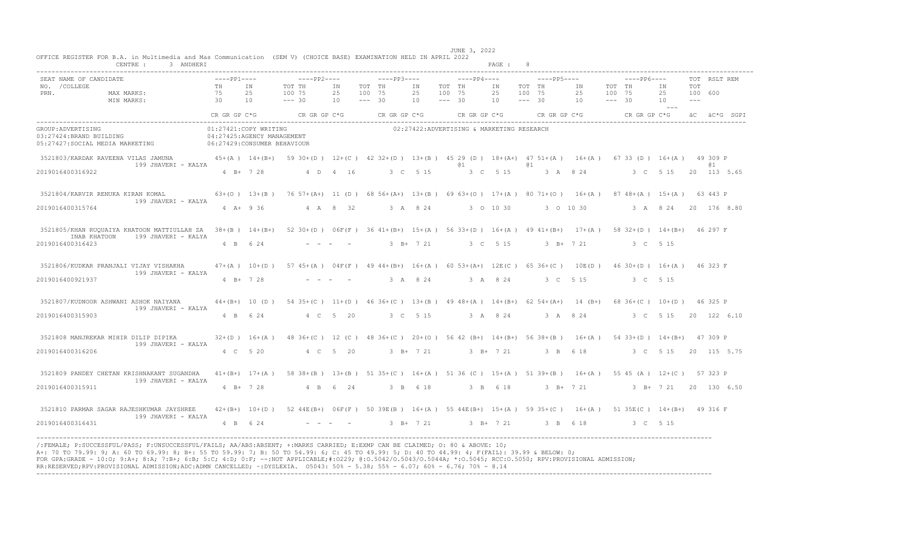| CENTRE :<br>3 ANDHERI                                                                                                                                                                                                  |                                                                                     |                             |                                                                                      |                                   |                              |                                               |                              |                 | PAGE :         |                              |                                                                                                                                      |                                             |                                |                                 |                                           |
|------------------------------------------------------------------------------------------------------------------------------------------------------------------------------------------------------------------------|-------------------------------------------------------------------------------------|-----------------------------|--------------------------------------------------------------------------------------|-----------------------------------|------------------------------|-----------------------------------------------|------------------------------|-----------------|----------------|------------------------------|--------------------------------------------------------------------------------------------------------------------------------------|---------------------------------------------|--------------------------------|---------------------------------|-------------------------------------------|
| SEAT NAME OF CANDIDATE<br>NO. / COLLEGE<br>PRN.<br>MAX MARKS:<br>MIN MARKS:                                                                                                                                            | $---PP1---$<br>TH<br>75<br>$\overline{30}$<br>10                                    | IN<br>2.5                   | $---PP2---$<br>TOT TH<br>100 75<br>$--- 30$<br>$CR$ GR $GP$ $C*G$ $CR$ GR $GP$ $C*G$ | IN<br>25<br>10                    | TOT TH<br>100 75<br>$--- 30$ | $---PP3---$<br>IN<br>25<br>10<br>CR GR GP C*G | TOT TH<br>100 75<br>$--- 30$ | $---PP4---$     | IN<br>25<br>10 | TOT TH<br>100 75<br>$--- 30$ | $---PP5---$<br>IN<br>25<br>10<br>$CR$ GR GP $C*G$ $CR$ GR GP $C*G$                                                                   | $---PP6---$<br>TOT TH<br>100 75<br>$--- 30$ | IN<br>25<br>10<br>$\sim$ $  -$ | TOT<br>100 600<br>$\frac{1}{2}$ | TOT RSLT REM<br>CR GR GP C*G aC aC*G SGPI |
| GROUP: ADVERTISING<br>03:27424:BRAND BUILDING<br>05:27427:SOCIAL MEDIA MARKETING                                                                                                                                       | 01:27421:COPY WRITING<br>04:27425:AGENCY MANAGEMENT<br>06:27429: CONSUMER BEHAVIOUR |                             |                                                                                      |                                   |                              | 02:27422:ADVERTISING & MARKETING RESEARCH     |                              |                 |                |                              |                                                                                                                                      |                                             |                                |                                 |                                           |
| 3521803/KARDAK RAVEENA VILAS JAMUNA 45+(A) 14+(B+) 5930+(D) 12+(C) 4232+(D) 13+(B) 45 29 (D) 18+(A+) 47 51+(A) 16+(A) 67 33 (D) 16+(A) 49 309 P<br>199 JHAVERI - KALYA<br>2019016400316922                             |                                                                                     | $4 B+ 7 28$                 |                                                                                      | 4 D 4 16                          |                              | 3 C 5 15                                      |                              | @ 1<br>3 C 5 15 |                | 01                           | 3 A 8 24                                                                                                                             | 3 C 5 15                                    |                                |                                 | <b>a</b> 1<br>20 113 5.65                 |
| 3521804/KARVIR RENUKA KIRAN KOMAL<br>199 JHAVERI - KALYA<br>2019016400315764                                                                                                                                           |                                                                                     | $4$ A + 9 36                | 4 A 8 32                                                                             |                                   |                              | 3 A 8 24                                      |                              | 3 0 10 30       |                |                              | 63+(0) 13+(B) 76 57+(A+) 11 (D) 68 56+(A+) 13+(B) 69 63+(0) 17+(A) 80 71+(0) 16+(A) 87 48+(A) 15+(A) 63 443 P<br>3 0 10 30           |                                             |                                |                                 | 3 A 8 24 20 176 8.80                      |
| 3521805/KHAN RUQUAIYA KHATOON MATTIULLAH ZA 38+(B) 14+(B+) 52 30+(D) 06F(F) 36 41+(B+) 15+(A) 56 33+(D) 16+(A) 49 41+(B+) 17+(A) 58 32+(D) 14+(B+) 46 297 F<br>199 JHAVERI - KALYA<br>INAB KHATOON<br>2019016400316423 |                                                                                     | 4 B 6 24                    |                                                                                      | the company of the company of the |                              | $3$ B+ $7$ 21                                 |                              | 3 C 5 15        |                |                              | $3 \t B+ 7 \t 21$                                                                                                                    | 3 C 5 15                                    |                                |                                 |                                           |
| 3521806/KUDKAR PRANJALI VIJAY VISHAKHA<br>199 JHAVERI - KALYA<br>2019016400921937                                                                                                                                      |                                                                                     | $4 B+ 7 28$                 |                                                                                      |                                   |                              | 3 A 8 24                                      |                              | 3 A 8 24        |                |                              | $47+(A)$ 10+(D) 57 45+(A) 04F(F) 49 44+(B+) 16+(A) 60 53+(A+) 12E(C) 65 36+(C) 10E(D) 46 30+(D) 16+(A) 46 323 F<br>3 C 5 15          | 3 C 5 15                                    |                                |                                 |                                           |
| 3521807/KUDNOOR ASHWANI ASHOK NAIYANA<br>199 JHAVERI - KALYA<br>2019016400315903                                                                                                                                       |                                                                                     | 4 B 6 24                    |                                                                                      | 4 C 5 20                          |                              | 3 C 5 15                                      |                              |                 |                |                              | 44+(B+) 10 (D) 54 35+(C) 11+(D) 46 36+(C) 13+(B) 49 48+(A) 14+(B+) 62 54+(A+) 14 (B+) 68 36+(C) 10+(D) 46 325 P<br>3 A 8 24 3 A 8 24 |                                             |                                |                                 | 3 C 5 15 20 122 6.10                      |
| 3521808 MANJREKAR MIHIR DILIP DIPIKA<br>199 JHAVERI - KALYA<br>2019016400316206                                                                                                                                        |                                                                                     | $32+(D)$ 16+(A)<br>4 C 5 20 |                                                                                      | 4 C 5 20                          |                              | $3$ B+ $7$ 21                                 |                              |                 | $3$ R+ $7$ 21  |                              | 48 36+(C) 12 (C) 48 36+(C) 20+(0) 56 42 (B+) 14+(B+) 56 38+(B) 16+(A) 54 33+(D) 14+(B+) 47 309 P<br>3 B 6 18                         |                                             | 3 C 5 15                       |                                 | 20 115 5.75                               |
| 3521809 PANDEY CHETAN KRISHNAKANT SUGANDHA<br>199 JHAVERI - KALYA<br>2019016400315911                                                                                                                                  |                                                                                     | $4 B+ 7 28$                 |                                                                                      | 4 B 6 24                          |                              | 3 B 6 18                                      |                              |                 | 3 B 6 18       |                              | 41+(B+) 17+(A) 58 38+(B) 13+(B) 51 35+(C) 16+(A) 51 36 (C) 15+(A) 51 39+(B) 16+(A) 55 45 (A) 12+(C) 57 323 P<br>3 B+ 7 21            |                                             |                                |                                 | 3 B+ 7 21 20 130 6.50                     |
| 3521810 PARMAR SAGAR RAJESHKUMAR JAYSHREE<br>199 JHAVERI - KALYA<br>2019016400316431                                                                                                                                   |                                                                                     | 4 B 6 24                    |                                                                                      |                                   |                              | 3 B+ 7 21                                     |                              | 3 B+ 7 21       |                |                              | 42+(B+) 10+(D) 52 44E(B+) 06F(F) 50 39E(B) 16+(A) 55 44E(B+) 15+(A) 59 35+(C) 16+(A) 51 35E(C) 14+(B+) 49 316 F<br>3 B 6 18          | 3 C 5 15                                    |                                |                                 |                                           |

 JUNE 3, 2022 OFFICE REGISTER FOR B.A. in Multimedia and Mas Communication (SEM V) (CHOICE BASE) EXAMINATION HELD IN APRIL 2022 CENTRE : 3 ANDHERI PAGE : 8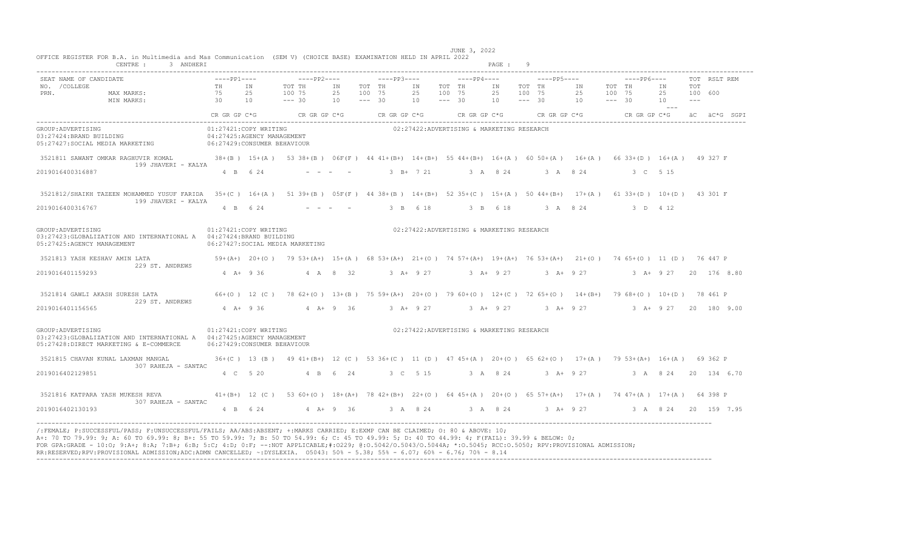| CENTRE :<br>3 ANDHERI                                                                                                                                                              |                              |                       |                                                                                                                   |                             |                              |                                                     |                |                              |                                           | PAGE : 9       |                              |             |                               |                  |                                                        |                |                                        |                       |
|------------------------------------------------------------------------------------------------------------------------------------------------------------------------------------|------------------------------|-----------------------|-------------------------------------------------------------------------------------------------------------------|-----------------------------|------------------------------|-----------------------------------------------------|----------------|------------------------------|-------------------------------------------|----------------|------------------------------|-------------|-------------------------------|------------------|--------------------------------------------------------|----------------|----------------------------------------|-----------------------|
| SEAT NAME OF CANDIDATE<br>NO. / COLLEGE<br>PRN.<br>MAX MARKS:<br>$\begin{array}{c} 75 \\ 30 \end{array}$<br>MIN MARKS:                                                             | $---PP1---$<br>TH IN<br>75   | 25<br>10              | $---PP2---$<br>TOT TH<br>100 75<br>$--- 30$                                                                       | ΙN<br>25<br>10 <sup>1</sup> | TOT TH<br>100 75<br>$--- 30$ | $---PP3---$                                         | IN<br>25<br>10 | TOT TH<br>100 75<br>$--- 30$ | $---PP4---$                               | IN<br>25<br>10 | TOT TH<br>100 75<br>$--- 30$ | $---PP5---$ | IN<br>25<br>$10 - - - 30$     | TOT TH<br>100 75 | $---PP6---$                                            | IN<br>25<br>10 | TOT<br>100 600<br>$\sim$ $\sim$ $\sim$ | TOT RSLT REM          |
|                                                                                                                                                                                    | CR GR GP C*G                 |                       | $CR$ GR GP $C*G$ CR GR GP $C*G$                                                                                   |                             |                              |                                                     |                |                              |                                           |                |                              |             |                               |                  | CR GR GP C*G CR GR GP C*G CR GR GP C*G aC $AC*G$ SGP I |                |                                        |                       |
| GROUP: ADVERTISING<br>03:27424:BRAND BUILDING<br>05:27427:SOCIAL MEDIA MARKETING 06:27429:CONSUMER BEHAVIOUR                                                                       | 04:27425:AGENCY MANAGEMENT   | 01:27421:COPY WRITING |                                                                                                                   |                             |                              |                                                     |                |                              | 02:27422:ADVERTISING & MARKETING RESEARCH |                |                              |             |                               |                  |                                                        |                |                                        |                       |
| 3521811 SAWANT OMKAR RAGHUVIR KOMAL 38+(B) 15+(A) 53 38+(B) 06F(F) 44 41+(B+) 14+(B+) 55 44+(B+) 16+(A) 60 50+(A) 16+(A) 66 33+(D) 16+(A) 49 327 F<br>199 JHAVERI - KALYA          |                              |                       |                                                                                                                   |                             |                              |                                                     |                |                              |                                           |                |                              |             |                               |                  |                                                        |                |                                        |                       |
| 2019016400316887                                                                                                                                                                   |                              | 4 B 6 24              |                                                                                                                   |                             |                              |                                                     | $3 B+ 7 21$    |                              |                                           | 3 A 8 24       |                              | 3 A 8 24    |                               |                  | 3 C 5 15                                               |                |                                        |                       |
| 3521812/SHAIKH TAZEEN MOHAMMED YUSUF FARIDA 35+(C) 16+(A) 51 39+(B) 05F(F) 44 38+(B) 14+(B+) 52 35+(C) 15+(A) 50 44+(B+) 17+(A) 61 33+(D) 10+(D) 43 301 F<br>199 JHAVERI - KALYA   |                              |                       |                                                                                                                   |                             |                              |                                                     |                |                              |                                           |                |                              |             |                               |                  |                                                        |                |                                        |                       |
| 2019016400316767                                                                                                                                                                   |                              | 4 B 6 24              |                                                                                                                   |                             |                              |                                                     | 3 B 6 18       |                              |                                           |                |                              |             |                               |                  | 3 B 6 18 3 A 8 24 3 D 4 12                             |                |                                        |                       |
| GROUP: ADVERTISING<br>03:27423: GLOBALIZATION AND INTERNATIONAL A 04:27424: BRAND BUILDING<br>05:27425:AGENCY MANAGEMENT                                                           | 01:27421:COPY WRITING        |                       | 06:27427:SOCIAL MEDIA MARKETING                                                                                   |                             |                              |                                                     |                |                              | 02:27422:ADVERTISING & MARKETING RESEARCH |                |                              |             |                               |                  |                                                        |                |                                        |                       |
| 3521813 YASH KESHAV AMIN LATA<br>229 ST. ANDREWS                                                                                                                                   |                              |                       | 59+(A+) 20+(O) 79 53+(A+) 15+(A) 68 53+(A+) 21+(O) 74 57+(A+) 19+(A+) 76 53+(A+) 21+(O) 74 65+(O) 11 (D) 76 447 P |                             |                              |                                                     |                |                              |                                           |                |                              |             |                               |                  |                                                        |                |                                        |                       |
| 2019016401159293                                                                                                                                                                   |                              | $4$ A + 9 36          | 4 A 8 32                                                                                                          |                             |                              | 3 A+ 9 27 3 A+ 9 27 3 A+ 9 27 3 A+ 9 27 20 176 8 80 |                |                              |                                           |                |                              |             |                               |                  |                                                        |                |                                        |                       |
| 3521814 GAWLI AKASH SURESH LATA<br>229 ST. ANDREWS                                                                                                                                 |                              |                       | 66+(0) 12 (C) 78 62+(0) 13+(B) 75 59+(A+) 20+(0) 79 60+(0) 12+(C) 72 65+(0) 14+(B+) 79 68+(0) 10+(D) 78 461 P     |                             |                              |                                                     |                |                              |                                           |                |                              |             |                               |                  |                                                        |                |                                        |                       |
| 2019016401156565                                                                                                                                                                   |                              |                       | 4 A+ 9 36 4 A+ 9 36                                                                                               |                             |                              |                                                     |                |                              |                                           |                |                              |             | 3 A+ 9 27 3 A+ 9 27 3 A+ 9 27 |                  |                                                        |                |                                        | 3 A+ 9 27 20 180 9.00 |
| GROUP: ADVERTISING<br>03:27423:GLOBALIZATION AND INTERNATIONAL A  04:27425:AGENCY MANAGEMENT<br>05:27428:DIRECT MARKETING & E-COMMERCE                                             | 06:27429: CONSUMER BEHAVIOUR | 01:27421:COPY WRITING |                                                                                                                   |                             |                              |                                                     |                |                              | 02:27422:ADVERTISING & MARKETING RESEARCH |                |                              |             |                               |                  |                                                        |                |                                        |                       |
| 3521815 CHAVAN KUNAL LAXMAN MANGAL<br>307 RAHEJA - SANTAC                                                                                                                          |                              |                       | 36+(C) 13 (B) 49 41+(B+) 12 (C) 53 36+(C) 11 (D) 47 45+(A) 20+(O) 65 62+(O) 17+(A) 79 53+(A+) 16+(A) 69 362 P     |                             |                              |                                                     |                |                              |                                           |                |                              |             |                               |                  |                                                        |                |                                        |                       |
| 2019016402129851                                                                                                                                                                   |                              | 4 C 5 20              |                                                                                                                   | 4 B 6 24                    |                              |                                                     | 3 C 5 15       |                              | 3 A 8 24                                  |                |                              |             |                               |                  | 3 A+ 9 27 3 A 8 24 20 134 6.70                         |                |                                        |                       |
| 3521816 KATPARA YASH MUKESH REVA 41+ (B+) 12 (C) 53 60+ (0) 18+ (A+) 78 42+ (B+) 22+ (0) 64 45+ (A) 20+ (0) 65 57+ (A+) 17+ (A) 74 47+ (A) 17+ (A) 64 398 P<br>307 RAHEJA - SANTAC |                              |                       |                                                                                                                   |                             |                              |                                                     |                |                              |                                           |                |                              |             |                               |                  |                                                        |                |                                        |                       |
| 2019016402130193                                                                                                                                                                   |                              | 4 B 6 24              | $4 A + 9 36$                                                                                                      |                             |                              | 3 A 8 24 3 A 8 24 3 A + 9 27                        |                |                              |                                           |                |                              |             |                               |                  |                                                        |                |                                        | 3 A 8 24 20 159 7.95  |

FOR GPA:GRADE - 10:0; 9:A+; 8:A; 7:B+; 6:B; 5:C; 4:D; 0:F; --:NOT APPLICABLE;#:O229; @:O.5042/O.5043/O.5044A; \*:O.5045; RCC:O.5050; RPV:PROVISIONAL ADMISSION;<br>RR:RESERVED;RPV:PROVISIONAL ADMISSION;ADC:ADMN CANCELLED; ~:DYS ----------------------------------------------------------------------------------------------------------------------------------------------------------------------------------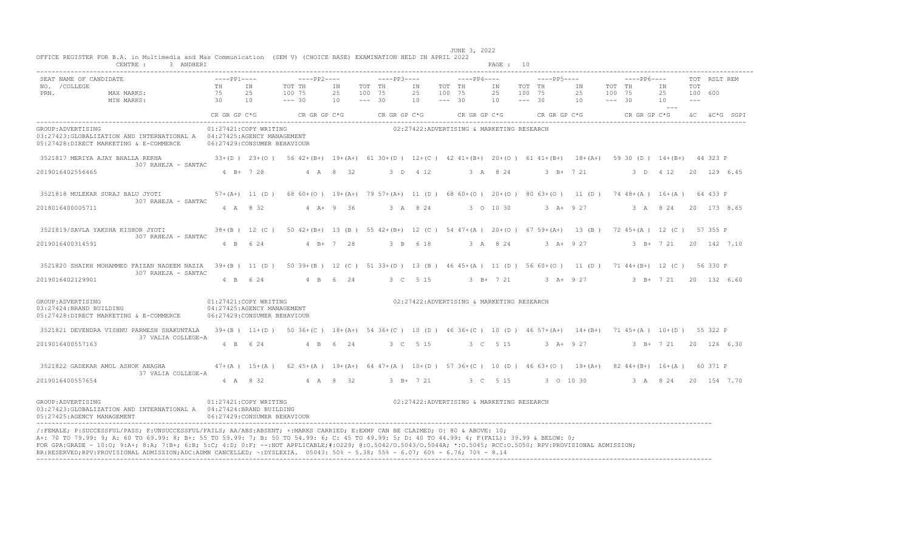|                                                                                         | CENTRE :<br>3 ANDHERI                                                 |                               |                                                                                     |                                             |                |                                             |                |                                             | PAGE: 10                                  |                                             |                |                                                                                                           |                |                         |                       |
|-----------------------------------------------------------------------------------------|-----------------------------------------------------------------------|-------------------------------|-------------------------------------------------------------------------------------|---------------------------------------------|----------------|---------------------------------------------|----------------|---------------------------------------------|-------------------------------------------|---------------------------------------------|----------------|-----------------------------------------------------------------------------------------------------------|----------------|-------------------------|-----------------------|
| SEAT NAME OF CANDIDATE<br>NO. / COLLEGE<br>PRN.                                         | MAX MARKS:<br>MIN MARKS:                                              | $---PP1---$<br>TH<br>75<br>30 | IN<br>25<br>10                                                                      | $---PP2---$<br>TOT TH<br>100 75<br>$--- 30$ | IN<br>25<br>10 | $---PP3---$<br>TOT TH<br>100 75<br>$--- 30$ | ΙN<br>25<br>10 | $---PP4---$<br>TOT TH<br>100 75<br>$--- 30$ | IN<br>25<br>10                            | $---PP5---$<br>TOT TH<br>100 75<br>$--- 30$ | ΙN<br>25<br>10 | $---PP6---$<br>TOT TH<br>100 75<br>$--- 30$                                                               | ΙN<br>25<br>10 | TOT<br>100 600<br>$  -$ | TOT RSLT REM          |
|                                                                                         |                                                                       |                               |                                                                                     | $CR$ GR $GP$ $C*G$ $CR$ $GR$ $GP$ $C*G$     |                | CR GR GP C*G                                |                |                                             | CR GR GP C*G                              |                                             | CR GR GP C*G   | CR GR GP C*G                                                                                              | ----           |                         | äC äC*G SGPI          |
| GROUP: ADVERTISING<br>05:27428:DIRECT MARKETING & E-COMMERCE                            | 03:27423:GLOBALIZATION AND INTERNATIONAL A 04:27425:AGENCY MANAGEMENT |                               | 01:27421:COPY WRITING<br>06:27429: CONSUMER BEHAVIOUR                               |                                             |                |                                             |                |                                             | 02:27422:ADVERTISING & MARKETING RESEARCH |                                             |                |                                                                                                           |                |                         |                       |
| 3521817 MERIYA AJAY BHALLA REKHA                                                        | 307 RAHEJA - SANTAC                                                   |                               | $33+(D)$ $23+(O)$                                                                   |                                             |                |                                             |                |                                             |                                           |                                             |                | 56 42+(B+) 19+(A+) 61 30+(D) 12+(C) 42 41+(B+) 20+(O) 61 41+(B+) 18+(A+) 59 30 (D) 14+(B+) 44 323 P       |                |                         |                       |
| 2019016402556465                                                                        |                                                                       |                               | 4 B+ 7 28                                                                           |                                             | 4 A 8 32       |                                             | 3 D 4 12       |                                             | 3 A 8 24                                  |                                             | $3 B+ 7 21$    |                                                                                                           |                |                         | 3 D 4 12 20 129 6.45  |
| 3521818 MULEKAR SURAJ BALU JYOTI                                                        | 307 RAHEJA - SANTAC                                                   |                               | $57 + (A+) 11 (D)$                                                                  |                                             |                |                                             |                |                                             |                                           |                                             |                | 68 60+(0) 19+(A+) 79 57+(A+) 11 (D) 68 60+(0) 20+(0) 80 63+(0) 11 (D) 74 48+(A) 16+(A) 64 433 P           |                |                         |                       |
| 2018016400005711                                                                        |                                                                       |                               | 4 A 8 32                                                                            |                                             | $4 A + 9 36$   |                                             | 3 A 8 24       |                                             | 3 0 10 30                                 |                                             | $3 A+ 9 27$    |                                                                                                           | 3 A 8 24       |                         | 20 173 8.65           |
| 3521819/SAVLA YAKSHA KISHOR JYOTI                                                       | 307 RAHEJA - SANTAC                                                   |                               | $38+(B)$ 12 (C)                                                                     |                                             |                |                                             |                |                                             |                                           |                                             |                | 50 42+(B+) 13 (B) 55 42+(B+) 12 (C) 54 47+(A) 20+(O) 67 59+(A+) 13 (B) 72 45+(A) 12 (C) 57 355 P          |                |                         |                       |
| 2019016400314591                                                                        |                                                                       |                               | 4 B 6 24                                                                            |                                             | $4 B+ 7 28$    |                                             | 3 B 6 18       |                                             | 3 A 8 24                                  |                                             | $3 + 927$      |                                                                                                           |                |                         | 3 B+ 7 21 20 142 7.10 |
|                                                                                         | 3521820 SHAIKH MOHAMMED FAIZAN NADEEM NAZIA<br>307 RAHEJA - SANTAC    |                               | 39+(B) 11 (D)                                                                       |                                             |                |                                             |                |                                             |                                           |                                             |                | 50 39 + (B) 12 (C) 51 33 + (D) 13 (B) 46 45 + (A) 11 (D) 56 60 + (O) 11 (D) 71 44 + (B +) 12 (C) 56 330 P |                |                         |                       |
| 2019016402129901                                                                        |                                                                       |                               | 4 B 6 24                                                                            | $4$ B                                       | 6 24           |                                             | 3 C 5 15       |                                             | $3 B+ 7 21$                               |                                             | $3 A+ 9 27$    |                                                                                                           | $3$ B+ $7$ 21  |                         | 20 132 6.60           |
| GROUP: ADVERTISING<br>03:27424:BRAND BUILDING<br>05:27428:DIRECT MARKETING & E-COMMERCE |                                                                       |                               | 01:27421:COPY WRITING<br>04:27425:AGENCY MANAGEMENT<br>06:27429: CONSUMER BEHAVIOUR |                                             |                |                                             |                |                                             | 02:27422:ADVERTISING & MARKETING RESEARCH |                                             |                |                                                                                                           |                |                         |                       |
|                                                                                         | 3521821 DEVENDRA VISHNU PARMESH SHAKUNTALA<br>37 VALIA COLLEGE-A      |                               | $39+(B)$ $11+(D)$                                                                   |                                             |                |                                             |                |                                             |                                           |                                             |                | 50 36+(C) 18+(A+) 54 36+(C) 10 (D) 46 36+(C) 10 (D) 46 57+(A+) 14+(B+) 71 45+(A) 10+(D) 55 322 P          |                |                         |                       |
| 2019016400557163                                                                        |                                                                       |                               | 4 B 6 24                                                                            |                                             | 4 B 6 24       |                                             | 3 C 5 15       |                                             | 3 C 5 15                                  |                                             | $3 A+ 9 27$    |                                                                                                           | 3 B+ 7 21      |                         | 20 126 6.30           |
| 3521822 GADEKAR AMOL ASHOK ANAGHA                                                       | 37 VALIA COLLEGE-A                                                    |                               | $47 + (A)$ 15+ $(A)$                                                                |                                             |                |                                             |                |                                             |                                           |                                             |                | 62 45+(A) 19+(A+) 64 47+(A) 10+(D) 57 36+(C) 10 (D) 46 63+(O) 19+(A+) 82 44+(B+) 16+(A) 60 371 P          |                |                         |                       |
| 2019016400557654                                                                        |                                                                       |                               | 4 A 8 32                                                                            |                                             | 4 A 8 32       |                                             | $3 B+ 7 21$    |                                             | 3 C 5 15                                  |                                             | 3 0 10 30      |                                                                                                           | 3 A 8 24       |                         | 20 154 7.70           |
| GROUP: ADVERTISING<br>05:27425:AGENCY MANAGEMENT                                        | 03:27423: GLOBALIZATION AND INTERNATIONAL A  04:27424: BRAND BUILDING |                               | 01:27421:COPY WRITING<br>06:27429: CONSUMER BEHAVIOUR                               |                                             |                |                                             |                |                                             | 02:27422:ADVERTISING & MARKETING RESEARCH |                                             |                |                                                                                                           |                |                         |                       |

A+: 70 TO 79.99: 9; A: 60 TO 69.99: 8; B+: 55 TO 59.99: 7; B: 50 TO 54.99: 6; C: 45 TO 49.99: 5; D: 40 TO 44.99: 4; F(FAIL): 39.99 & BELOW: 0; FOR GPA:GRADE - 10:0; 9:A+; 8:A; 7:B+; 6:B; 5:C; 4:D; 0:F; --:NOT APPLICABLE;#:O229; @:0.5042/0.5043/0.5044A; \*:0.5045; RCC:0.5050; RPV:PROVISIONAL ADMISSION;<br>RR:RESERVED;RPV:PROVISIONAL ADMISSION;ADC:ADMN CANCELLED; ~:DYS ----------------------------------------------------------------------------------------------------------------------------------------------------------------------------------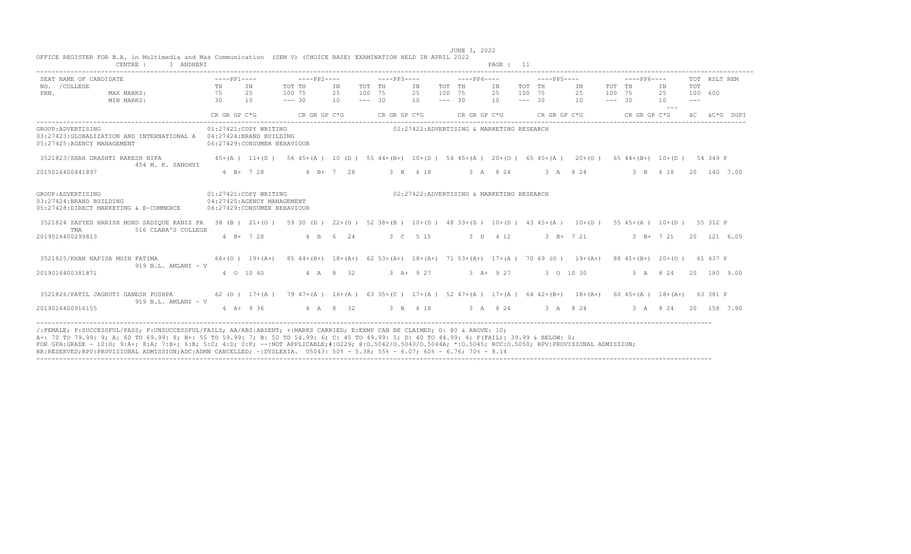| 3 ANDHERI<br>CENTRE :                                                                                                    |                               |                       |                                                                                                                |                |                              |              |                |                              |              | PAGE: 11                                  |                                             |           |                              |                              |              |                                 |                                 |              |              |
|--------------------------------------------------------------------------------------------------------------------------|-------------------------------|-----------------------|----------------------------------------------------------------------------------------------------------------|----------------|------------------------------|--------------|----------------|------------------------------|--------------|-------------------------------------------|---------------------------------------------|-----------|------------------------------|------------------------------|--------------|---------------------------------|---------------------------------|--------------|--------------|
| SEAT NAME OF CANDIDATE<br>NO. / COLLEGE<br>PRN.<br>MAX MARKS:<br>MIN MARKS:                                              | $---PP1---$<br>TH<br>75<br>30 | IN<br>25<br>10        | $---PP2---$<br>TOT TH<br>100 75<br>$--- 30$                                                                    | IN<br>25<br>10 | TOT TH<br>100 75<br>$--- 30$ | $---PP3---$  | IN<br>25<br>10 | TOT TH<br>100 75<br>$--- 30$ | $---PP4---$  | IN<br>25<br>10                            | $---PP5---$<br>TOT TH<br>100 75<br>$--- 30$ |           | IN<br>25<br>10               | TOT TH<br>100 75<br>$--- 30$ | $---PP6---$  | IN<br>25<br>10<br>$\frac{1}{2}$ | TOT<br>100 600<br>$\frac{1}{2}$ | TOT RSLT REM |              |
|                                                                                                                          | CR GR GP C*G                  |                       | CR GR GP C*G                                                                                                   |                |                              | CR GR GP C*G |                |                              | CR GR GP C*G |                                           | CR GR GP C*G                                |           |                              |                              | CR GR GP C*G |                                 |                                 |              | äC äC*G SGPI |
| GROUP: ADVERTISING<br>03:27423: GLOBALIZATION AND INTERNATIONAL A 04:27424: BRAND BUILDING<br>05:27425:AGENCY MANAGEMENT |                               | 01:27421:COPY WRITING | 06:27429: CONSUMER BEHAVIOUR                                                                                   |                |                              |              |                |                              |              | 02:27422:ADVERTISING & MARKETING RESEARCH |                                             |           |                              |                              |              |                                 |                                 |              |              |
| 3521823/SHAH DRASHTI RAKESH NIPA                                                                                         |                               | $45+(A)$ 11+(D)       | 56 45+(A) 10 (D) 55 44+ (B+) 10+ (D) 54 45+ (A) 20+ (O) 65 45+ (A) 20+ (O)                                     |                |                              |              |                |                              |              |                                           |                                             |           |                              |                              |              | 65 44 + (B +) 10 + (D) 54 349 P |                                 |              |              |
| 454 M. K. SANGHVI<br>2015016400441897                                                                                    |                               | $4 B+ 7 28$           |                                                                                                                | $4$ B+ 7 28    |                              |              | 3 B 6 18       |                              |              | 3 A 8 24                                  |                                             |           | 3 A 8 2 4                    |                              | 3 B 6 18     |                                 |                                 |              | 20 140 7.00  |
| GROUP: ADVERTISING<br>03:27424:BRAND BUILDING<br>05:27428:DIRECT MARKETING & E-COMMERCE                                  |                               | 01:27421:COPY WRITING | 04:27425:AGENCY MANAGEMENT<br>06:27429: CONSUMER BEHAVIOUR                                                     |                |                              |              |                |                              |              | 02:27422:ADVERTISING & MARKETING RESEARCH |                                             |           |                              |                              |              |                                 |                                 |              |              |
| 3521824 SAYYED HARISH MOHD SADIOUE KANIZ FA 38 (B) 21+(O)<br>TMA                                                         |                               |                       | 59 30 (D) $22+(0)$ 52 38+(B) $10+(D)$ 48 33+(D) $10+(D)$ 43 45+(A) $10+(D)$ 55 45+(A) $10+(D)$ 55 312 P        |                |                              |              |                |                              |              |                                           |                                             |           |                              |                              |              |                                 |                                 |              |              |
| 516 CLARA'S COLLEGE<br>2019016400299813                                                                                  |                               | $4 B+ 7 28$           |                                                                                                                | 4 B 6 24       |                              |              | 3 C 5 15       |                              |              | 3 D 4 12                                  |                                             |           | $3 \text{ B} + 7 \text{ 21}$ |                              |              | $3 B+ 7 21$                     |                                 |              | 20 121 6.05  |
| 3521825/KHAN NAFISA MOIN FATIMA<br>$919 B.L. AMLANI - V$                                                                 |                               | $66+(0)$ 19+(A+)      | 85 44+(B+) 18+(A+) 62 53+(A+) 18+(A+) 71 53+(A+) 17+(A) 70 69 (O) 19+(A+) 88 41+(B+) 20+(O) 61 437 P           |                |                              |              |                |                              |              |                                           |                                             |           |                              |                              |              |                                 |                                 |              |              |
| 2019016400381871                                                                                                         |                               | 4 0 10 40             |                                                                                                                | 4 A 8 32       |                              |              | $3 + 927$      |                              |              | 3 A+ 9 27                                 |                                             | 3 0 10 30 |                              |                              |              | 3 A 8 24                        |                                 |              | 20 180 9.00  |
| 3521826/PATIL JAGRUTI GANESH PUSHPA<br>$919 B.L. AMLANI - V$                                                             |                               |                       | 62 (0) 17+(A) 79 47+(A) 16+(A) 63 35+(C) 17+(A) 52 47+(A) 17+(A) 64 42+(B+) 18+(A+) 60 45+(A) 18+(A+) 63 381 P |                |                              |              |                |                              |              |                                           |                                             |           |                              |                              |              |                                 |                                 |              |              |
| 2019016400916155                                                                                                         |                               | $4 A+ 9 36$           | 4 A 8 32                                                                                                       |                |                              |              |                |                              |              | 3 B 6 18 3 A 8 24 3 A 8 24                |                                             |           |                              |                              |              | 3 A 8 24 20 158 7.90            |                                 |              |              |

----------------------------------------------------------------------------------------------------------------------------------------------------------------------------------

 JUNE 3, 2022 OFFICE REGISTER FOR B.A. in Multimedia and Mas Communication (SEM V) (CHOICE BASE) EXAMINATION HELD IN APRIL 2022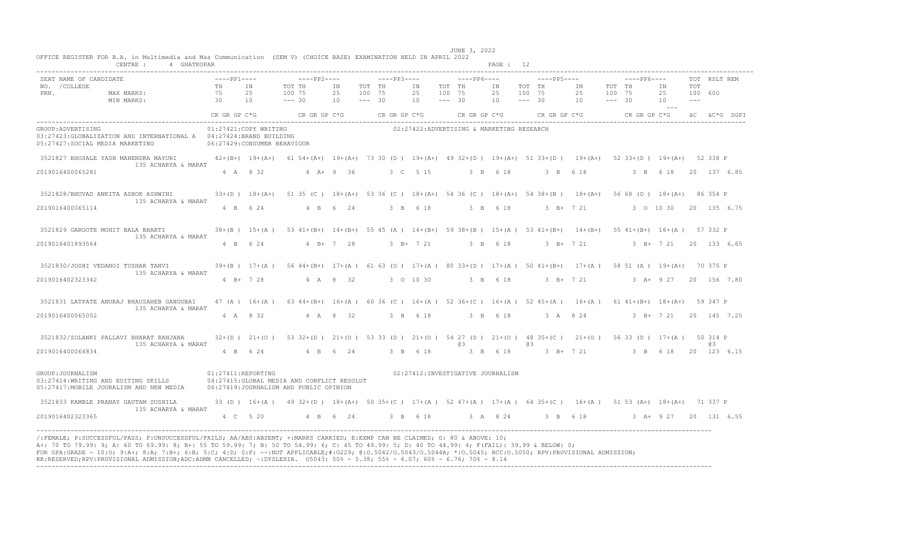| OFFICE REGISTER FOR B.A. in Multimedia and Mas Communication (SEM V) (CHOICE BASE) EXAMINATION HELD IN APRIL 2022<br>CENTRE: 4 GHATKOPAR                                                                                                                                                                                                                                                                                                                                                                                                                                        |                    |                       |                                                                                                                                 |                              |  |                              |                                           | PAGE : 12 |    |                                                        |                              |                                                            |                                  |                |              |  |
|---------------------------------------------------------------------------------------------------------------------------------------------------------------------------------------------------------------------------------------------------------------------------------------------------------------------------------------------------------------------------------------------------------------------------------------------------------------------------------------------------------------------------------------------------------------------------------|--------------------|-----------------------|---------------------------------------------------------------------------------------------------------------------------------|------------------------------|--|------------------------------|-------------------------------------------|-----------|----|--------------------------------------------------------|------------------------------|------------------------------------------------------------|----------------------------------|----------------|--------------|--|
| SEAT NAME OF CANDIDATE<br>NO. /COLLEGE MAX MARKS: TH IN TOT TH<br>PRN. MAX MARKS: 75 25 100 75<br>MIN MARKS: 30 10 --- 30                                                                                                                                                                                                                                                                                                                                                                                                                                                       |                    |                       | TOT TH IN                                                                                                                       | 25 100 75<br>$10 - - - - 30$ |  | 25 100 75<br>$10 - - - - 30$ |                                           |           |    | 25 100 75 25 100 75<br>$10 \t--- \t30 \t10 \t--- \t30$ |                              | $---PP5---$<br>TOT THE IN TOT THE IN TOT THE IN TOT THE IN | 25 100 600<br>10<br>$\sim$ $  -$ | TOT<br>$- - -$ | TOT RSLT REM |  |
|                                                                                                                                                                                                                                                                                                                                                                                                                                                                                                                                                                                 |                    |                       | CR GR GP C*G CR GR GP C*G CR GR GP C*G CR GR GP C*G CR GR GP C*G CR GR GP C*G CR GR GP C*G ÅC ÅG SGP I                          |                              |  |                              |                                           |           |    |                                                        |                              |                                                            |                                  |                |              |  |
| GROUP: ADVERTISING<br>03:27423: GLOBALIZATION AND INTERNATIONAL A 04:27424: BRAND BUILDING<br>05:27427:SOCIAL MEDIA MARKETING 06:27429:CONSUMER BEHAVIOUR                                                                                                                                                                                                                                                                                                                                                                                                                       |                    | 01:27421:COPY WRITING |                                                                                                                                 |                              |  |                              | 02:27422:ADVERTISING & MARKETING RESEARCH |           |    |                                                        |                              |                                                            |                                  |                |              |  |
| 3521827 BHOSALE YASH MAHENDRA MAYURI 42+(B+) 19+(A+) 61 54+(A+) 19+(A+) 73 30 (D ) 19+(A+) 49 32+(D ) 19+(A+) 51 33+(D ) 19+(A+) 52 33+(D ) 19+(A+) 52 338 P                                                                                                                                                                                                                                                                                                                                                                                                                    |                    |                       |                                                                                                                                 |                              |  |                              |                                           |           |    |                                                        |                              |                                                            |                                  |                |              |  |
| 135 ACHARYA & MARAT<br>2019016400065281                                                                                                                                                                                                                                                                                                                                                                                                                                                                                                                                         |                    | 4 A 8 32              |                                                                                                                                 | $4 A + 9 36$                 |  | 3 C 5 15                     | 3 B 6 18                                  |           |    | 3 B 6 18                                               |                              |                                                            | 3 B 6 18 20 137 6.85             |                |              |  |
| 3521828/BHUVAD ANKITA ASHOK ASHWINI<br>135 ACHARYA & MARAT                                                                                                                                                                                                                                                                                                                                                                                                                                                                                                                      |                    |                       | 33+(D) 18+(A+) 51 35 (C) 18+(A+) 53 36 (C) 18+(A+) 54 36 (C) 18+(A+) 54 38+(B) 18+(A+) 56 68 (O) 18+(A+) 86 354 P               |                              |  |                              |                                           |           |    |                                                        |                              |                                                            |                                  |                |              |  |
| 2019016400065114                                                                                                                                                                                                                                                                                                                                                                                                                                                                                                                                                                |                    | 4 B 6 24              | 4 B 6 24                                                                                                                        |                              |  |                              |                                           |           |    |                                                        |                              | 3 B 6 18 3 B 6 18 3 B + 7 21 3 0 10 30 20 135 6.75         |                                  |                |              |  |
| 3521829 GARGOTE MOHIT BALA BHARTI<br>135 ACHARYA & MARAT                                                                                                                                                                                                                                                                                                                                                                                                                                                                                                                        |                    |                       | 38+(B) 15+(A) 53 41+(B+) 14+(B+) 55 45 (A) 14+(B+) 59 38+(B) 15+(A) 53 41+(B+) 14+(B+) 55 41+(B+) 16+(A) 57 332 P               |                              |  |                              |                                           |           |    |                                                        |                              |                                                            |                                  |                |              |  |
| 2019016401893564                                                                                                                                                                                                                                                                                                                                                                                                                                                                                                                                                                |                    |                       | 4 B 6 24 4 B + 7 28                                                                                                             |                              |  |                              |                                           |           |    |                                                        |                              | 3 B+ 7 21 3 B 6 18 3 B+ 7 21 3 B+ 7 21 20 133 6.65         |                                  |                |              |  |
| 3521830/JOSHI VEDANGI TUSHAR TANVI 39+(B) 17+(A) 56 44+(B+) 17+(A) 61 63 (O) 17+(A) 80 33+(D) 17+(A) 50 41+(B+) 17+(A) 58 51 (A) 19+(A+) 70 375 P<br>135 ACHARYA & MARAT                                                                                                                                                                                                                                                                                                                                                                                                        |                    |                       |                                                                                                                                 |                              |  |                              |                                           |           |    |                                                        |                              |                                                            |                                  |                |              |  |
| 2019016402323342                                                                                                                                                                                                                                                                                                                                                                                                                                                                                                                                                                |                    |                       | 4 B + 7 28 4 A 8 32 3 0 10 30                                                                                                   |                              |  |                              |                                           |           |    |                                                        |                              | 3 B 6 18 3 B + 7 21 3 A + 9 27 20 156 7.80                 |                                  |                |              |  |
| 3521831 LATPATE ANURAJ BHAUSAHEB GANGUBAI<br>135 ACHARYA & MARAT                                                                                                                                                                                                                                                                                                                                                                                                                                                                                                                |                    |                       | $47(A)$ $16+(A)$ $634+(B+)$ $16+(A)$ $6036(C)$ $16+(A)$ $5236+(C)$ $16+(A)$ $5245+(A)$ $16+(A)$ $6141+(B+)$ $18+(A+)$ $59347$ P |                              |  |                              |                                           |           |    |                                                        |                              |                                                            |                                  |                |              |  |
| 2019016400065002                                                                                                                                                                                                                                                                                                                                                                                                                                                                                                                                                                |                    | 4 A 8 32              |                                                                                                                                 | 4 A 8 32                     |  | 3 B 6 18                     |                                           | 3 B 6 18  |    |                                                        | $3 \quad A \quad 8 \quad 24$ |                                                            | 3 B + 7 21 20 145 7.25           |                |              |  |
| 3521832/SOLANKI PALLAVI BHARAT RANJANA<br>135 ACHARYA & MARAT                                                                                                                                                                                                                                                                                                                                                                                                                                                                                                                   |                    |                       | 32+(D) 21+(O) 53 32+(D) 21+(O) 53 33 (D) 21+(O) 54 27 (D) 21+(O) 48 35+(C) 21+(O) 56 33 (D) 17+(A) 50 314 P                     |                              |  |                              | 63                                        |           | @3 |                                                        |                              |                                                            |                                  |                | 63           |  |
| 2019016400064834                                                                                                                                                                                                                                                                                                                                                                                                                                                                                                                                                                |                    |                       | 4 B 6 24 4 B 6 24                                                                                                               |                              |  | 3 B 6 18                     |                                           |           |    |                                                        |                              | 3 B 6 18 3 B + 7 21 3 B 6 18 20 123 6 15                   |                                  |                |              |  |
| GROUP: JOURNALISM<br>03:27414:WRITING AND EDITING SKILLS<br>05:27417:MOBILE JOURALISM AND NEW MEDIA 06:27419:JOURNALISM AND PUBLIC OPINION                                                                                                                                                                                                                                                                                                                                                                                                                                      | 01:27411:REPORTING |                       | 04:27415: GLOBAL MEDIA AND CONFLICT RESOLUT                                                                                     |                              |  |                              | 02:27412:INVESTIGATIVE JOURNALISM         |           |    |                                                        |                              |                                                            |                                  |                |              |  |
| 3521833 KAMBLE PRANAY GAUTAM SUSHILA 33 (D) 16+(A) 49 32+(D) 18+(A+) 50 35+(C) 17+(A) 52 47+(A) 17+(A) 64 35+(C) 16+(A) 51 53 (A+) 18+(A+) 71 337 P<br>135 ACHARYA & MARAT                                                                                                                                                                                                                                                                                                                                                                                                      |                    |                       |                                                                                                                                 |                              |  |                              |                                           |           |    |                                                        |                              |                                                            |                                  |                |              |  |
| 2019016402323365                                                                                                                                                                                                                                                                                                                                                                                                                                                                                                                                                                |                    |                       | 4 C 5 20 4 B 6 24 3 B 6 18 3 A 8 24 3 B 6 18 3 A + 9 27 20 131 6.55                                                             |                              |  |                              |                                           |           |    |                                                        |                              |                                                            |                                  |                |              |  |
| /:FEMALE; P:SUCCESSFUL/PASS; F:UNSUCCESSFUL/FAILS; AA/ABS:ABSENT; +:MARKS CARRIED; E:EXMP CAN BE CLAIMED; O: 80 & ABOVE: 10;<br>A+: 70 TO 79.99: 9; A: 60 TO 69.99: 8; B+: 55 TO 59.99: 7; B: 50 TO 54.99: 6; C: 45 TO 49.99: 5; D: 40 TO 44.99: 4; F(FAIL): 39.99 & BELOW: 0;<br>FOR GPA:GRADE - 10:0; 9:A+; 8:A; 7:B+; 6:B; 5:C; 4:D; 0:F; --:NOT APPLICABLE;#:0229; 0:0.5042/0.5043/0.5044A; *:0.5045; RCC:0.5050; RPV:PROVISIONAL ADMISSION;<br>RR:RESERVED;RPV:PROVISIONAL ADMISSION;ADC:ADMN CANCELLED; ~:DYSLEXIA. 05043: 50% - 5.38; 55% - 6.07; 60% - 6.76; 70% - 8.14 |                    |                       |                                                                                                                                 |                              |  |                              |                                           |           |    |                                                        |                              |                                                            |                                  |                |              |  |

JUNE 3, 2022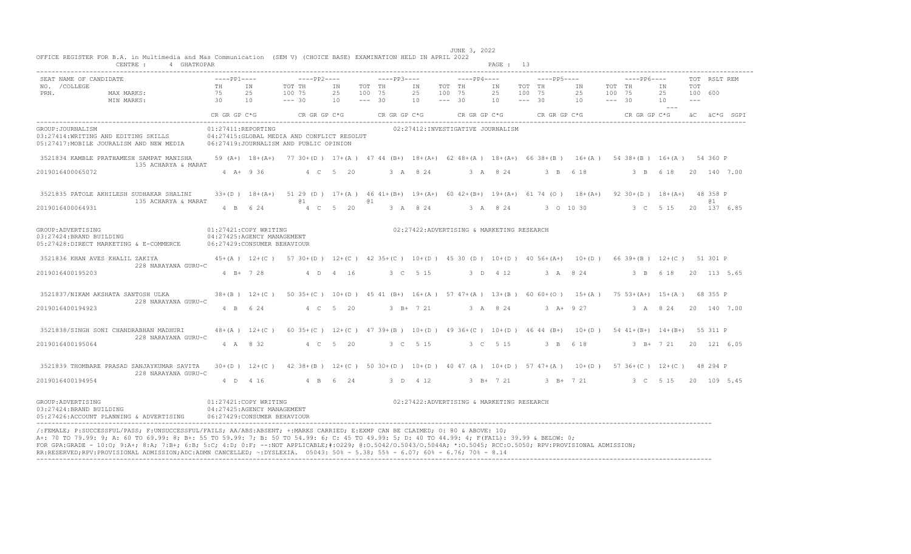| CENTRE :                                                                                             | 4 GHATKOPAR                 |             |                                                                                     |                                                                                                                  |                |      |                                             |                |                              |                                           | PAGE : 13      |                              |             |                |                    |                              |                           |                         |              |              |
|------------------------------------------------------------------------------------------------------|-----------------------------|-------------|-------------------------------------------------------------------------------------|------------------------------------------------------------------------------------------------------------------|----------------|------|---------------------------------------------|----------------|------------------------------|-------------------------------------------|----------------|------------------------------|-------------|----------------|--------------------|------------------------------|---------------------------|-------------------------|--------------|--------------|
| SEAT NAME OF CANDIDATE<br>NO. / COLLEGE<br>PRN.<br>MAX MARKS:<br>MIN MARKS:                          | TH<br>75<br>$\overline{30}$ | $---PP1---$ | IN<br>25<br>10                                                                      | $---PP2---$<br>TOT TH<br>100 75<br>$--- 30$                                                                      | IN<br>25<br>10 |      | $---PP3---$<br>TOT TH<br>100 75<br>$--- 30$ | IN<br>25<br>10 | TOT TH<br>100 75<br>$--- 30$ | $---PP4---$                               | IN<br>25<br>10 | TOT TH<br>100 75<br>$--- 30$ | $---PP5---$ | IN<br>25<br>10 | 100 75<br>$--- 30$ | $---PP6---$<br>TOT TH        | IN<br>25<br>10<br>$- - -$ | TOT<br>100 600<br>$  -$ | TOT RSLT REM |              |
|                                                                                                      |                             |             |                                                                                     | CRGRGPC*G CRGRGPC*G                                                                                              |                |      | CR GR GP C*G                                |                |                              | $CR$ GR GP $C*G$                          |                |                              |             | CR GR GP C*G   |                    | CR GR GP C*G                 |                           |                         |              | äC äC*G SGPI |
| GROUP: JOURNALISM<br>03:27414:WRITING AND EDITING SKILLS<br>05:27417: MOBILE JOURALISM AND NEW MEDIA |                             |             | 01:27411:REPORTING                                                                  | 04:27415: GLOBAL MEDIA AND CONFLICT RESOLUT<br>06:27419:JOURNALISM AND PUBLIC OPINION                            |                |      |                                             |                |                              | 02:27412: INVESTIGATIVE JOURNALISM        |                |                              |             |                |                    |                              |                           |                         |              |              |
| 3521834 KAMBLE PRATHAMESH SAMPAT MANISHA                                                             |                             |             | 59 $(A+)$ 18+ $(A+)$                                                                | 77 30+(D) 17+(A) 47 44 (B+) 18+(A+) 62 48+(A) 18+(A+) 66 38+(B) 16+(A) 54 38+(B) 16+(A) 54 360 P                 |                |      |                                             |                |                              |                                           |                |                              |             |                |                    |                              |                           |                         |              |              |
| 135 ACHARYA & MARAT<br>2019016400065072                                                              |                             |             | $4 A+ 9 36$                                                                         |                                                                                                                  | 4 C 5 20       |      |                                             | 3 A 8 24       |                              |                                           | 3 A 8 24       |                              | 3 B 6 18    |                |                    | 3 B 6 18                     |                           |                         |              | 20 140 7.00  |
| 3521835 PATOLE AKHILESH SUDHAKAR SHALINI<br>135 ACHARYA & MARAT                                      |                             |             | $33+(D)$ 18+(A+)                                                                    | 51 29 (D) $17+(A)$ 46 41+ (B+) $19+(A+)$ 60 42+ (B+) 19+ (A+) 61 74 (O) 18+ (A+)<br><b>Q</b> 1                   |                | (a 1 |                                             |                |                              |                                           |                |                              |             |                |                    | 92 $30+(D)$ 18+(A+) 48 358 P |                           |                         | <b>a</b> 1   |              |
| 2019016400064931                                                                                     |                             |             | 4 B 6 24                                                                            |                                                                                                                  | 4 C 5 20       |      |                                             | 3 A 8 24       |                              | 3 A 8 24                                  |                |                              |             | 3 0 10 30      |                    | 3 C 5 15                     |                           |                         |              | 20 137 6.85  |
| GROUP: ADVERTISING<br>03:27424:BRAND BUILDING<br>05:27428:DIRECT MARKETING & E-COMMERCE              |                             |             | 01:27421:COPY WRITING<br>04:27425:AGENCY MANAGEMENT<br>06:27429: CONSUMER BEHAVIOUR |                                                                                                                  |                |      |                                             |                |                              | 02:27422:ADVERTISING & MARKETING RESEARCH |                |                              |             |                |                    |                              |                           |                         |              |              |
| 3521836 KHAN AVES KHALIL ZAKIYA                                                                      |                             |             | $45+(A)$ 12+(C)                                                                     | 57 30 + (D) 12 + (C) 42 35 + (C) 10 + (D) 45 30 (D) 10 + (D) 40 56 + (A+) 10 + (D) 66 39 + (B) 12 + (C) 51 301 P |                |      |                                             |                |                              |                                           |                |                              |             |                |                    |                              |                           |                         |              |              |
| 228 NARAYANA GURU-C<br>2019016400195203                                                              |                             |             | $4 B+ 7 28$                                                                         |                                                                                                                  | 4 D 4 16       |      |                                             | 3 C 5 15       |                              |                                           | 3 D 4 12       |                              |             | 3 A 8 24       |                    | $\beta$ B                    | 6 18                      |                         |              | 20 113 5.65  |
| 3521837/NIKAM AKSHATA SANTOSH ULKA<br>228 NARAYANA GURU-C                                            |                             |             | $38+(B)$ $12+(C)$                                                                   | 50 35+(C) 10+(D) 45 41 (B+) 16+(A) 57 47+(A) 13+(B) 60 60+(O) 15+(A) 75 53+(A+) 15+(A) 68 355 P                  |                |      |                                             |                |                              |                                           |                |                              |             |                |                    |                              |                           |                         |              |              |
| 2019016400194923                                                                                     |                             |             | 4 B 6 24                                                                            |                                                                                                                  | 4 C 5 20       |      |                                             | $3 B+ 7 21$    |                              |                                           | 3 A 8 24       |                              |             | 3 A + 9 27     |                    | 3 A 8 24                     |                           |                         |              | 20 140 7.00  |
| 3521838/SINGH SONI CHANDRABHAN MADHURI<br>228 NARAYANA GURU-C                                        |                             |             | $48+(A)$ 12+(C)                                                                     | 60 35+(C) 12+(C) 47 39+(B) 10+(D) 49 36+(C) 10+(D) 46 44 (B+) 10+(D) 54 41+(B+) 14+(B+) 55 311 P                 |                |      |                                             |                |                              |                                           |                |                              |             |                |                    |                              |                           |                         |              |              |
| 2019016400195064                                                                                     |                             |             | 4 A 8 32                                                                            |                                                                                                                  | 4 C 5 20       |      |                                             | 3 C 5 15       |                              |                                           | 3 C 5 15       |                              | 3 B 6 18    |                |                    |                              | $3 \quad B+ 7 \quad 21$   |                         |              | 20 121 6.05  |
| 3521839 THOMBARE PRASAD SANJAYKUMAR SAVITA<br>228 NARAYANA GURU-C                                    |                             |             | $30+(D)$ 12+(C)                                                                     | $42$ 38+(B) 12+(C) 50 30+(D) 10+(D) 40 47 (A) 10+(D) 57 47+(A) 10+(D) 57 36+(C) 12+(C) 48 294 P                  |                |      |                                             |                |                              |                                           |                |                              |             |                |                    |                              |                           |                         |              |              |
| 2019016400194954                                                                                     |                             |             | 4 D 4 16                                                                            |                                                                                                                  | 4 B 6 24       |      |                                             | 3 D 4 12       |                              |                                           | 3 B+ 7 21      |                              |             | 3 B+ 7 21      |                    | 3 C 5 15                     |                           |                         |              | 20 109 5.45  |
| GROUP: ADVERTISING<br>03:27424:BRAND BUILDING<br>05:27426:ACCOUNT PLANNING & ADVERTISING             |                             |             | 01:27421:COPY WRITING<br>04:27425:AGENCY MANAGEMENT<br>06:27429:CONSUMER BEHAVIOUR  |                                                                                                                  |                |      |                                             |                |                              | 02:27422:ADVERTISING & MARKETING RESEARCH |                |                              |             |                |                    |                              |                           |                         |              |              |

 JUNE 3, 2022 OFFICE REGISTER FOR B.A. in Multimedia and Mas Communication (SEM V) (CHOICE BASE) EXAMINATION HELD IN APRIL 2022 CENTRE : 4 GHATKOPAR PAGE : 13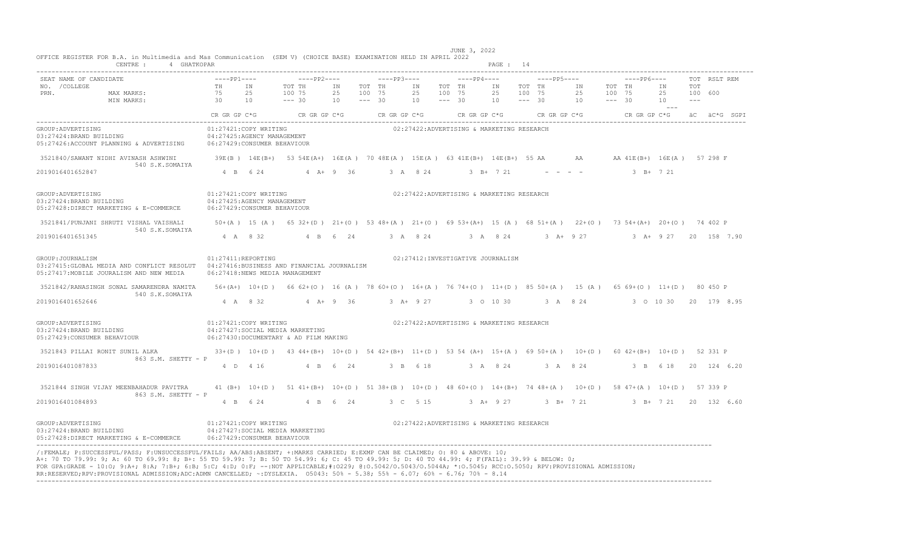|                                                                                                              | CENTRE: 4 GHATKOPAR |                                                      |                                                                                                                                                         |             |                    |              |             |                    |                                           | PAGE : 14   |                    |             |                               |                    |              |                       |            |              |              |
|--------------------------------------------------------------------------------------------------------------|---------------------|------------------------------------------------------|---------------------------------------------------------------------------------------------------------------------------------------------------------|-------------|--------------------|--------------|-------------|--------------------|-------------------------------------------|-------------|--------------------|-------------|-------------------------------|--------------------|--------------|-----------------------|------------|--------------|--------------|
| SEAT NAME OF CANDIDATE                                                                                       | $---PP1---$         |                                                      | $---PP2---$                                                                                                                                             |             |                    | $---PP3---$  |             |                    | $---PP4---$                               |             |                    | $---PP5---$ |                               |                    | $---PP6---$  |                       |            | TOT RSLT REM |              |
| NO. / COLLEGE                                                                                                | TH                  | TN                                                   | TOT TH                                                                                                                                                  | ΙN          | TOT TH             |              | IN          | TOT TH             |                                           | IN          | TOT TH             |             | IN                            |                    | TOT TH       | IN                    | <b>TOT</b> |              |              |
| PRN.<br>MAX MARKS:                                                                                           | 75<br>30            | 25<br>10                                             | 100 75<br>$--- 30$                                                                                                                                      | 25<br>10    | 100 75<br>$--- 30$ |              | 25<br>10    | 100 75<br>$--- 30$ |                                           | 25<br>10    | 100 75<br>$--- 30$ |             | 25<br>10                      | 100 75<br>$--- 30$ |              | 25<br>10              | $  -$      | 100 600      |              |
| MIN MARKS:                                                                                                   |                     |                                                      |                                                                                                                                                         |             |                    |              |             |                    |                                           |             |                    |             |                               |                    |              | $- - -$               |            |              |              |
|                                                                                                              | CR GR GP C*G        |                                                      | CR GR GP C*G                                                                                                                                            |             |                    | CR GR GP C*G |             |                    | CR GR GP C*G                              |             |                    |             | CR GR GP C*G                  |                    | CR GR GP C*G |                       |            |              | äC äC*G SGPI |
| GROUP: ADVERTISING<br>03:27424:BRAND BUILDING                                                                |                     | 01:27421:COPY WRITING<br>04:27425:AGENCY MANAGEMENT  |                                                                                                                                                         |             |                    |              |             |                    | 02:27422:ADVERTISING & MARKETING RESEARCH |             |                    |             |                               |                    |              |                       |            |              |              |
| 05:27426:ACCOUNT PLANNING & ADVERTISING                                                                      |                     | 06:27429:CONSUMER BEHAVIOUR                          |                                                                                                                                                         |             |                    |              |             |                    |                                           |             |                    |             |                               |                    |              |                       |            |              |              |
| 3521840/SAWANT NIDHI AVINASH ASHWINI<br>540 S.K.SOMAIYA                                                      |                     |                                                      | 39E(B) 14E(B+) 53 54E(A+) 16E(A) 70 48E(A) 15E(A) 63 41E(B+) 14E(B+) 55 AA AA AA 41E(B+) 16E(A) 57 298 F                                                |             |                    |              |             |                    |                                           |             |                    |             |                               |                    |              |                       |            |              |              |
| 2019016401652847                                                                                             |                     | 4 B 6 24                                             |                                                                                                                                                         | $4 A+9 36$  |                    |              | 3 A 8 24    |                    |                                           | $3 B+ 7 21$ |                    |             | the company of the company of |                    |              | $3 B+ 7 21$           |            |              |              |
| GROUP: ADVERTISING<br>03:27424:BRAND BUILDING                                                                |                     | 01:27421:COPY WRITING<br>04:27425:AGENCY MANAGEMENT  |                                                                                                                                                         |             |                    |              |             |                    | 02:27422:ADVERTISING & MARKETING RESEARCH |             |                    |             |                               |                    |              |                       |            |              |              |
| 05:27428:DIRECT MARKETING & E-COMMERCE                                                                       |                     | 06:27429: CONSUMER BEHAVIOUR                         |                                                                                                                                                         |             |                    |              |             |                    |                                           |             |                    |             |                               |                    |              |                       |            |              |              |
| 3521841/PUNJANI SHRUTI VISHAL VAISHALI<br>540 S.K.SOMAIYA                                                    |                     |                                                      | 50+(A) 15 (A) 65 32+(D) 21+(O) 53 48+(A) 21+(O) 69 53+(A+) 15 (A) 68 51+(A) 22+(O) 73 54+(A+) 20+(O) 74 402 P                                           |             |                    |              |             |                    |                                           |             |                    |             |                               |                    |              |                       |            |              |              |
| 2019016401651345                                                                                             |                     | 4 A 8 32                                             |                                                                                                                                                         | 4 B 6 24    |                    |              | 3 A 8 24    |                    |                                           | 3 A 8 24    |                    |             | 3 A+ 9 27                     |                    |              | 3 A+ 9 27             |            | 20 158 7.90  |              |
| GROUP: JOURNALISM<br>03:27415: GLOBAL MEDIA AND CONFLICT RESOLUT<br>05:27417: MOBILE JOURALISM AND NEW MEDIA | 01:27411:REPORTING  |                                                      | 04:27416:BUSINESS AND FINANCIAL JOURNALISM<br>06:27418:NEWS MEDIA MANAGEMENT                                                                            |             |                    |              |             |                    | 02:27412: INVESTIGATIVE JOURNALISM        |             |                    |             |                               |                    |              |                       |            |              |              |
| 3521842/RANASINGH SONAL SAMARENDRA NAMITA<br>540 S.K.SOMAIYA                                                 |                     |                                                      | 56+(A+) 10+(D) 66 62+(O) 16 (A) 78 60+(O) 16+(A) 76 74+(O) 11+(D) 85 50+(A) 15 (A) 65 69+(O) 11+(D) 80 450 P                                            |             |                    |              |             |                    |                                           |             |                    |             |                               |                    |              |                       |            |              |              |
| 2019016401652646                                                                                             |                     | 4 A 8 32                                             |                                                                                                                                                         | $4$ A+ 9 36 |                    |              | $3 A+ 9 27$ |                    |                                           | 3 0 10 30   |                    |             | 3 A 8 24                      |                    |              | 3 0 10 30             |            | 20 179 8.95  |              |
| GROUP: ADVERTISING                                                                                           |                     | 01:27421:COPY WRITING                                |                                                                                                                                                         |             |                    |              |             |                    | 02:27422:ADVERTISING & MARKETING RESEARCH |             |                    |             |                               |                    |              |                       |            |              |              |
| 03:27424:BRAND BUILDING<br>05:27429: CONSUMER BEHAVIOUR                                                      |                     |                                                      | 04:27427:SOCIAL MEDIA MARKETING<br>06:27430:DOCUMENTARY & AD FILM MAKING                                                                                |             |                    |              |             |                    |                                           |             |                    |             |                               |                    |              |                       |            |              |              |
| 3521843 PILLAI RONIT SUNIL ALKA<br>863 S.M. SHETTY - P                                                       |                     |                                                      | $33+(D)$ $10+(D)$ $43$ $44+(B+)$ $10+(D)$ $54$ $42+(B+)$ $11+(D)$ $53$ $54$ $(A+)$ $15+(A)$ $69$ $50+(A)$ $10+(D)$ $60$ $42+(B+)$ $10+(D)$ $52$ $331$ P |             |                    |              |             |                    |                                           |             |                    |             |                               |                    |              |                       |            |              |              |
| 2019016401087833                                                                                             |                     | 4 D 4 16                                             |                                                                                                                                                         | 4 B 6 24    |                    |              | 3 B 6 18    |                    |                                           | 3 A 8 24    |                    |             | 3 A 8 24                      |                    |              | 3 B 6 18              |            | 20 124 6.20  |              |
| 3521844 SINGH VIJAY MEENBAHADUR PAVITRA<br>863 S.M. SHETTY - P                                               |                     |                                                      | 41 (B+) 10+(D) 51 41+(B+) 10+(D) 51 38+(B) 10+(D) 48 60+(O) 14+(B+) 74 48+(A) 10+(D) 58 47+(A) 10+(D) 57 339 P                                          |             |                    |              |             |                    |                                           |             |                    |             |                               |                    |              |                       |            |              |              |
| 2019016401084893                                                                                             |                     | 4 B 6 24                                             |                                                                                                                                                         | 4 B 6 24    |                    |              | 3 C 5 15    |                    |                                           | $3 A+ 9 27$ |                    |             | $3$ B+ $7$ 21                 |                    |              | 3 B+ 7 21 20 132 6.60 |            |              |              |
| GROUP: ADVERTISING<br>03:27424:BRAND BUILDING<br>05:27428:DIRECT MARKETING & E-COMMERCE                      |                     | 01:27421:COPY WRITING<br>06:27429:CONSUMER BEHAVIOUR | 04:27427:SOCIAL MEDIA MARKETING                                                                                                                         |             |                    |              |             |                    | 02:27422:ADVERTISING & MARKETING RESEARCH |             |                    |             |                               |                    |              |                       |            |              |              |

----------------------------------------------------------------------------------------------------------------------------------------------------------------------------------

JUNE 3, 2022 OFFICE REGISTER FOR B.A. in Multimedia and Mas Communication (SEM V) (CHOICE BASE) EXAMINATION HELD IN APRIL 2022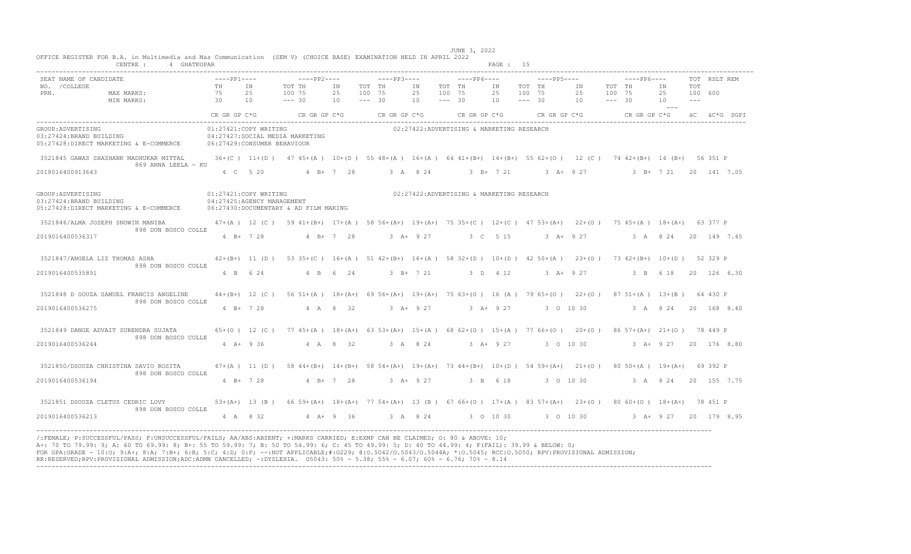| CENTRE : 4 GHATKOPAR                                                                                                                                                                                                                                                                                                                                                                                                                                                                                                                                                             |                                                     |                     |                                                                                                                    |                              |          |             |                       |                    |                                           | PAGE : 15                   |        |                          |           |                                        |                                                              |                                |                         |              |
|----------------------------------------------------------------------------------------------------------------------------------------------------------------------------------------------------------------------------------------------------------------------------------------------------------------------------------------------------------------------------------------------------------------------------------------------------------------------------------------------------------------------------------------------------------------------------------|-----------------------------------------------------|---------------------|--------------------------------------------------------------------------------------------------------------------|------------------------------|----------|-------------|-----------------------|--------------------|-------------------------------------------|-----------------------------|--------|--------------------------|-----------|----------------------------------------|--------------------------------------------------------------|--------------------------------|-------------------------|--------------|
| SEAT NAME OF CANDIDATE<br>NO. / COLLEGE<br>MAX MARKS:<br>PRN.<br>30 10<br>MIN MARKS:                                                                                                                                                                                                                                                                                                                                                                                                                                                                                             | $---PP1---$<br>TH IN<br>75 25                       |                     | $---PP2---$<br>TOT TH<br>100 75<br>$--- 30$                                                                        | IN TOT TH<br>25 100 75<br>10 | $--- 30$ | $---PP3---$ | IN TOT TH<br>25<br>10 | 100 75<br>$--- 30$ | $---PP4---$                               | IN<br>25<br>$10 - - - - 30$ | 100 75 | $---PP5---$<br>TOT TH IN |           | TOT TH<br>25 100 75<br>$10 - - - - 30$ | -----PP6----                                                 | IN<br>25<br>10<br>$\sim$ $  -$ | TOT<br>100 600<br>$---$ | TOT RSLT REM |
|                                                                                                                                                                                                                                                                                                                                                                                                                                                                                                                                                                                  | CR GR GP C*G                                        |                     | $CR$ GR GP $C*G$ CR GR GP $C*G$                                                                                    |                              |          |             |                       |                    | CR GR GP C*G                              |                             |        |                          |           |                                        | CRGRGPC*G CRGRGPC*G äC äC*GSGPI                              |                                |                         |              |
| GROUP: ADVERTISING<br>03:27424:BRAND BUILDING<br>05:27428:DIRECT MARKETING & E-COMMERCE 06:27429:CONSUMER BEHAVIOUR                                                                                                                                                                                                                                                                                                                                                                                                                                                              |                                                     |                     | 01:27421:COPY WRITING<br>04:27427:SOCIAL MEDIA MARKETING                                                           |                              |          |             |                       |                    | 02:27422:ADVERTISING & MARKETING RESEARCH |                             |        |                          |           |                                        |                                                              |                                |                         |              |
| 3521845 GAWAS SHASHANK MADHUKAR MITTAL<br>869 ANNA LEELA - KU                                                                                                                                                                                                                                                                                                                                                                                                                                                                                                                    |                                                     |                     | 36+(C) 11+(D) 47 45+(A) 10+(D) 55 48+(A) 16+(A) 64 41+(B+) 14+(B+) 55 62+(O) 12 (C) 74 42+(B+) 14 (B+) 56 351 P    |                              |          |             |                       |                    |                                           |                             |        |                          |           |                                        |                                                              |                                |                         |              |
| 2018016400913643                                                                                                                                                                                                                                                                                                                                                                                                                                                                                                                                                                 |                                                     | 4 C 5 20            |                                                                                                                    |                              |          |             |                       |                    |                                           |                             |        |                          |           |                                        | 4 B+ 7 28 3 A 8 24 3 B+ 7 21 3 A+ 9 27 3 B+ 7 21 20 141 7 05 |                                |                         |              |
| GROUP: ADVERTISING<br>GROUP:ADVERTISING<br>03:27424:BRAND BUILDING<br>05:27428:DIRECT MARKETING & E-COMMERCE                                                                                                                                                                                                                                                                                                                                                                                                                                                                     | 01:27421:COPY WRITING<br>04:27425:AGENCY MANAGEMENT |                     | 06:27430:DOCUMENTARY & AD FILM MAKING                                                                              |                              |          |             |                       |                    | 02:27422:ADVERTISING & MARKETING RESEARCH |                             |        |                          |           |                                        |                                                              |                                |                         |              |
| 3521846/ALMA JOSEPH SNOWIN MANIBA<br>898 DON BOSCO COLLE                                                                                                                                                                                                                                                                                                                                                                                                                                                                                                                         |                                                     |                     | 47+(A) 12 (C) 59 41+(B+) 17+(A) 58 56+(A+) 19+(A+) 75 35+(C) 12+(C) 47 53+(A+) 22+(O) 75 45+(A) 18+(A+) 63 377 P   |                              |          |             |                       |                    |                                           |                             |        |                          |           |                                        |                                                              |                                |                         |              |
| 2019016400536317                                                                                                                                                                                                                                                                                                                                                                                                                                                                                                                                                                 |                                                     | 4 B + 7 28          |                                                                                                                    | $4$ R+ 7 28                  |          | $3 + 927$   |                       |                    |                                           |                             |        | 3 C 5 15 3 A + 9 27      |           |                                        | 3 A 8 24 20 149 7.45                                         |                                |                         |              |
| 3521847/ANGELA LIZ THOMAS ASHA<br>898 DON BOSCO COLLE                                                                                                                                                                                                                                                                                                                                                                                                                                                                                                                            |                                                     |                     | 42+(B+) 11 (D) 53 35+(C) 16+(A) 51 42+(B+) 16+(A) 58 32+(D) 10+(D) 42 50+(A) 23+(O) 73 42+(B+) 10+(D) 52 329 P     |                              |          |             |                       |                    |                                           |                             |        |                          |           |                                        |                                                              |                                |                         |              |
| 2019016400535891                                                                                                                                                                                                                                                                                                                                                                                                                                                                                                                                                                 |                                                     |                     | 4 B 6 24 4 B 6 24 3 B + 7 21 3 D 4 12 3 A + 9 27 3 B 6 18 20 126 6.30                                              |                              |          |             |                       |                    |                                           |                             |        |                          |           |                                        |                                                              |                                |                         |              |
| 3521848 D SOUZA SAMUEL FRANCIS ANGELINE<br>898 DON BOSCO COLLE                                                                                                                                                                                                                                                                                                                                                                                                                                                                                                                   |                                                     |                     | 44+(B+) 12 (C) 56 51+(A) 18+(A+) 69 56+(A+) 19+(A+) 75 63+(O) 16 (A) 79 65+(O) 22+(O) 87 51+(A) 13+(B) 64 430 P    |                              |          |             |                       |                    |                                           |                             |        |                          |           |                                        |                                                              |                                |                         |              |
| 2019016400536275                                                                                                                                                                                                                                                                                                                                                                                                                                                                                                                                                                 |                                                     | $4 B+ 7 28$         |                                                                                                                    | 4 A 8 32                     |          |             | $3 A+ 9 27$           |                    | $3 A+9 27$                                |                             |        |                          | 3 0 10 30 |                                        |                                                              | 3 A 8 24 20 168 8.40           |                         |              |
| 3521849 DANGE ADVAIT SURENDRA SUJATA<br>898 DON BOSCO COLLE                                                                                                                                                                                                                                                                                                                                                                                                                                                                                                                      |                                                     |                     | 65+(0) 12 (C) 77 45+(A) 18+(A+) 63 53+(A+) 15+(A) 68 62+(0) 15+(A) 77 66+(0) 20+(0) 86 57+(A+) 21+(0) 78 449 P     |                              |          |             |                       |                    |                                           |                             |        |                          |           |                                        |                                                              |                                |                         |              |
| 2019016400536244                                                                                                                                                                                                                                                                                                                                                                                                                                                                                                                                                                 |                                                     | $4 \text{ A} + 936$ | 4 A 8 32                                                                                                           |                              |          |             |                       |                    |                                           |                             |        |                          |           |                                        | 3 A 8 24 3 A + 9 27 3 O 10 30 3 A + 9 27 20 176 8.80         |                                |                         |              |
| 3521850/DSOUZA CHRISTINA SAVIO ROSITA<br>898 DON BOSCO COLLE                                                                                                                                                                                                                                                                                                                                                                                                                                                                                                                     |                                                     |                     | 47+(A) 11 (D) 58 44+(B+) 14+(B+) 58 54+(A+) 19+(A+) 73 44+(B+) 10+(D) 54 59+(A+) 21+(O) 80 50+(A) 19+(A+) 69 392 P |                              |          |             |                       |                    |                                           |                             |        |                          |           |                                        |                                                              |                                |                         |              |
| 2019016400536194                                                                                                                                                                                                                                                                                                                                                                                                                                                                                                                                                                 |                                                     | 4 B+ 7 28           |                                                                                                                    | $4 B+ 7 28$                  |          | $3 + 927$   |                       |                    | 3 B 6 18                                  |                             |        |                          |           |                                        | 3 0 10 30 3 A 8 24 20 155 7.75                               |                                |                         |              |
| 3521851 DSOUZA CLETUS CEDRIC LOVY<br>898 DON BOSCO COLLE                                                                                                                                                                                                                                                                                                                                                                                                                                                                                                                         |                                                     |                     | 53+(A+) 13 (B) 66 59+(A+) 18+(A+) 77 54+(A+) 13 (B) 67 66+(O) 17+(A) 83 57+(A+) 23+(O) 80 60+(O) 18+(A+) 78 451 P  |                              |          |             |                       |                    |                                           |                             |        |                          |           |                                        |                                                              |                                |                         |              |
| 2019016400536213                                                                                                                                                                                                                                                                                                                                                                                                                                                                                                                                                                 |                                                     |                     | 4 A 8 32 4 A+ 9 36 3 A 8 24 3 0 10 30 3 0 10 30 3 A+ 9 27 20 179 8.95                                              |                              |          |             |                       |                    |                                           |                             |        |                          |           |                                        |                                                              |                                |                         |              |
| /:FEMALE: P:SUCCESSFUL/PASS: F:UNSUCCESSFUL/FAILS: AA/ABS:ABSENT: +:MARKS CARRIED: E:EXMP CAN BE CLAIMED: 0: 80 & ABOVE: 10:<br>A+: 70 TO 79.99: 9; A: 60 TO 69.99: 8; B+: 55 TO 59.99: 7; B: 50 TO 54.99: 6; C: 45 TO 49.99: 5; D: 40 TO 44.99: 4; F(FAIL): 39.99 & BELOW: 0;<br>FOR GPA:GRADE - 10:0; 9:A+; 8:A; 7:B+; 6:B; 5:C; 4:D; 0:F; --:NOT APPLICABLE;#:0229; 0:0.5042/0.5043/0.5044A; *:0.5045; RCC:0.5050; RPV:PROVISIONAL ADMISSION;<br>RR:RESERVED;RPV:PROVISIONAL ADMISSION;ADC:ADMN CANCELLED; ~: DYSLEXIA. 05043: 50% - 5.38; 55% - 6.07; 60% - 6.76; 70% - 8.14 |                                                     |                     |                                                                                                                    |                              |          |             |                       |                    |                                           |                             |        |                          |           |                                        |                                                              |                                |                         |              |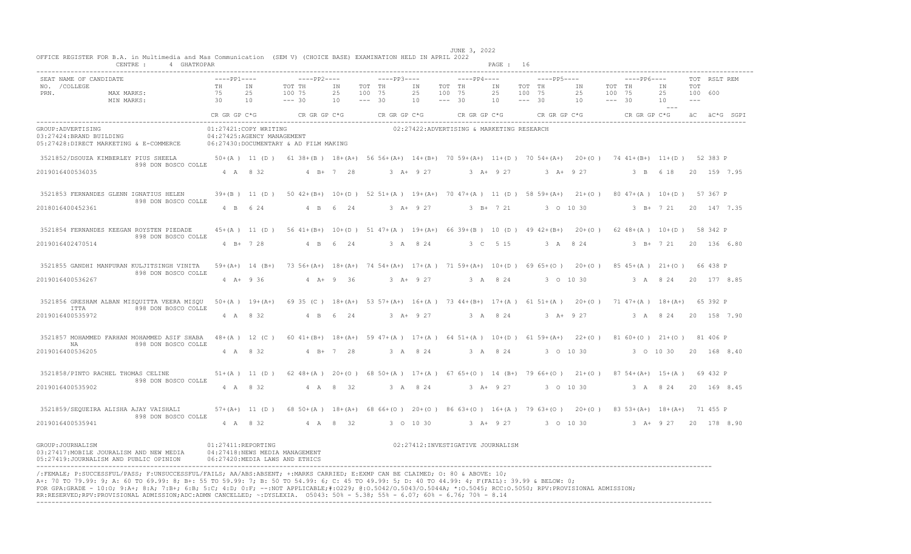| CENTRE :<br>4 GHATKOPAR                                                                                                                                                                                                                                                                                                                                                                                                                          |                                                     |                       |                                                                  |                |                                             |                |                                             | PAGE : 16                 |                                                               |                                                                                                                   |                                          |
|--------------------------------------------------------------------------------------------------------------------------------------------------------------------------------------------------------------------------------------------------------------------------------------------------------------------------------------------------------------------------------------------------------------------------------------------------|-----------------------------------------------------|-----------------------|------------------------------------------------------------------|----------------|---------------------------------------------|----------------|---------------------------------------------|---------------------------|---------------------------------------------------------------|-------------------------------------------------------------------------------------------------------------------|------------------------------------------|
| SEAT NAME OF CANDIDATE<br>NO. / COLLEGE<br>PRN.<br>MAX MARKS:<br>MIN MARKS:                                                                                                                                                                                                                                                                                                                                                                      | $---PP1---$<br>TH<br>75<br>30                       | IN<br>2.5<br>10       | $---PP2---$<br>TOT TH<br>100 75<br>$--- 30$                      | ΙN<br>25<br>10 | $---PP3---$<br>TOT TH<br>100 75<br>$--- 30$ | ΙN<br>25<br>10 | $---PP4---$<br>TOT TH<br>100 75<br>$--- 30$ | ΙN<br>25<br>10            | ----PP5----<br>TOT TH<br>IN<br>100 75<br>25<br>$--- 30$<br>10 | $---PP6---$<br>TOT TH<br>ΙN<br>100 75<br>25<br>$--- 30$<br>10<br>$- - -$                                          | TOT RSLT REM<br>TOT<br>100 600<br>$   -$ |
|                                                                                                                                                                                                                                                                                                                                                                                                                                                  | CR GR GP C*G                                        |                       | CRGRGPC*G                                                        |                | CR GR GP C*G                                |                | CR GR GP C*G                                |                           | CRGRGPC*G                                                     | CR GR GP C*G                                                                                                      | äC äC*G SGPI                             |
| GROUP: ADVERTISING<br>03:27424: BRAND BUILDING<br>05:27428:DIRECT MARKETING & E-COMMERCE                                                                                                                                                                                                                                                                                                                                                         | 01:27421:COPY WRITING<br>04:27425:AGENCY MANAGEMENT |                       | 06:27430:DOCUMENTARY & AD FILM MAKING                            |                |                                             |                | 02:27422:ADVERTISING & MARKETING RESEARCH   |                           |                                                               |                                                                                                                   |                                          |
| 3521852/DSOUZA KIMBERLEY PIUS SHEELA                                                                                                                                                                                                                                                                                                                                                                                                             |                                                     |                       |                                                                  |                |                                             |                |                                             |                           |                                                               | 50+(A) 11 (D) 61 38+(B) 18+(A+) 56 56+(A+) 14+(B+) 70 59+(A+) 11+(D) 70 54+(A+) 20+(O) 74 41+(B+) 11+(D) 52 383 P |                                          |
| 898 DON BOSCO COLLE<br>2019016400536035                                                                                                                                                                                                                                                                                                                                                                                                          |                                                     | 4 A 8 32              |                                                                  | 4 B+ 7 28      |                                             | $3 A+ 9 27$    |                                             | $3 A+ 9 27$               | $3 A+ 9 27$                                                   | 3 B 6 18                                                                                                          | 20 159 7.95                              |
| 3521853 FERNANDES GLENN IGNATIUS HELEN<br>898 DON BOSCO COLLE                                                                                                                                                                                                                                                                                                                                                                                    |                                                     |                       |                                                                  |                |                                             |                |                                             |                           |                                                               | 39+(B) 11 (D) 50 42+(B+) 10+(D) 52 51+(A) 19+(A+) 70 47+(A) 11 (D) 58 59+(A+) 21+(O) 80 47+(A) 10+(D) 57 367 P    |                                          |
| 2018016400452361                                                                                                                                                                                                                                                                                                                                                                                                                                 |                                                     | 4 B 6 24              |                                                                  | 4 B 6 24       |                                             | $3 A+ 9 27$    |                                             | $3$ B+ $7$ 21             | 3 0 10 30                                                     | $3$ B+ $7$ 21                                                                                                     | 20 147 7.35                              |
| 3521854 FERNANDES KEEGAN ROYSTEN PIEDADE<br>898 DON BOSCO COLLE                                                                                                                                                                                                                                                                                                                                                                                  |                                                     |                       |                                                                  |                |                                             |                |                                             |                           |                                                               | 45+(A) 11 (D) 56 41+(B+) 10+(D) 51 47+(A) 19+(A+) 66 39+(B) 10 (D) 49 42+(B+) 20+(O) 62 48+(A) 10+(D) 58 342 P    |                                          |
| 2019016402470514                                                                                                                                                                                                                                                                                                                                                                                                                                 |                                                     | $4$ B+ 7 28           |                                                                  | 4 B 6 24       |                                             | 3 A 8 24       |                                             | 3 C 5 15                  | 3 A 8 24                                                      |                                                                                                                   | 3 B+ 7 21 20 136 6.80                    |
| 3521855 GANDHI MANPURAN KULJITSINGH VINITA<br>898 DON BOSCO COLLE                                                                                                                                                                                                                                                                                                                                                                                |                                                     |                       |                                                                  |                |                                             |                |                                             |                           |                                                               | 59+(A+) 14 (B+) 73 56+(A+) 18+(A+) 74 54+(A+) 17+(A) 71 59+(A+) 10+(D) 69 65+(O) 20+(O) 85 45+(A) 21+(O) 66 438 P |                                          |
| 2019016400536267                                                                                                                                                                                                                                                                                                                                                                                                                                 |                                                     | $4 A+ 9 36$           |                                                                  | $4 A + 9 36$   |                                             | $3 + 927$      |                                             | 3 A 8 24                  | 3 0 10 30                                                     |                                                                                                                   | 3 A 8 24 20 177 8.85                     |
| 3521856 GRESHAM ALBAN MISOUITTA VEERA MISOU<br>898 DON BOSCO COLLE<br>TTTA                                                                                                                                                                                                                                                                                                                                                                       |                                                     | $50 + (A)$ 19+ $(A+)$ |                                                                  |                |                                             |                |                                             |                           |                                                               | 69 35 (C) 18+(A+) 53 57+(A+) 16+(A) 73 44+(B+) 17+(A) 61 51+(A) 20+(O) 71 47+(A) 18+(A+) 65 392 P                 |                                          |
| 2019016400535972                                                                                                                                                                                                                                                                                                                                                                                                                                 |                                                     | 4 A 8 32              |                                                                  | 4 B 6 24       |                                             | $3 A+ 9 27$    |                                             | 3 A 8 24                  | $3 + 927$                                                     |                                                                                                                   | 3 A 8 24 20 158 7.90                     |
| 3521857 MOHAMMED FARHAN MOHAMMED ASIF SHABA<br>898 DON BOSCO COLLE<br>NA                                                                                                                                                                                                                                                                                                                                                                         |                                                     |                       |                                                                  |                |                                             |                |                                             |                           |                                                               | 48+(A) 12 (C) 60 41+(B+) 18+(A+) 59 47+(A) 17+(A) 64 51+(A) 10+(D) 61 59+(A+) 22+(O) 81 60+(O) 21+(O) 81 406 P    |                                          |
| 2019016400536205                                                                                                                                                                                                                                                                                                                                                                                                                                 |                                                     | 4 A 8 32              |                                                                  | $4 B+ 7 28$    |                                             | 3 A 8 24       |                                             | 3 A 8 24                  | 3 0 10 30                                                     | 3 0 10 30                                                                                                         | 20 168 8.40                              |
| 3521858/PINTO RACHEL THOMAS CELINE<br>898 DON BOSCO COLLE                                                                                                                                                                                                                                                                                                                                                                                        |                                                     |                       |                                                                  |                |                                             |                |                                             |                           |                                                               | 51+(A) 11 (D) 62 48+(A) 20+(O) 68 50+(A) 17+(A) 67 65+(O) 14 (B+) 79 66+(O) 21+(O) 87 54+(A+) 15+(A) 69 432 P     |                                          |
| 2019016400535902                                                                                                                                                                                                                                                                                                                                                                                                                                 |                                                     | 4 A 8 32              |                                                                  | 4 A 8 32       |                                             | 3 A 8 24       |                                             | $3 A+ 9 27$               | 3 0 10 30                                                     |                                                                                                                   | 3 A 8 24 20 169 8.45                     |
| 3521859/SEQUEIRA ALISHA AJAY VAISHALI<br>898 DON BOSCO COLLE                                                                                                                                                                                                                                                                                                                                                                                     |                                                     |                       |                                                                  |                |                                             |                |                                             |                           |                                                               | 57+(A+) 11 (D) 68 50+(A) 18+(A+) 68 66+(O) 20+(O) 86 63+(O) 16+(A) 79 63+(O) 20+(O) 83 53+(A+) 18+(A+) 71 455 P   |                                          |
| 2019016400535941                                                                                                                                                                                                                                                                                                                                                                                                                                 |                                                     | 4 A 8 32              |                                                                  | 4 A 8 32       |                                             | 3 0 10 30      |                                             | $3$ $\overline{A}$ + 9 27 | 3 0 10 30                                                     | 3 A+ 9 27                                                                                                         | 20 178 8.90                              |
| GROUP: JOURNALISM<br>03:27417: MOBILE JOURALISM AND NEW MEDIA<br>05:27419:JOURNALISM AND PUBLIC OPINION                                                                                                                                                                                                                                                                                                                                          | 01:27411:REPORTING                                  |                       | 04:27418:NEWS MEDIA MANAGEMENT<br>06:27420:MEDIA LAWS AND ETHICS |                |                                             |                | 02:27412: INVESTIGATIVE JOURNALISM          |                           |                                                               |                                                                                                                   |                                          |
| /:FEMALE: P:SUCCESSFUL/PASS: F:UNSUCCESSFUL/FAILS: AA/ABS:ABSENT: +:MARKS CARRIED: E:EXMP CAN BE CLAIMED: 0: 80 & ABOVE: 10:<br>A+: 70 TO 79.99: 9; A: 60 TO 69.99: 8; B+: 55 TO 59.99: 7; B: 50 TO 54.99: 6; C: 45 TO 49.99: 5; D: 40 TO 44.99: 4; F(FAIL): 39.99 & BELOW: 0;<br>FOR GPA:GRADE - 10:0; 9:A+; 8:A; 7:B+; 6:B; 5:C; 4:D; 0:F; --:NOT APPLICABLE;#:0229; 0:0.5042/0.5043/0.5044A; *:0.5045; RCC:0.5050; RPV:PROVISIONAL ADMISSION; |                                                     |                       |                                                                  |                |                                             |                |                                             |                           |                                                               |                                                                                                                   |                                          |

 JUNE 3, 2022 OFFICE REGISTER FOR B.A. in Multimedia and Mas Communication (SEM V) (CHOICE BASE) EXAMINATION HELD IN APRIL 2022

FOR GPA:GRADE - 10:O; 9:A+; 8:A; 7:B+; 6:B; 5:C; 4:D; 0:F; --:NOT APPLICABLE;#:O229; @:O.5042/O.5043/O.5044A; \*:O.5045; RCC:O.5050; RPV:PROVISIONAL ADMISSION; RR:RESERVED;RPV:PROVISIONAL ADMISSION;ADC:ADMN CANCELLED; ~:DYSLEXIA. O5043: 50% - 5.38; 55% - 6.07; 60% - 6.76; 70% - 8.14 ----------------------------------------------------------------------------------------------------------------------------------------------------------------------------------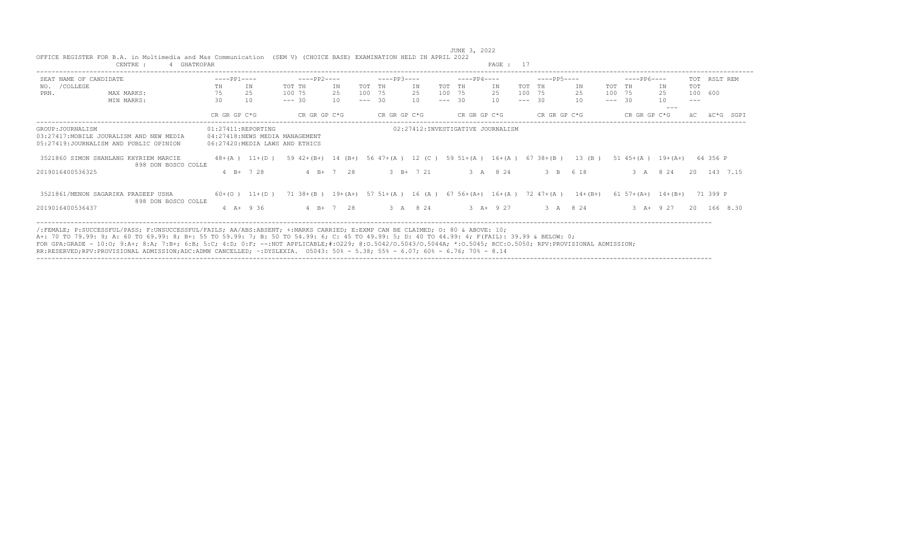| SEAT NAME OF CANDIDATE                                                                                   |    |               |                    |                                                                             |               |          |              |                              |          |                                    |               |          |              |             |          |                             |             |         |              |      |
|----------------------------------------------------------------------------------------------------------|----|---------------|--------------------|-----------------------------------------------------------------------------|---------------|----------|--------------|------------------------------|----------|------------------------------------|---------------|----------|--------------|-------------|----------|-----------------------------|-------------|---------|--------------|------|
|                                                                                                          |    | $---PP1---$   |                    | $---PP2---$                                                                 |               |          | $---PP3---$  |                              |          | $---PP4---$                        |               |          | $---PP5---$  |             |          | $---PP6---$                 |             |         | TOT RSLT REM |      |
| /COLLEGE<br>NO.                                                                                          | TH | IN            |                    | TOT TH                                                                      | ΙN            | TOT TH   |              | IN                           | TOT      | <b>TH</b>                          | IN            | TOT TH   |              | ΙN          | TOT TH   |                             | ΙN          | TOT     |              |      |
| PRN.<br>MAX MARKS:                                                                                       | 75 | 25            |                    | 100 75                                                                      | 25            | 100 75   |              | 25                           | 100 75   |                                    | 25            |          | 100 75       | 25          | 100 75   |                             | 25          | 100 600 |              |      |
| MIN MARKS:                                                                                               | 30 | 10            |                    | $--- 30$                                                                    | 10            | $--- 30$ |              | 10                           | $--- 30$ |                                    | 10            | $--- 30$ |              | 10          | $--- 30$ |                             | 10<br>$--$  | $---$   |              |      |
|                                                                                                          |    | CR GR GP C*G  |                    | CR GR GP C*G                                                                |               |          | CR GR GP C*G |                              |          | CR GR GP C*G                       |               |          | CR GR GP C*G |             |          | CR GR GP C*G                |             |         | äC*G         | SGPT |
| GROUP: JOURNALISM<br>03:27417: MOBILE JOURALISM AND NEW MEDIA<br>05:27419: JOURNALISM AND PUBLIC OPINION |    |               | 01:27411:REPORTING | 04:27418:NEWS MEDIA MANAGEMENT<br>06:27420:MEDIA LAWS AND ETHICS            |               |          |              |                              |          | 02:27412: INVESTIGATIVE JOURNALISM |               |          |              |             |          |                             |             |         |              |      |
| 3521860 SIMON SHANLANG KHYRIEM MARCIE<br>898 DON BOSCO COLLE                                             |    |               | $48 + (A)$ 11+(D)  | 59 42+(B+) 14 (B+) 56 47+(A) 12 (C) 59 51+(A) 16+(A) 67 38+(B)              |               |          |              |                              |          |                                    |               |          |              | $13$ (B)    |          | $51 \t45+(A) \t19+(A+)$     |             |         | 64 356 P     |      |
| 2019016400536325                                                                                         |    | $4 B+ 7 28$   |                    |                                                                             | $4 B+ 7 28$   |          |              | $3 \text{ B} + 7 \text{ 21}$ |          |                                    | 3 A 8 24      |          | 3 B 6 18     |             |          | 3 A 8 24                    |             |         | 20 143 7.15  |      |
| 3521861/MENON SAGARIKA PRADEEP USHA<br>898 DON BOSCO COLLE                                               |    |               | $60+ (O)$ 11+(D)   | 71 38 + (B) $19+ (A+)$ 57 51 + (A) 16 (A) 67 56 + (A+) 16 + (A) 72 47 + (A) |               |          |              |                              |          |                                    |               |          |              | $14 + (B+)$ |          | $61\ 57 + (A+)$ $14 + (B+)$ |             |         | 71 399 P     |      |
| 2019016400536437                                                                                         |    | $4$ A+ $9$ 36 |                    |                                                                             | $4$ B+ $7$ 28 |          |              | 3 A 8 24                     |          |                                    | $3$ $A+$ 9 27 |          | 3 A 8 24     |             |          |                             | $3 A+ 9 27$ |         | 20 166 8.30  |      |

JUNE 3, 2022<br>OFFICE REGISTER FOR B.A. in Multimedia and Mas Communication (SEM V) (CHOICE BASE) EXAMINATION HELD IN APRIL 2022<br>CENTRE : 4 GHATKOPAR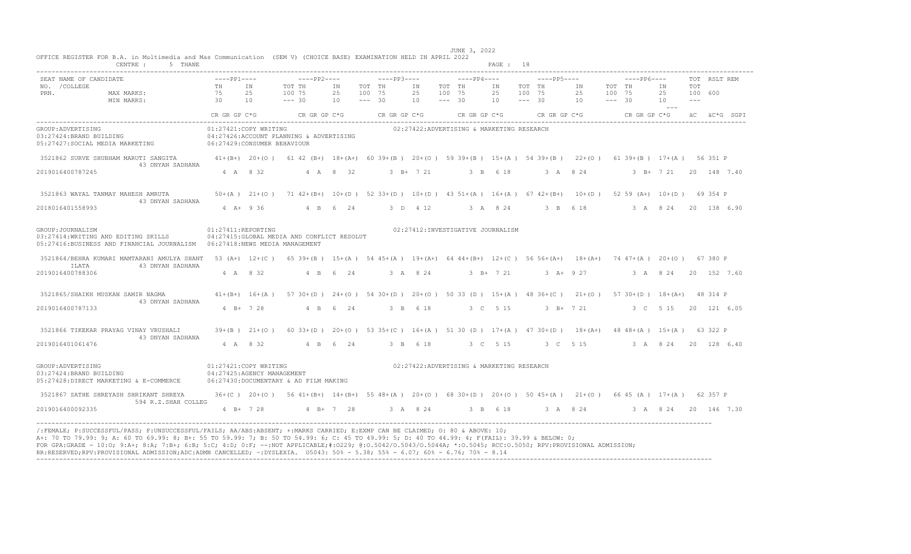|                                   | CENTRE :<br>5 THANE                                                                                                                                                     |                    |                            |                                                                                                                |           |                    |             |             |                    |                                           | PAGE : 18         |                    |                                         |                       |        |             |                           |                  |              |
|-----------------------------------|-------------------------------------------------------------------------------------------------------------------------------------------------------------------------|--------------------|----------------------------|----------------------------------------------------------------------------------------------------------------|-----------|--------------------|-------------|-------------|--------------------|-------------------------------------------|-------------------|--------------------|-----------------------------------------|-----------------------|--------|-------------|---------------------------|------------------|--------------|
| SEAT NAME OF CANDIDATE            |                                                                                                                                                                         | $---PP1---$        |                            | $---PP2---$                                                                                                    |           |                    | $---PP3---$ |             |                    | $---PP4---$                               |                   |                    | $---PP5---$                             |                       |        | $---PP6---$ |                           |                  | TOT RSLT REM |
| NO. / COLLEGE                     |                                                                                                                                                                         | TH IN              |                            | TOT TH                                                                                                         | ΙN        | TOT TH             |             | IN          | TOT TH             |                                           | IN                | TOT TH             |                                         | IN                    | TOT TH |             | ΙN                        | TOT              |              |
| PRN.                              | MAX MARKS:<br>$\frac{75}{30}$<br>MIN MARKS:                                                                                                                             | 75                 | 2.5<br>10                  | 100 75<br>$--- 30$                                                                                             | 2.5<br>10 | 100 75<br>$--- 30$ |             | 25<br>10    | 100 75<br>$--- 30$ |                                           | 25<br>10          | 100 75<br>$--- 30$ |                                         | 25<br>$10 - - - - 30$ | 100 75 |             | 25<br>10                  | 100 600<br>$  -$ |              |
|                                   |                                                                                                                                                                         |                    |                            |                                                                                                                |           |                    |             |             |                    |                                           |                   |                    |                                         |                       |        |             | $- - - -$                 |                  |              |
|                                   |                                                                                                                                                                         | CR GR GP C*G       |                            | CR GR GP $C*G$ CR GR GP $C*G$                                                                                  |           |                    |             |             |                    |                                           |                   |                    | CR GR GP $C*G$ CR GR GP $C*G$           |                       |        |             | CR GR GP C*G aC aC*G SGPI |                  |              |
| GROUP: ADVERTISING                |                                                                                                                                                                         |                    | 01:27421:COPY WRITING      |                                                                                                                |           |                    |             |             |                    | 02:27422:ADVERTISING & MARKETING RESEARCH |                   |                    |                                         |                       |        |             |                           |                  |              |
|                                   | 03:27424:BRAND BUILDING                                                                                                                                                 |                    |                            | 04:27426:ACCOUNT PLANNING & ADVERTISING                                                                        |           |                    |             |             |                    |                                           |                   |                    |                                         |                       |        |             |                           |                  |              |
|                                   | 05:27427:SOCIAL MEDIA MARKETING 06:27429:CONSUMER BEHAVIOUR                                                                                                             |                    |                            |                                                                                                                |           |                    |             |             |                    |                                           |                   |                    |                                         |                       |        |             |                           |                  |              |
|                                   | 3521862 SURVE SHUBHAM MARUTI SANGITA 41+(B+) 20+(O) 61 42 (B+) 18+(A+) 60 39+(B) 20+(O) 59 39+(B) 15+(A) 54 39+(B) 22+(O) 61 39+(B) 17+(A) 56 351 P<br>43 DNYAN SADHANA |                    |                            |                                                                                                                |           |                    |             |             |                    |                                           |                   |                    |                                         |                       |        |             |                           |                  |              |
| 2019016400787245                  |                                                                                                                                                                         |                    | 4 A 8 32                   |                                                                                                                | 4 A 8 32  |                    |             | $3 B+ 7 21$ |                    |                                           | 3 B 6 18          |                    | 3 A 8 24                                |                       |        |             | 3 B+ 7 21 20 148 7.40     |                  |              |
|                                   | 3521863 WAYAL TANMAY MAHESH AMRUTA                                                                                                                                      |                    |                            | 50+(A) 21+(O) 71 42+(B+) 10+(D) 52 33+(D) 10+(D) 43 51+(A) 16+(A) 67 42+(B+) 10+(D) 52 59 (A+) 10+(D) 69 354 P |           |                    |             |             |                    |                                           |                   |                    |                                         |                       |        |             |                           |                  |              |
| 2018016401558993                  | 43 DNYAN SADHANA                                                                                                                                                        |                    |                            | 4 A + 9 36 4 B 6 24                                                                                            |           |                    |             |             |                    |                                           |                   |                    |                                         |                       |        |             |                           |                  |              |
|                                   |                                                                                                                                                                         |                    |                            |                                                                                                                |           |                    |             |             |                    |                                           |                   |                    |                                         |                       |        |             |                           |                  |              |
| GROUP: JOURNALISM                 |                                                                                                                                                                         | 01:27411:REPORTING |                            |                                                                                                                |           |                    |             |             |                    | 02:27412:INVESTIGATIVE JOURNALISM         |                   |                    |                                         |                       |        |             |                           |                  |              |
|                                   | 03:27414: WRITING AND EDITING SKILLS                                                                                                                                    |                    |                            | 04:27415: GLOBAL MEDIA AND CONFLICT RESOLUT                                                                    |           |                    |             |             |                    |                                           |                   |                    |                                         |                       |        |             |                           |                  |              |
|                                   | 05:27416:BUSINESS AND FINANCIAL JOURNALISM         06:27418:NEWS MEDIA MANAGEMENT                                                                                       |                    |                            |                                                                                                                |           |                    |             |             |                    |                                           |                   |                    |                                         |                       |        |             |                           |                  |              |
|                                   | 3521864/BEHRA KUMARI MAMTARANI AMULYA SHANT 53 (A+) 12+(C) 65 39+(B) 15+(A) 54 45+(A) 19+(A+) 64 44+(B+) 12+(C) 56 56+(A+) 18+(A+) 74 47+(A) 20+(O) 67 380 P            |                    |                            |                                                                                                                |           |                    |             |             |                    |                                           |                   |                    |                                         |                       |        |             |                           |                  |              |
| ILATA<br>2019016400788306         | 43 DNYAN SADHANA                                                                                                                                                        |                    | 4 A 8 32                   |                                                                                                                | 4 B 6 24  |                    |             | 3 A 8 24    |                    |                                           | $3 \t B+ 7 \t 21$ |                    | $3 + 927$                               |                       |        |             | 3 A 8 24                  |                  | 20 152 7.60  |
|                                   |                                                                                                                                                                         |                    |                            |                                                                                                                |           |                    |             |             |                    |                                           |                   |                    |                                         |                       |        |             |                           |                  |              |
| 3521865/SHAIKH MUSKAN SAMIR NAGMA |                                                                                                                                                                         |                    | $41+(B+)$ $16+(A)$         | 57 30+(D) 24+(O) 54 30+(D) 20+(O) 50 33 (D) 15+(A) 48 36+(C) 21+(O) 57 30+(D) 18+(A+) 48 314 P                 |           |                    |             |             |                    |                                           |                   |                    |                                         |                       |        |             |                           |                  |              |
|                                   | 43 DNYAN SADHANA                                                                                                                                                        |                    |                            |                                                                                                                |           |                    |             |             |                    |                                           |                   |                    |                                         |                       |        |             |                           |                  |              |
| 2019016400787133                  |                                                                                                                                                                         |                    | $4$ B+ 7 28                |                                                                                                                | 4 B 6 24  |                    |             | 3 B 6 18    |                    |                                           |                   |                    | 3 C 5 15 3 B+ 7 21 3 C 5 15 20 121 6.05 |                       |        |             |                           |                  |              |
|                                   | 3521866 TIKEKAR PRAYAG VINAY VRUSHALI 39+(B) 21+(O)<br>43 DNYAN SADHANA                                                                                                 |                    |                            | 60 33+(D) 20+(O) 53 35+(C) 16+(A) 51 30 (D) 17+(A) 47 30+(D) 18+(A+) 48 48+(A) 15+(A) 63 322 P                 |           |                    |             |             |                    |                                           |                   |                    |                                         |                       |        |             |                           |                  |              |
| 2019016401061476                  |                                                                                                                                                                         |                    | 4 A 8 32                   |                                                                                                                | 4 B 6 24  |                    |             | 3 B 6 18    |                    |                                           | 3 C 5 15          |                    | 3 C 5 15 3 A 8 24 20 128 6 40           |                       |        |             |                           |                  |              |
|                                   |                                                                                                                                                                         |                    |                            |                                                                                                                |           |                    |             |             |                    |                                           |                   |                    |                                         |                       |        |             |                           |                  |              |
| GROUP: ADVERTISING                |                                                                                                                                                                         |                    | 01:27421:COPY WRITING      |                                                                                                                |           |                    |             |             |                    | 02:27422:ADVERTISING & MARKETING RESEARCH |                   |                    |                                         |                       |        |             |                           |                  |              |
| 03:27424:BRAND BUILDING           |                                                                                                                                                                         |                    | 04:27425:AGENCY MANAGEMENT |                                                                                                                |           |                    |             |             |                    |                                           |                   |                    |                                         |                       |        |             |                           |                  |              |
|                                   | 05:27428:DIRECT MARKETING & E-COMMERCE                                                                                                                                  |                    |                            | 06:27430:DOCUMENTARY & AD FILM MAKING                                                                          |           |                    |             |             |                    |                                           |                   |                    |                                         |                       |        |             |                           |                  |              |
|                                   | 3521867 SATHE SHREYASH SHRIKANT SHREYA<br>594 R.Z.SHAH COLLEG                                                                                                           |                    |                            | 36+(C) 20+(O) 56 41+(B+) 14+(B+) 55 48+(A) 20+(O) 68 30+(D) 20+(O) 50 45+(A) 21+(O) 66 45 (A) 17+(A) 62 357 P  |           |                    |             |             |                    |                                           |                   |                    |                                         |                       |        |             |                           |                  |              |
| 2019016400092335                  |                                                                                                                                                                         |                    |                            | 4 B+ 7 28 4 B+ 7 28 3 A 8 24 3 B 6 18 3 A 8 24 3 A 8 24 20 146 7.30                                            |           |                    |             |             |                    |                                           |                   |                    |                                         |                       |        |             |                           |                  |              |

FOR GPA:GRADE - 10:0; 9:A+; 8:A; 7:B+; 6:B; 5:C; 4:D; 0:F; --:NOT APPLICABLE;#:O229; @:O.5042/O.5043/O.5044A; \*:O.5045; RCC:O.5050; RPV:PROVISIONAL ADMISSION;<br>RR:RESERVED;RPV:PROVISIONAL ADMISSION;ADC:ADMN CANCELLED; ~:DYS ----------------------------------------------------------------------------------------------------------------------------------------------------------------------------------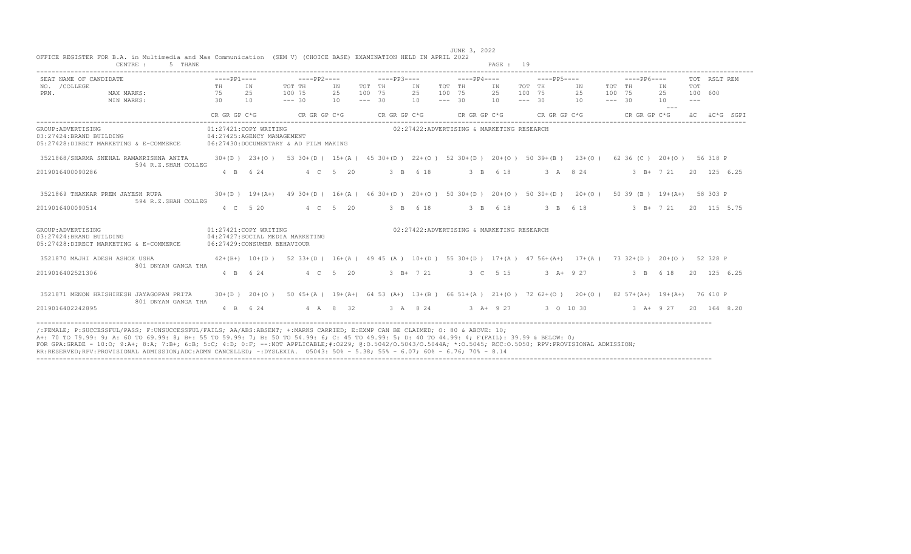| SEAT NAME OF CANDIDATE                                                                   | $---PP1---$                 |                                                       | $---PP2---$                           |                | $---PP3---$                  |                | $---PP4---$                                                                |                | $---PP5---$                                    |                  | $---PP6---$                                                                                              | TOT RSLT REM            |
|------------------------------------------------------------------------------------------|-----------------------------|-------------------------------------------------------|---------------------------------------|----------------|------------------------------|----------------|----------------------------------------------------------------------------|----------------|------------------------------------------------|------------------|----------------------------------------------------------------------------------------------------------|-------------------------|
| NO. / COLLEGE<br>MAX MARKS:<br>PRN.<br>MIN MARKS:                                        | TH<br>75<br>30 <sup>2</sup> | TN<br>2.5<br>10                                       | TOT TH<br>100 75<br>$--- 30$          | ΙN<br>25<br>10 | TOT TH<br>100 75<br>$--- 30$ | IN<br>25<br>10 | TOT TH<br>100 75<br>$--- 30$                                               | IN<br>25<br>10 | TOT TH<br>IN<br>100 75<br>25<br>$--- 30$<br>10 | TOT TH<br>100 75 | ΙN<br>25<br>$--- 30$<br>10                                                                               | TOT<br>100 600<br>$---$ |
|                                                                                          | CR GR GP C*G                |                                                       | CR GR GP C*G                          |                | CR GR GP C*G                 |                | CR GR GP C*G                                                               |                | CR GR GP C*G                                   |                  | CR GR GP C*G                                                                                             | äC*G SGPI               |
| GROUP: ADVERTISING<br>03:27424:BRAND BUILDING<br>05:27428:DIRECT MARKETING & E-COMMERCE  |                             | 01:27421:COPY WRITING<br>04:27425:AGENCY MANAGEMENT   | 06:27430:DOCUMENTARY & AD FILM MAKING |                |                              |                | 02:27422:ADVERTISING & MARKETING RESEARCH                                  |                |                                                |                  |                                                                                                          |                         |
| 3521868/SHARMA SNEHAL RAMAKRISHNA ANITA<br>594 R.Z.SHAH COLLEG                           |                             | $30+(D)$ 23+(0)                                       |                                       |                |                              |                | 53 30 + (D) 15 + (A) 45 30 + (D) 22 + (O) 52 30 + (D) 20 + (O) 50 39 + (B) |                |                                                | $23+ (0)$        | 62 36 (C) 20+ (O) 56 318 P                                                                               |                         |
| 2019016400090286                                                                         |                             | 4 B 6 24                                              |                                       | 4 C 5 20       |                              | 3 B 6 18       |                                                                            | 3 B 6 18       | 3 A 8 24                                       |                  | 3 B+ 7 21                                                                                                | 20 125 6.25             |
| 3521869 THAKKAR PREM JAYESH RUPA<br>594 R.Z.SHAH COLLEG                                  |                             | $30+(D)$ 19+(A+)                                      |                                       |                |                              |                |                                                                            |                |                                                |                  | 49 30+(D) 16+(A) 46 30+(D) 20+(O) 50 30+(D) 20+(O) 50 30+(D) 20+(O) 50 30+(O) 50 39 (B) 19+(A+) 58 303 P |                         |
| 2019016400090514                                                                         |                             | 4 C 5 20                                              |                                       | 4 C 5 20       |                              | 3 B 6 18       |                                                                            | 3 B 6 18       | 3 B 6 18                                       |                  | 3 B+ 7 21                                                                                                | 20 115 5.75             |
| GROUP: ADVERTISING<br>03:27424: BRAND BUILDING<br>05:27428:DIRECT MARKETING & E-COMMERCE |                             | 01:27421:COPY WRITING<br>06:27429: CONSUMER BEHAVIOUR | 04:27427:SOCIAL MEDIA MARKETING       |                |                              |                | 02:27422:ADVERTISING & MARKETING RESEARCH                                  |                |                                                |                  |                                                                                                          |                         |
| 3521870 MAJHI ADESH ASHOK USHA<br>801 DNYAN GANGA THA                                    |                             | $42+(B+)$ 10+(D)                                      |                                       |                |                              |                |                                                                            |                |                                                |                  | 52 33+(D) 16+(A) 49 45 (A) 10+(D) 55 30+(D) 17+(A) 47 56+(A+) 17+(A) 73 32+(D) 20+(O) 52 328 P           |                         |
| 2019016402521306                                                                         |                             | 4 B 6 24                                              |                                       | 4 C 5 20       |                              | $3 B+ 7 21$    |                                                                            | 3 C 5 15       | $3 A+ 9 27$                                    |                  | 3 B 6 18                                                                                                 | 20 125 6.25             |
| 3521871 MENON HRISHIKESH JAYAGOPAN PRITA<br>801 DNYAN GANGA THA                          |                             | $30+(D)$ 20+(0)                                       |                                       |                |                              |                |                                                                            |                |                                                |                  | 50 45+(A) 19+(A+) 64 53 (A+) 13+(B) 66 51+(A) 21+(O) 72 62+(O) 20+(O) 82 57+(A+) 19+(A+) 76 410 P        |                         |
| 2019016402242895                                                                         |                             | 4 B 6 24                                              |                                       | 4 A 8 32       | 3 A 8 24                     |                |                                                                            | $3 + 927$      | 3 0 10 30                                      |                  | 3 A+ 9 27 20 164 8.20                                                                                    |                         |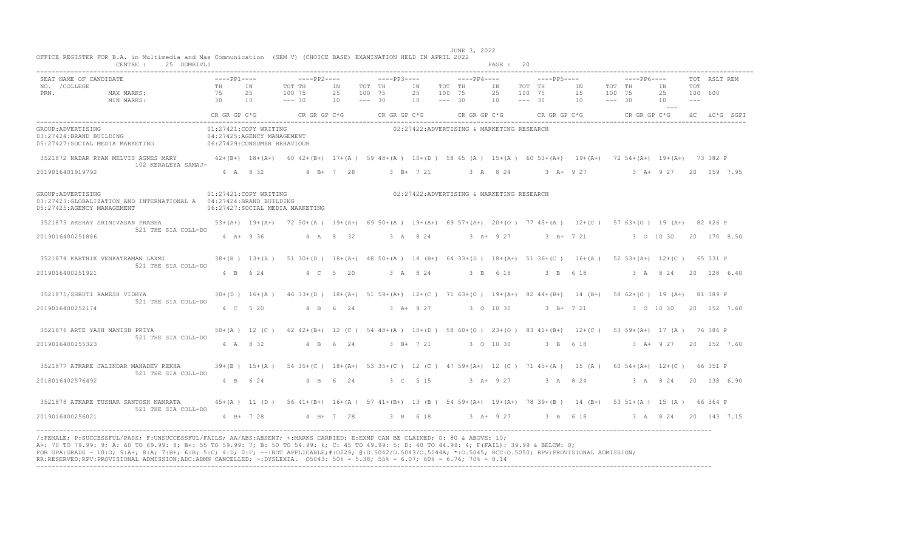| $---PP2---$<br>TOT TH<br>IN TOT TH<br>25 100 75<br>25 100 75<br>$--- 30$<br>$10 - - - - 30$<br>01:27421:COPY WRITING<br>04:27425:AGENCY MANAGEMENT<br>05:27427: SOCIAL MEDIA MARKETING 06:27429: CONSUMER BEHAVIOUR<br>01:27421:COPY WRITING<br>03:27423: GLOBALIZATION AND INTERNATIONAL A 04:27424: BRAND BUILDING<br>06:27427:SOCIAL MEDIA MARKETING | $---PP4---$<br>IN TOT TH<br>25 100 75<br>10<br>$--- 30$<br>02:27422:ADVERTISING & MARKETING RESEARCH<br>02:27422:ADVERTISING & MARKETING RESEARCH | $---PP5---$<br>TOT THE IN TOT TH<br>IN T<br>25 100 75<br>$10 - - - - 30$ | $---PP6---$<br>TOT RSLT REM<br>TOT<br>IN<br>25 100 75<br>25 100 600<br>$10 - - - - 30$<br>10<br>$- - -$<br>CR GR GP C*G $CR$ GR GP C*G $CR$ GR GP C*G $CR$ GR GP C*G $CR$ GP C*G $CR$ GP C*G $\ddot{AC}$ ac $\ddot{AC}$ acs $CR$ GP C*G $CR$ GP C*G $CR$ GP C*G $CR$ GP C*G $CR$ GP C*G $CR$ GP C $CR$ GP C $CR$ GP C $CR$ GP C $CR$ GP C $CR$ GP C $CR$ GP C<br>3521872 NADAR RYAN MELVIS AGNES MARY 42+(B+) 18+(A+) 60 42+(B+) 17+(A) 59 48+(A) 10+(D) 58 45 (A) 15+(A) 60 53+(A+) 19+(A+) 72 54+(A+) 19+(A+) 73 382 P<br>4 A 8 32 4 B + 7 28 3 B + 7 21 3 A 8 24 3 A + 9 27 3 A + 9 27 20 159 7.95                                                                                                                                                                                                                                                                                                                                                                                                                                                                                                                                                                                                                                                                                                                                                                                                                               |
|---------------------------------------------------------------------------------------------------------------------------------------------------------------------------------------------------------------------------------------------------------------------------------------------------------------------------------------------------------|---------------------------------------------------------------------------------------------------------------------------------------------------|--------------------------------------------------------------------------|-------------------------------------------------------------------------------------------------------------------------------------------------------------------------------------------------------------------------------------------------------------------------------------------------------------------------------------------------------------------------------------------------------------------------------------------------------------------------------------------------------------------------------------------------------------------------------------------------------------------------------------------------------------------------------------------------------------------------------------------------------------------------------------------------------------------------------------------------------------------------------------------------------------------------------------------------------------------------------------------------------------------------------------------------------------------------------------------------------------------------------------------------------------------------------------------------------------------------------------------------------------------------------------------------------------------------------------------------------------------------------------------------------------------------------------|
|                                                                                                                                                                                                                                                                                                                                                         |                                                                                                                                                   |                                                                          |                                                                                                                                                                                                                                                                                                                                                                                                                                                                                                                                                                                                                                                                                                                                                                                                                                                                                                                                                                                                                                                                                                                                                                                                                                                                                                                                                                                                                                     |
|                                                                                                                                                                                                                                                                                                                                                         |                                                                                                                                                   |                                                                          |                                                                                                                                                                                                                                                                                                                                                                                                                                                                                                                                                                                                                                                                                                                                                                                                                                                                                                                                                                                                                                                                                                                                                                                                                                                                                                                                                                                                                                     |
|                                                                                                                                                                                                                                                                                                                                                         |                                                                                                                                                   |                                                                          |                                                                                                                                                                                                                                                                                                                                                                                                                                                                                                                                                                                                                                                                                                                                                                                                                                                                                                                                                                                                                                                                                                                                                                                                                                                                                                                                                                                                                                     |
|                                                                                                                                                                                                                                                                                                                                                         |                                                                                                                                                   |                                                                          |                                                                                                                                                                                                                                                                                                                                                                                                                                                                                                                                                                                                                                                                                                                                                                                                                                                                                                                                                                                                                                                                                                                                                                                                                                                                                                                                                                                                                                     |
|                                                                                                                                                                                                                                                                                                                                                         |                                                                                                                                                   |                                                                          |                                                                                                                                                                                                                                                                                                                                                                                                                                                                                                                                                                                                                                                                                                                                                                                                                                                                                                                                                                                                                                                                                                                                                                                                                                                                                                                                                                                                                                     |
|                                                                                                                                                                                                                                                                                                                                                         |                                                                                                                                                   |                                                                          |                                                                                                                                                                                                                                                                                                                                                                                                                                                                                                                                                                                                                                                                                                                                                                                                                                                                                                                                                                                                                                                                                                                                                                                                                                                                                                                                                                                                                                     |
|                                                                                                                                                                                                                                                                                                                                                         |                                                                                                                                                   |                                                                          | 3521873 AKSHAY SRINIVASAN PRABHA 53+(A+) 19+(A+) 72 50+(A) 19+(A+) 69 50+(A) 19+(A+) 69 57+(A+) 20+(O) 77 45+(A) 12+(C) 57 63+(O) 19 (A+) 82 426 P                                                                                                                                                                                                                                                                                                                                                                                                                                                                                                                                                                                                                                                                                                                                                                                                                                                                                                                                                                                                                                                                                                                                                                                                                                                                                  |
| 4 A 8 32<br>$4$ A + 9 36                                                                                                                                                                                                                                                                                                                                |                                                                                                                                                   |                                                                          | 3 A 8 24 3 A + 9 27 3 B + 7 21 3 0 10 30 20 170 8 50                                                                                                                                                                                                                                                                                                                                                                                                                                                                                                                                                                                                                                                                                                                                                                                                                                                                                                                                                                                                                                                                                                                                                                                                                                                                                                                                                                                |
|                                                                                                                                                                                                                                                                                                                                                         |                                                                                                                                                   |                                                                          |                                                                                                                                                                                                                                                                                                                                                                                                                                                                                                                                                                                                                                                                                                                                                                                                                                                                                                                                                                                                                                                                                                                                                                                                                                                                                                                                                                                                                                     |
| 4 B 6 24 4 C 5 20                                                                                                                                                                                                                                                                                                                                       |                                                                                                                                                   |                                                                          |                                                                                                                                                                                                                                                                                                                                                                                                                                                                                                                                                                                                                                                                                                                                                                                                                                                                                                                                                                                                                                                                                                                                                                                                                                                                                                                                                                                                                                     |
|                                                                                                                                                                                                                                                                                                                                                         |                                                                                                                                                   |                                                                          |                                                                                                                                                                                                                                                                                                                                                                                                                                                                                                                                                                                                                                                                                                                                                                                                                                                                                                                                                                                                                                                                                                                                                                                                                                                                                                                                                                                                                                     |
| 4 B 6 24<br>4 C 5 20                                                                                                                                                                                                                                                                                                                                    |                                                                                                                                                   |                                                                          | 3 B+ 7 21 3 0 10 30 20 152 7.60                                                                                                                                                                                                                                                                                                                                                                                                                                                                                                                                                                                                                                                                                                                                                                                                                                                                                                                                                                                                                                                                                                                                                                                                                                                                                                                                                                                                     |
|                                                                                                                                                                                                                                                                                                                                                         |                                                                                                                                                   |                                                                          |                                                                                                                                                                                                                                                                                                                                                                                                                                                                                                                                                                                                                                                                                                                                                                                                                                                                                                                                                                                                                                                                                                                                                                                                                                                                                                                                                                                                                                     |
| 4 B 6 24<br>4 A 8 32                                                                                                                                                                                                                                                                                                                                    |                                                                                                                                                   |                                                                          |                                                                                                                                                                                                                                                                                                                                                                                                                                                                                                                                                                                                                                                                                                                                                                                                                                                                                                                                                                                                                                                                                                                                                                                                                                                                                                                                                                                                                                     |
|                                                                                                                                                                                                                                                                                                                                                         |                                                                                                                                                   |                                                                          |                                                                                                                                                                                                                                                                                                                                                                                                                                                                                                                                                                                                                                                                                                                                                                                                                                                                                                                                                                                                                                                                                                                                                                                                                                                                                                                                                                                                                                     |
| 4 B 6 24<br>4 B 6 24                                                                                                                                                                                                                                                                                                                                    |                                                                                                                                                   |                                                                          |                                                                                                                                                                                                                                                                                                                                                                                                                                                                                                                                                                                                                                                                                                                                                                                                                                                                                                                                                                                                                                                                                                                                                                                                                                                                                                                                                                                                                                     |
|                                                                                                                                                                                                                                                                                                                                                         |                                                                                                                                                   |                                                                          |                                                                                                                                                                                                                                                                                                                                                                                                                                                                                                                                                                                                                                                                                                                                                                                                                                                                                                                                                                                                                                                                                                                                                                                                                                                                                                                                                                                                                                     |
|                                                                                                                                                                                                                                                                                                                                                         |                                                                                                                                                   |                                                                          |                                                                                                                                                                                                                                                                                                                                                                                                                                                                                                                                                                                                                                                                                                                                                                                                                                                                                                                                                                                                                                                                                                                                                                                                                                                                                                                                                                                                                                     |
|                                                                                                                                                                                                                                                                                                                                                         |                                                                                                                                                   | $3 + 9 + 27$                                                             | 38+(B) 13+(B) 51 30+(D) 18+(A+) 48 50+(A) 14 (B+) 64 33+(D) 18+(A+) 51 36+(C) 16+(A) 52 53+(A+) 12+(C) 65 331 P<br>3 A 8 24 3 B 6 18 3 B 6 18 3 A 8 24 20 128 6 40<br>30+(D) 16+(A) 46 33+(D) 18+(A+) 51 59+(A+) 12+(C) 71 63+(O) 19+(A+) 82 44+(B+) 14 (B+) 58 62+(O) 19 (A+) 81 389 P<br>3 0 10 30<br>50+(A) 12 (C) 62 42+(B+) 12 (C) 54 48+(A) 10+(D) 58 60+(O) 23+(O) 83 41+(B+) 12+(C) 53 59+(A+) 17 (A) 76 386 P<br>3 B+ 7 21 3 0 10 30 3 B 6 18 3 A+ 9 27 20 152 7.60<br>39+(B) 15+(A) 54 35+(C) 18+(A+) 53 35+(C) 12 (C) 47 59+(A+) 12 (C) 71 45+(A) 15 (A) 60 54+(A+) 12+(C) 66 351 P<br>3 C 5 15 3 A + 9 27 3 A 8 24 3 A 8 24 20 138 6 90<br>45+(A) 11 (D) 56 41+(B+) 16+(A) 57 41+(B+) 13 (B) 54 59+(A+) 19+(A+) 78 39+(B) 14 (B+) 53 51+(A) 15 (A) 66 364 P<br>4 B+ 7 28 4 B+ 7 28 3 B 6 18 3 A+ 9 27 3 B 6 18 3 A 8 24 20 143 7.15<br>/:FEMALE: P:SUCCESSFUL/PASS: F:UNSUCCESSFUL/FAILS: AA/ABS:ABSENT: +:MARKS CARRIED: E:EXMP CAN BE CLAIMED: 0: 80 & ABOVE: 10:<br>A+: 70 TO 79.99: 9; A: 60 TO 69.99: 8; B+: 55 TO 59.99: 7; B: 50 TO 54.99: 6; C: 45 TO 49.99: 5; D: 40 TO 44.99: 4; F(FAIL): 39.99 & BELOW: 0;<br>FOR GPA:GRADE - 10:0; 9:A+; 8:A; 7:B+; 6:B; 5:C; 4:D; 0:F; --:NOT APPLICABLE;#:0229; 0:0.5042/0.5043/0.5044A; *:0.5045; RCC:0.5050; RPV:PROVISIONAL ADMISSION;<br>RR:RESERVED;RPV:PROVISIONAL ADMISSION;ADC:ADMN CANCELLED; ~: DYSLEXIA. 05043: 50% - 5.38; 55% - 6.07; 60% - 6.76; 70% - 8.14 |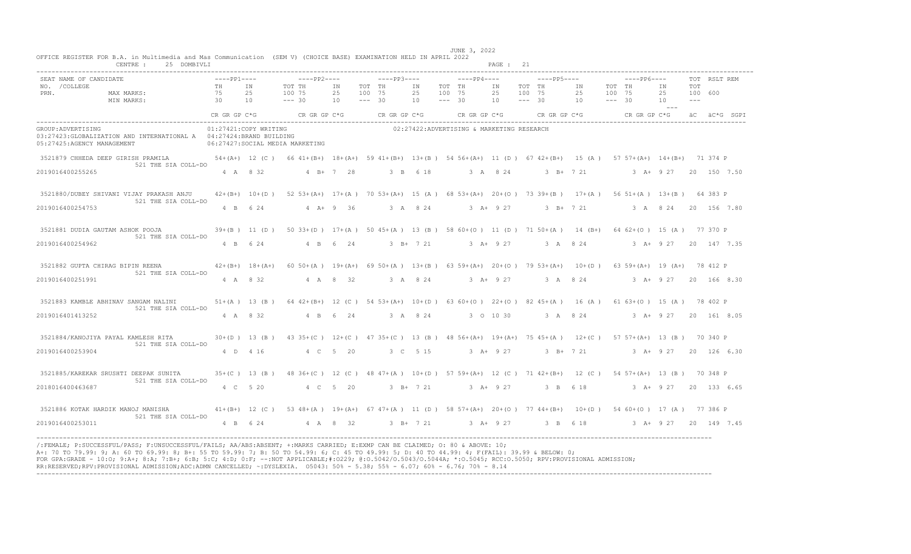|                                                 | 25 DOMBIVLI<br>CENTRE :                                                                                                                                                                |                                                         |          |                                                                                                                 |                |                              |             |                |                              |                                                               | PAGE : 21                 |                  |               |                       |                              |             |                                |                                |              |  |
|-------------------------------------------------|----------------------------------------------------------------------------------------------------------------------------------------------------------------------------------------|---------------------------------------------------------|----------|-----------------------------------------------------------------------------------------------------------------|----------------|------------------------------|-------------|----------------|------------------------------|---------------------------------------------------------------|---------------------------|------------------|---------------|-----------------------|------------------------------|-------------|--------------------------------|--------------------------------|--------------|--|
| SEAT NAME OF CANDIDATE<br>NO. / COLLEGE<br>PRN. | MAX MARKS:<br>MIN MARKS:                                                                                                                                                               | $---PP1---$<br><b>TH</b><br>75<br>$\overline{30}$<br>10 | TN<br>25 | $---PP2---$<br>TOT TH<br>100 75<br>$--- 30$                                                                     | ΙN<br>25<br>10 | TOT TH<br>100 75<br>$--- 30$ | $---PP3---$ | IN<br>25<br>10 | TOT TH<br>100 75<br>$--- 30$ | $---PP4---$                                                   | IN<br>25<br>$10 = - - 30$ | TOT TH<br>100 75 | $---PP5---$   | <b>IN</b><br>25<br>10 | TOT TH<br>100 75<br>$--- 30$ | $---PP6---$ | TN<br>25<br>10<br>$\sim$ $  -$ | <b>TOT</b><br>100 600<br>$  -$ | TOT RSLT REM |  |
|                                                 |                                                                                                                                                                                        |                                                         |          | CR GR GP $C*G$ CR GR GP $C*G$ CR GR GP $C*G$                                                                    |                |                              |             |                |                              | CR GR GP C*G CR GR GP C*G CR GR GP C*G aC $\ddot{a}$ C*G SGPI |                           |                  |               |                       |                              |             |                                |                                |              |  |
| GROUP: ADVERTISING                              | 03:27423: GLOBALIZATION AND INTERNATIONAL A  04:27424: BRAND BUILDING<br>05:27425:AGENCY MANAGEMENT                                                                                    | 01:27421:COPY WRITING                                   |          | 06:27427:SOCIAL MEDIA MARKETING                                                                                 |                |                              |             |                |                              | 02:27422:ADVERTISING & MARKETING RESEARCH                     |                           |                  |               |                       |                              |             |                                |                                |              |  |
|                                                 | 3521879 CHHEDA DEEP GIRISH PRAMILA 54+ (A+) 12 (C) 66 41+ (B+) 18+ (A+) 59 41+ (B+) 13+ (B) 54 56+ (A+) 11 (D) 67 42+ (B+) 15 (A) 57 57+ (A+) 14+ (B+) 71 374 P<br>521 THE SIA COLL-DO |                                                         |          |                                                                                                                 |                |                              |             |                |                              |                                                               |                           |                  |               |                       |                              |             |                                |                                |              |  |
| 2019016400255265                                |                                                                                                                                                                                        |                                                         | 4 A 8 32 | 4 B + 7 28                                                                                                      |                |                              | 3 B 6 18    |                |                              | 3 A 8 24 3 B + 7 21 3 A + 9 27 20 150 7.50                    |                           |                  |               |                       |                              |             |                                |                                |              |  |
|                                                 | 3521880/DUBEY SHIVANI VIJAY PRAKASH ANJU<br>521 THE SIA COLL-DO                                                                                                                        |                                                         |          | 42+(B+) 10+(D) 52 53+(A+) 17+(A) 70 53+(A+) 15 (A) 68 53+(A+) 20+(O) 73 39+(B) 17+(A) 56 51+(A) 13+(B) 64 383 P |                |                              |             |                |                              |                                                               |                           |                  |               |                       |                              |             |                                |                                |              |  |
| 2019016400254753                                |                                                                                                                                                                                        |                                                         |          | 4 B 6 24 4 A + 9 36                                                                                             |                |                              |             |                |                              | 3 A 8 24 3 A + 9 27 3 B + 7 21 3 A 8 24 20 156 7.80           |                           |                  |               |                       |                              |             |                                |                                |              |  |
|                                                 | 3521881 DUDIA GAUTAM ASHOK POOJA                                                                                                                                                       |                                                         |          | 39+(B) 11 (D) 50 33+(D) 17+(A) 50 45+(A) 13 (B) 58 60+(O) 11 (D) 71 50+(A) 14 (B+) 64 62+(O) 15 (A) 77 370 P    |                |                              |             |                |                              |                                                               |                           |                  |               |                       |                              |             |                                |                                |              |  |
| 2019016400254962                                | 521 THE SIA COLL-DO                                                                                                                                                                    |                                                         | 4 B 6 24 | 4 B 6 24                                                                                                        |                |                              |             |                |                              | 3 B+ 7 21 3 A+ 9 27 3 A 8 24 3 A+ 9 27 20 147 7.35            |                           |                  |               |                       |                              |             |                                |                                |              |  |
|                                                 | 3521882 GUPTA CHIRAG BIPIN REENA (A+) 42+(B+) 18+(A+) 60 50+(A) 19+(A+) 69 50+(A) 13+(B) 63 59+(A+) 20+(O) 79 53+(A+) 10+(D) 63 59+(A+) 19 (A+) 78 412 P<br>521 THE SIA COLL-DO        |                                                         |          |                                                                                                                 |                |                              |             |                |                              |                                                               |                           |                  |               |                       |                              |             |                                |                                |              |  |
| 2019016400251991                                |                                                                                                                                                                                        | 4 A 8 32                                                |          |                                                                                                                 | 4 A 8 32       |                              |             |                |                              | 3 A 8 24 3 A + 9 27 3 A 8 24 3 A + 9 27 20 166 8 30           |                           |                  |               |                       |                              |             |                                |                                |              |  |
|                                                 | 3521883 KAMBLE ABHINAV SANGAM NALINI<br>521 THE SIA COLL-DO                                                                                                                            |                                                         |          | 51+(A) 13 (B) 64 42+(B+) 12 (C) 54 53+(A+) 10+(D) 63 60+(O) 22+(O) 82 45+(A) 16 (A) 61 63+(O) 15 (A) 78 402 P   |                |                              |             |                |                              |                                                               |                           |                  |               |                       |                              |             |                                |                                |              |  |
| 2019016401413252                                |                                                                                                                                                                                        |                                                         | 4 A 8 32 | 4 B 6 24                                                                                                        |                |                              | 3 A 8 24    |                |                              | 3 O 10 30 3 A 8 24 3 A + 9 27 20 161 8.05                     |                           |                  |               |                       |                              |             |                                |                                |              |  |
|                                                 | 3521884/KANOJIYA PAYAL KAMLESH RITA<br>521 THE SIA COLL-DO                                                                                                                             |                                                         |          | 30+(D) 13 (B) 43 35+(C) 12+(C) 47 35+(C) 13 (B) 48 56+(A+) 19+(A+) 75 45+(A) 12+(C) 57 57+(A+) 13 (B) 70 340 P  |                |                              |             |                |                              |                                                               |                           |                  |               |                       |                              |             |                                |                                |              |  |
| 2019016400253904                                |                                                                                                                                                                                        | 4 D 4 16                                                |          | 4 C 5 20                                                                                                        |                |                              |             | 3 C 5 15       |                              |                                                               | $3 A+ 9 27$               |                  | $3$ B+ $7$ 21 |                       |                              |             | $3 A+ 9 27$                    |                                | 20 126 6.30  |  |
|                                                 | 3521885/KAREKAR SRUSHTI DEEPAK SUNITA<br>521 THE SIA COLL-DO                                                                                                                           |                                                         |          | 35+(C) 13 (B) 48 36+(C) 12 (C) 48 47+(A) 10+(D) 57 59+(A+) 12 (C) 71 42+(B+) 12 (C) 54 57+(A+) 13 (B) 70 348 P  |                |                              |             |                |                              |                                                               |                           |                  |               |                       |                              |             |                                |                                |              |  |
| 2018016400463687                                |                                                                                                                                                                                        | 4 C 5 20                                                |          | 4 C 5 20                                                                                                        |                |                              |             |                |                              | 3 B + 7 21 3 A + 9 27 3 B 6 18                                |                           |                  |               |                       |                              |             | 3 A+ 9 27 20 133 6.65          |                                |              |  |
|                                                 | 3521886 KOTAK HARDIK MANOJ MANISHA 41+(B+) 12 (C) 53 48+(A) 19+(A+) 67 47+(A) 11 (D) 58 57+(A+) 20+(O) 77 44+(B+) 10+(D) 54 60+(O) 17 (A) 77 386 P<br>521 THE SIA COLL-DO              |                                                         |          |                                                                                                                 |                |                              |             |                |                              |                                                               |                           |                  |               |                       |                              |             |                                |                                |              |  |
| 2019016400253011                                |                                                                                                                                                                                        |                                                         |          | 4 B 6 24 4 A 8 32                                                                                               |                |                              |             |                |                              | 3 B+ 7 21 3 A+ 9 27 3 B 6 18                                  |                           |                  |               |                       |                              |             | 3 A+ 9 27 20 149 7.45          |                                |              |  |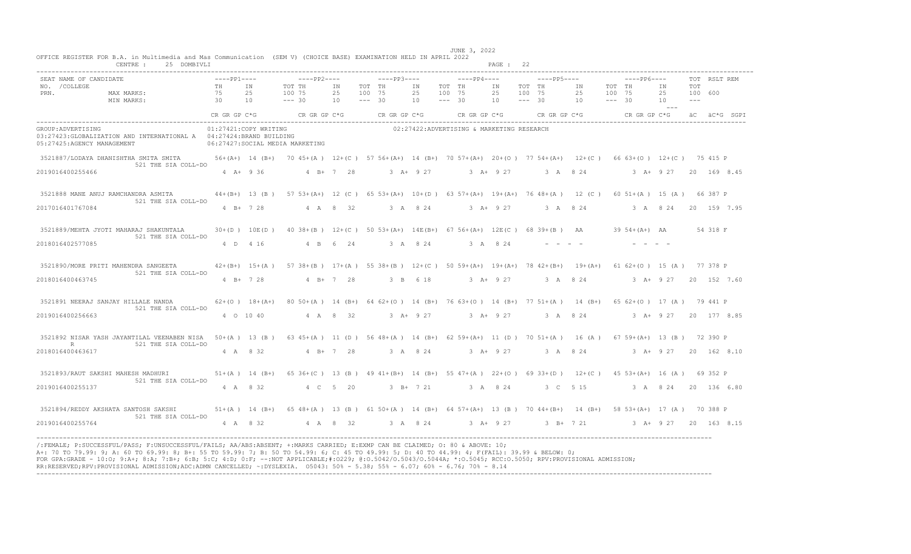|                                                 | CENTRE :<br>25 DOMBIVLI                                                                                                                                                           |                                                         |                 |                                                                                                                  |                            |                  |                                                   |                |                              |                                                                                           | PAGE: 22                    |                  |             |                                          |                              |             |                                |                                |              |  |
|-------------------------------------------------|-----------------------------------------------------------------------------------------------------------------------------------------------------------------------------------|---------------------------------------------------------|-----------------|------------------------------------------------------------------------------------------------------------------|----------------------------|------------------|---------------------------------------------------|----------------|------------------------------|-------------------------------------------------------------------------------------------|-----------------------------|------------------|-------------|------------------------------------------|------------------------------|-------------|--------------------------------|--------------------------------|--------------|--|
| SEAT NAME OF CANDIDATE<br>NO. / COLLEGE<br>PRN. | MAX MARKS:<br>MIN MARKS:                                                                                                                                                          | $---PP1---$<br><b>TH</b><br>75<br>$\overline{30}$<br>10 | <b>TN</b><br>25 | $---PP2---$<br>TOT TH<br>100 75<br>$--- 30$                                                                      | IN<br>25<br>$--- 30$<br>10 | TOT TH<br>100 75 | $---PP3---$                                       | IN<br>25<br>10 | TOT TH<br>100 75<br>$--- 30$ | $---PP4---$                                                                               | IN<br>25<br>$10 - - - - 30$ | TOT TH<br>100 75 | $---PP5---$ | IN<br>25<br>10                           | TOT TH<br>100 75<br>$--- 30$ | $---PP6---$ | TN<br>25<br>10<br>$\sim$ $  -$ | <b>TOT</b><br>100 600<br>$  -$ | TOT RSLT REM |  |
|                                                 |                                                                                                                                                                                   |                                                         |                 | CR GR GP $C*G$ CR GR GP $C*G$ CR GR GP $C*G$                                                                     |                            |                  |                                                   |                |                              | CR GR GP C*G $CR$ GR GP C*G $CR$ GR GP C*G $CR$ GR GP C*G $\ddot{AC}$ ac $\ddot{AC}$ SGPI |                             |                  |             |                                          |                              |             |                                |                                |              |  |
| GROUP: ADVERTISING                              | 03:27423: GLOBALIZATION AND INTERNATIONAL A  04:27424: BRAND BUILDING<br>05:27425:AGENCY MANAGEMENT                                                                               | 01:27421:COPY WRITING                                   |                 | 06:27427:SOCIAL MEDIA MARKETING                                                                                  |                            |                  |                                                   |                |                              | 02:27422:ADVERTISING & MARKETING RESEARCH                                                 |                             |                  |             |                                          |                              |             |                                |                                |              |  |
|                                                 | 3521887/LODAYA DHANISHTHA SMITA SMITA 56+(A+) 14 (B+) 70 45+(A) 12+(C) 57 56+(A+) 14 (B+) 70 57+(A+) 20+(O) 77 54+(A+) 12+(C) 66 63+(O) 12+(C) 75 415 P                           |                                                         |                 |                                                                                                                  |                            |                  |                                                   |                |                              |                                                                                           |                             |                  |             |                                          |                              |             |                                |                                |              |  |
| 2019016400255466                                | 521 THE SIA COLL-DO                                                                                                                                                               | $4$ A+ 9 36                                             |                 | 4 B + 7 28                                                                                                       |                            |                  | $3 \quad A + 9 \quad 27$                          |                |                              | $3 \text{ A} + 9 \text{ 27}$ $3 \text{ A} + 8 \text{ 24}$                                 |                             |                  |             |                                          |                              |             | 3 A + 9 27 20 169 8.45         |                                |              |  |
|                                                 | 3521888 MANE ANUJ RAMCHANDRA ASMITA<br>521 THE SIA COLL-DO                                                                                                                        |                                                         |                 | 44+(B+) 13 (B) 57 53+(A+) 12 (C) 65 53+(A+) 10+(D) 63 57+(A+) 19+(A+) 76 48+(A) 12 (C) 60 51+(A) 15 (A) 66 387 P |                            |                  |                                                   |                |                              |                                                                                           |                             |                  |             |                                          |                              |             |                                |                                |              |  |
| 2017016401767084                                |                                                                                                                                                                                   |                                                         | $4 B+ 7 28$     | 4 A 8 32                                                                                                         |                            |                  | 3 A 8 24 3 A + 9 27 3 A 8 24 3 A 8 24 20 159 7.95 |                |                              |                                                                                           |                             |                  |             |                                          |                              |             |                                |                                |              |  |
|                                                 | 3521889/MEHTA JYOTI MAHARAJ SHAKUNTALA                                                                                                                                            |                                                         |                 | 30+(D) 10E(D) 40 38+(B) 12+(C) 50 53+(A+) 14E(B+) 67 56+(A+) 12E(C) 68 39+(B) AA 39 54+(A+) AA                   |                            |                  |                                                   |                |                              |                                                                                           |                             |                  |             |                                          |                              |             |                                |                                | 54 318 F     |  |
| 2018016402577085                                | 521 THE SIA COLL-DO                                                                                                                                                               |                                                         | 4 D 4 16        | 4 B 6 24                                                                                                         |                            |                  | 3 A 8 24 3 A 8 24                                 |                |                              |                                                                                           |                             |                  |             |                                          |                              |             |                                |                                |              |  |
|                                                 | 3521890/MORE PRITI MAHENDRA SANGEETA<br>521 THE SIA COLL-DO                                                                                                                       |                                                         |                 | 42+(B+) 15+(A) 57 38+(B) 17+(A) 55 38+(B) 12+(C) 50 59+(A+) 19+(A+) 78 42+(B+) 19+(A+) 61 62+(O) 15 (A) 77 378 P |                            |                  |                                                   |                |                              |                                                                                           |                             |                  |             |                                          |                              |             |                                |                                |              |  |
| 2018016400463745                                |                                                                                                                                                                                   | $4 B+ 7 28$                                             |                 | $4 B+ 7 28$                                                                                                      |                            |                  | 3 B 6 18                                          |                |                              |                                                                                           |                             |                  |             | 3 A+ 9 27 3 A 8 24 3 A+ 9 27 20 152 7.60 |                              |             |                                |                                |              |  |
|                                                 | 3521891 NEERAJ SANJAY HILLALE NANDA<br>521 THE SIA COLL-DO                                                                                                                        |                                                         |                 | 62+(0) 18+(A+) 80 50+(A) 14 (B+) 64 62+(0) 14 (B+) 76 63+(0) 14 (B+) 77 51+(A) 14 (B+) 65 62+(0) 17 (A) 79 441 P |                            |                  |                                                   |                |                              |                                                                                           |                             |                  |             |                                          |                              |             |                                |                                |              |  |
| 2019016400256663                                |                                                                                                                                                                                   |                                                         | 4 0 10 40       | 4 A 8 32                                                                                                         |                            |                  | 3 A+ 927 3 A+ 927 3 A 824 3 A+ 927 20 177 8.85    |                |                              |                                                                                           |                             |                  |             |                                          |                              |             |                                |                                |              |  |
| R.                                              | 3521892 NISAR YASH JAYANTILAL VEENABEN NISA 50+(A) 13 (B) 63 45+(A) 11 (D) 56 48+(A) 14 (B+) 62 59+(A+) 11 (D) 70 51+(A) 16 (A) 67 59+(A+) 13 (B) 72 390 P<br>521 THE SIA COLL-DO |                                                         |                 |                                                                                                                  |                            |                  |                                                   |                |                              |                                                                                           |                             |                  |             |                                          |                              |             |                                |                                |              |  |
| 2018016400463617                                |                                                                                                                                                                                   | 4 A 8 32                                                |                 |                                                                                                                  | $4 B+ 7 28$                |                  |                                                   | 3 A 8 24       |                              |                                                                                           | $3 A+ 9 27$                 |                  |             | 3 A 8 2 4                                |                              |             | 3 A+ 9 27                      |                                | 20 162 8.10  |  |
| 3521893/RAUT SAKSHI MAHESH MADHURI              | 521 THE SIA COLL-DO                                                                                                                                                               |                                                         |                 | 51+(A) 14 (B+) 65 36+(C) 13 (B) 49 41+(B+) 14 (B+) 55 47+(A) 22+(O) 69 33+(D) 12+(C) 45 53+(A+) 16 (A) 69 352 P  |                            |                  |                                                   |                |                              |                                                                                           |                             |                  |             |                                          |                              |             |                                |                                |              |  |
| 2019016400255137                                |                                                                                                                                                                                   | 4 A 8 32                                                |                 | 4 C 5 20                                                                                                         |                            |                  |                                                   |                |                              | 3 B+ 7 21 3 A 8 24                                                                        |                             |                  |             | 3 C 5 15                                 |                              |             | 3 A 8 24 20 136 6.80           |                                |              |  |
|                                                 | 3521894/REDDY AKSHATA SANTOSH SAKSHI 51+(A) 14 (B+) 65 48+(A) 13 (B) 61 50+(A) 14 (B+) 64 57+(A+) 13 (B) 70 44+(B+) 14 (B+) 58 53+(A+) 17 (A) 70 388 P<br>521 THE SIA COLL-DO     |                                                         |                 |                                                                                                                  |                            |                  |                                                   |                |                              |                                                                                           |                             |                  |             |                                          |                              |             |                                |                                |              |  |
| 2019016400255764                                |                                                                                                                                                                                   |                                                         |                 | 4 A 8 32 4 A 8 32                                                                                                |                            |                  | 3 A 8 24 3 A + 9 27 3 B + 7 21                    |                |                              |                                                                                           |                             |                  |             |                                          |                              |             | 3 A+ 9 27 20 163 8.15          |                                |              |  |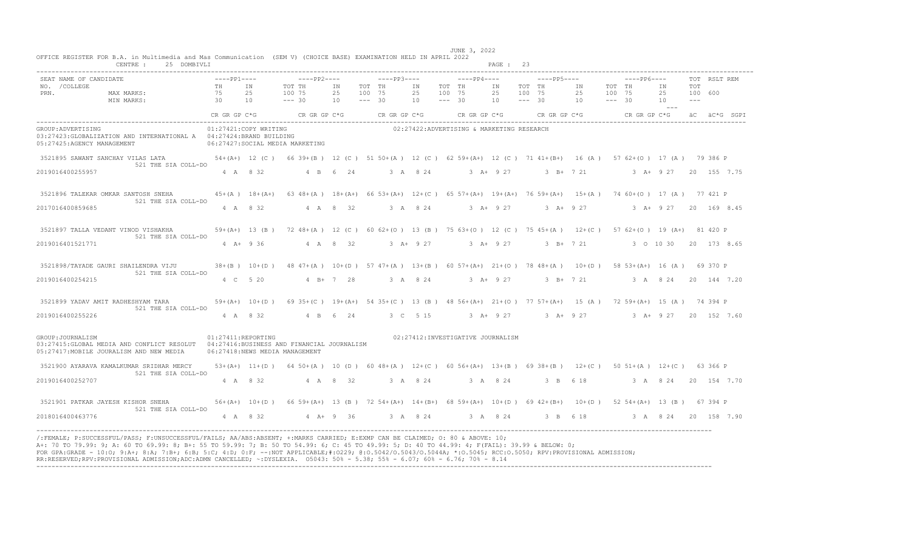|                                                  | CENTRE: 25 DOMBIVLI                                                                                                                                                                                                                                                                                                                                                                                                                                                                                                                                                              |                    |                       |                                                                                                                                                                                                         |                              |                                     |                 |          |                                           | PAGE : 23                                                                                                                                      |                  |  |                                             |                                                                                                                              |                |              |  |
|--------------------------------------------------|----------------------------------------------------------------------------------------------------------------------------------------------------------------------------------------------------------------------------------------------------------------------------------------------------------------------------------------------------------------------------------------------------------------------------------------------------------------------------------------------------------------------------------------------------------------------------------|--------------------|-----------------------|---------------------------------------------------------------------------------------------------------------------------------------------------------------------------------------------------------|------------------------------|-------------------------------------|-----------------|----------|-------------------------------------------|------------------------------------------------------------------------------------------------------------------------------------------------|------------------|--|---------------------------------------------|------------------------------------------------------------------------------------------------------------------------------|----------------|--------------|--|
| SEAT NAME OF CANDIDATE<br>NO. / COLLEGE<br>PRN.  | URREY MAX MARKS:<br>MAX MARKS:<br>MIN MARKS:<br>MIN MARKS:<br>25 100 75<br>10 --- 30                                                                                                                                                                                                                                                                                                                                                                                                                                                                                             | $---PP1---$        |                       | ----PP2----       ----PP3----      ----PP4----      ----PP5----                                                                                                                                         | 25 100 75<br>$10 - - - - 30$ | IN TOT TH IN TOT TH                 | 25 100 75<br>10 | $--- 30$ |                                           | IN THE TERM IN THE TERM IN THE TERM IN THE TERM IN THE TERM IN THE TERM IN THE TERM IN THE TERM IN THE TERM IN<br>25 100 75<br>$10 - - - - 30$ | TOT TH IN TOT TH |  | $---PP6---$<br>25 100 75 25<br>10 --- 30 10 | IN THE TEST OF THE TEST OF THE TEST OF THE TEST OF THE TEST OF THE TEST OF THE TEST OF THE TEST OF THE TEST OF<br>25 100 600 | TOT<br>$- - -$ | TOT RSLT REM |  |
|                                                  |                                                                                                                                                                                                                                                                                                                                                                                                                                                                                                                                                                                  |                    |                       | ––<br>CR GR GP C CR GR GP C CR GP C CR GR GP C CR GP C CR GP C CR GR GP C CR GP C CR GR GP C CR GR GP C CR GC aC aC                                                                                     |                              |                                     |                 |          |                                           |                                                                                                                                                |                  |  |                                             |                                                                                                                              |                |              |  |
| GROUP: ADVERTISING<br>05:27425:AGENCY MANAGEMENT | 06:27427:SOCIAL MEDIA MARKETING                                                                                                                                                                                                                                                                                                                                                                                                                                                                                                                                                  |                    | 01:27421:COPY WRITING |                                                                                                                                                                                                         |                              |                                     |                 |          | 02:27422:ADVERTISING & MARKETING RESEARCH |                                                                                                                                                |                  |  |                                             |                                                                                                                              |                |              |  |
|                                                  | 3521895 SAWANT SANCHAY VILAS LATA 6 79 386 P (A+) 12 (C) 66 39 + (B) 12 (C) 51 50 + (A) 12 (C) 62 59 + (A+) 12 (C) 71 41 + (B+) 16 (A) 57 62 + (O) 17 (A) 79 386 P<br>521 THE SIA COLL-DO                                                                                                                                                                                                                                                                                                                                                                                        |                    |                       |                                                                                                                                                                                                         |                              |                                     |                 |          |                                           |                                                                                                                                                |                  |  |                                             |                                                                                                                              |                |              |  |
| 2019016400255957                                 |                                                                                                                                                                                                                                                                                                                                                                                                                                                                                                                                                                                  |                    |                       | $4 \quad A \quad 8 \quad 32$ $4 \quad B \quad 6 \quad 24$ $3 \quad A \quad 8 \quad 24$ $3 \quad A \pm 9 \quad 27$ $3 \quad B \pm 7 \quad 21$ $3 \quad A \pm 9 \quad 27$ $20 \quad 155 \quad 7 \cdot 75$ |                              |                                     |                 |          |                                           |                                                                                                                                                |                  |  |                                             |                                                                                                                              |                |              |  |
|                                                  | 3521896 TALEKAR OMKAR SANTOSH SNEHA<br>521 THE SIA COLL-DO                                                                                                                                                                                                                                                                                                                                                                                                                                                                                                                       |                    |                       | 45+(A) 18+(A+) 63 48+(A) 18+(A+) 66 53+(A+) 12+(C) 65 57+(A+) 19+(A+) 76 59+(A+) 15+(A) 74 60+(O) 17 (A) 77 421 P                                                                                       |                              |                                     |                 |          |                                           |                                                                                                                                                |                  |  |                                             |                                                                                                                              |                |              |  |
| 2017016400859685                                 |                                                                                                                                                                                                                                                                                                                                                                                                                                                                                                                                                                                  |                    |                       | 4 A 8 32 4 A 8 32 3 A 8 24 3 A + 9 27 3 A + 9 27 3 A + 9 27 20 169 8.45                                                                                                                                 |                              |                                     |                 |          |                                           |                                                                                                                                                |                  |  |                                             |                                                                                                                              |                |              |  |
|                                                  | 3521897 TALLA VEDANT VINOD VISHAKHA 59+(A+) 13 (B) 72 48+(A) 12 (C) 60 62+(O) 13 (B) 75 63+(O) 12 (C) 75 45+(A) 12+(C) 57 62+(O) 19 (A+) 81 420 P<br>521 THE SIA COLL-DO                                                                                                                                                                                                                                                                                                                                                                                                         |                    |                       |                                                                                                                                                                                                         |                              |                                     |                 |          |                                           |                                                                                                                                                |                  |  |                                             |                                                                                                                              |                |              |  |
| 2019016401521771                                 |                                                                                                                                                                                                                                                                                                                                                                                                                                                                                                                                                                                  |                    | $4$ A+ 9 36           | 4 A 8 32                                                                                                                                                                                                |                              | $3 + 927$                           |                 |          | 3 A+ 9 27 3 B+ 7 21 3 0 10 30 20 173 8.65 |                                                                                                                                                |                  |  |                                             |                                                                                                                              |                |              |  |
|                                                  | 3521898/TAYADE GAURI SHAILENDRA VIJU<br>521 THE SIA COLL-DO                                                                                                                                                                                                                                                                                                                                                                                                                                                                                                                      |                    |                       | 38+(B) 10+(D) 48 47+(A) 10+(D) 57 47+(A) 13+(B) 60 57+(A+) 21+(O) 78 48+(A) 10+(D) 58 53+(A+) 16 (A) 69 370 P                                                                                           |                              |                                     |                 |          |                                           |                                                                                                                                                |                  |  |                                             |                                                                                                                              |                |              |  |
| 2019016400254215                                 |                                                                                                                                                                                                                                                                                                                                                                                                                                                                                                                                                                                  |                    |                       | 4 C 5 20 4 B + 7 28 3 A 8 24 3 A + 9 27 3 B + 7 21 3 A 8 24 20 144 7 20                                                                                                                                 |                              |                                     |                 |          |                                           |                                                                                                                                                |                  |  |                                             |                                                                                                                              |                |              |  |
|                                                  | 3521899 YADAV AMIT RADHESHYAM TARA<br>521 THE SIA COLL-DO                                                                                                                                                                                                                                                                                                                                                                                                                                                                                                                        |                    |                       | 59+(A+) 10+(D) 69 35+(C) 19+(A+) 54 35+(C) 13 (B) 48 56+(A+) 21+(O) 77 57+(A+) 15 (A) 72 59+(A+) 15 (A) 74 394 P                                                                                        |                              |                                     |                 |          |                                           |                                                                                                                                                |                  |  |                                             |                                                                                                                              |                |              |  |
| 2019016400255226                                 |                                                                                                                                                                                                                                                                                                                                                                                                                                                                                                                                                                                  |                    |                       | 4 A 8 32 4 B 6 24 3 C 5 15 3 A + 9 27 3 A + 9 27 3 A + 9 27 20 152 7.60                                                                                                                                 |                              |                                     |                 |          |                                           |                                                                                                                                                |                  |  |                                             |                                                                                                                              |                |              |  |
| GROUP: JOURNALISM                                | 03:27415:GLOBAL MEDIA AND CONFLICT RESOLUT 04:27416:BUSINESS AND FINANCIAL JOURNALISM<br>05:27417: MOBILE JOURALISM AND NEW MEDIA                                                                                                                                                                                                                                                                                                                                                                                                                                                | 01:27411:REPORTING |                       | 06:27418:NEWS MEDIA MANAGEMENT                                                                                                                                                                          |                              |                                     |                 |          | 02:27412:INVESTIGATIVE JOURNALISM         |                                                                                                                                                |                  |  |                                             |                                                                                                                              |                |              |  |
|                                                  | 3521900 AYARAVA KAMALKUMAR SRIDHAR MERCY<br>521 THE SIA COLL-DO                                                                                                                                                                                                                                                                                                                                                                                                                                                                                                                  |                    |                       | 53+(A+) 11+(D) 64 50+(A) 10 (D) 60 48+(A) 12+(C) 60 56+(A+) 13+(B) 69 38+(B) 12+(C) 50 51+(A) 12+(C) 63 366 P                                                                                           |                              |                                     |                 |          |                                           |                                                                                                                                                |                  |  |                                             |                                                                                                                              |                |              |  |
| 2019016400252707                                 |                                                                                                                                                                                                                                                                                                                                                                                                                                                                                                                                                                                  |                    |                       | 4 A 8 32 4 A 8 32                                                                                                                                                                                       |                              | 3 A 8 24 3 A 8 24 3 B 6 18 3 A 8 24 |                 |          |                                           |                                                                                                                                                |                  |  |                                             |                                                                                                                              |                | 20 154 7.70  |  |
|                                                  | 3521901 PATKAR JAYESH KISHOR SNEHA 56+(A+) 10+(D) 66 59+(A+) 13 (B) 72 54+(A+) 14+(B+) 68 59+(A+) 10+(D) 69 42+(B+) 10+(D) 52 54+(A+) 13 (B) 67 394 P<br>521 THE SIA COLL-DO                                                                                                                                                                                                                                                                                                                                                                                                     |                    |                       |                                                                                                                                                                                                         |                              |                                     |                 |          |                                           |                                                                                                                                                |                  |  |                                             |                                                                                                                              |                |              |  |
| 2018016400463776                                 |                                                                                                                                                                                                                                                                                                                                                                                                                                                                                                                                                                                  |                    |                       | 4 A 8 32 4 A+ 9 36 3 A 8 24 3 A 8 24 3 B 6 18 3 A 8 24 20 158 7.90                                                                                                                                      |                              |                                     |                 |          |                                           |                                                                                                                                                |                  |  |                                             |                                                                                                                              |                |              |  |
|                                                  | /:FEMALE: P:SUCCESSFUL/PASS: F:UNSUCCESSFUL/FAILS: AA/ABS:ABSENT: +:MARKS CARRIED: E:EXMP CAN BE CLAIMED: 0: 80 & ABOVE: 10:<br>A+: 70 TO 79.99: 9; A: 60 TO 69.99: 8; B+: 55 TO 59.99: 7; B: 50 TO 54.99: 6; C: 45 TO 49.99: 5; D: 40 TO 44.99: 4; F(FAIL): 39.99 & BELOW: 0;<br>FOR GPA:GRADE - 10:0; 9:A+; 8:A; 7:B+; 6:B; 5:C; 4:D; 0:F; --:NOT APPLICABLE;#:0229; 0:0.5042/0.5043/0.5044A; *:0.5045; RCC:0.5050; RPV:PROVISIONAL ADMISSION;<br>RR:RESERVED;RPV:PROVISIONAL ADMISSION;ADC:ADMN CANCELLED; ~: DYSLEXIA. 05043: 50% - 5.38; 55% - 6.07; 60% - 6.76; 70% - 8.14 |                    |                       |                                                                                                                                                                                                         |                              |                                     |                 |          |                                           |                                                                                                                                                |                  |  |                                             |                                                                                                                              |                |              |  |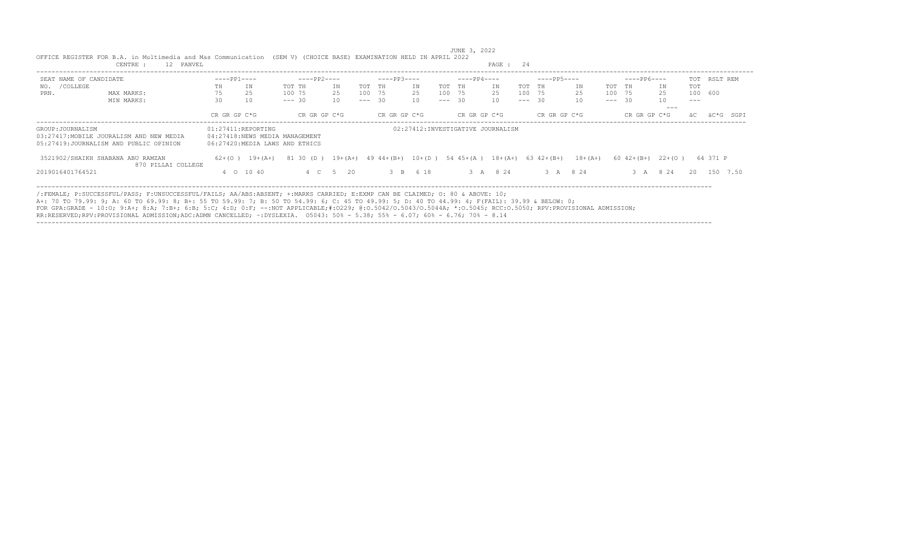|                        | OFFICE REGISTER FOR B.A. in Multimedia and Mas Communication                                                                                                                                                                                                                                                                                                                                                                                                                                                                                                                        |              |                    | (SEM V) (CHOICE BASE) EXAMINATION HELD IN APRIL 2022             |          |          |              |          |          | JUNE 3, 2022 |                                                              |          |              |             |          |                |          |               |              |      |
|------------------------|-------------------------------------------------------------------------------------------------------------------------------------------------------------------------------------------------------------------------------------------------------------------------------------------------------------------------------------------------------------------------------------------------------------------------------------------------------------------------------------------------------------------------------------------------------------------------------------|--------------|--------------------|------------------------------------------------------------------|----------|----------|--------------|----------|----------|--------------|--------------------------------------------------------------|----------|--------------|-------------|----------|----------------|----------|---------------|--------------|------|
|                        | 12 PANVEL<br>CENTRE :                                                                                                                                                                                                                                                                                                                                                                                                                                                                                                                                                               |              |                    |                                                                  |          |          |              |          |          |              | PAGE : 24                                                    |          |              |             |          |                |          |               |              |      |
| SEAT NAME OF CANDIDATE |                                                                                                                                                                                                                                                                                                                                                                                                                                                                                                                                                                                     | $---PP1---$  |                    | $---PP2---$                                                      |          |          | $---PP3---$  |          |          | $---PP4---$  |                                                              |          | $---PP5---$  |             |          | $---PP6---$    |          |               | TOT RSLT REM |      |
| /COLLEGE<br>NO.        |                                                                                                                                                                                                                                                                                                                                                                                                                                                                                                                                                                                     | TH           | IN                 | TOT TH                                                           | ΙN       | TOT TH   |              | ΙN       | TOT TH   |              | IN                                                           | TOT TH   |              | ΙN.         | TOT TH   |                | ΙN       | <b>TOT</b>    |              |      |
| PRN.                   | MAX MARKS:                                                                                                                                                                                                                                                                                                                                                                                                                                                                                                                                                                          | 75           | 25                 | 100 75                                                           | 25       | 100 75   |              | 25       | 100 75   |              | 25                                                           | 100 75   |              | 25          |          | 100 75         | 25       | 100 600       |              |      |
|                        | MIN MARKS:                                                                                                                                                                                                                                                                                                                                                                                                                                                                                                                                                                          | 30           | 10                 | $--- 30$                                                         | 10       | $--- 30$ |              | 10       | $--- 30$ |              | 10                                                           | $--- 30$ |              | 10          | $--- 30$ |                | 10       | $\frac{1}{2}$ |              |      |
|                        |                                                                                                                                                                                                                                                                                                                                                                                                                                                                                                                                                                                     | CR GR GP C*G |                    | CR GR GP C*G                                                     |          |          | CR GR GP C*G |          |          | CR GR GP C*G |                                                              |          | CR GR GP C*G |             |          | CR GR GP C*G   | $- - -$  |               |              | SGPT |
| GROUP: JOURNALISM      | 03:27417: MOBILE JOURALISM AND NEW MEDIA<br>05:27419:JOURNALISM AND PUBLIC OPINION                                                                                                                                                                                                                                                                                                                                                                                                                                                                                                  |              | 01:27411:REPORTING | 04:27418:NEWS MEDIA MANAGEMENT<br>06:27420:MEDIA LAWS AND ETHICS |          |          |              |          |          |              | 02:27412: INVESTIGATIVE JOURNALISM                           |          |              |             |          |                |          |               |              |      |
|                        | 3521902/SHAIKH SHABANA ABU RAMZAN                                                                                                                                                                                                                                                                                                                                                                                                                                                                                                                                                   |              | $62+(0)$ 19+(A+)   | 81 30                                                            |          |          |              |          |          |              | $(D)$ 19+(A+) 49 44+(B+) 10+(D) 54 45+(A) 18+(A+) 63 42+(B+) |          |              | $18 + (A+)$ |          | $60 \t42+(B+)$ | $22+(0)$ |               | 64 371 P     |      |
|                        | 870 PILLAI COLLEGE                                                                                                                                                                                                                                                                                                                                                                                                                                                                                                                                                                  |              |                    |                                                                  |          |          |              |          |          |              |                                                              |          |              |             |          |                |          |               |              |      |
| 2019016401764521       |                                                                                                                                                                                                                                                                                                                                                                                                                                                                                                                                                                                     |              | 4 0 10 40          |                                                                  | 4 C 5 20 |          |              | 3 B 6 18 |          |              | 3 A 8 24                                                     |          | 3 A 8 24     |             |          |                | 3 A 8 24 | 20            | 150 7.50     |      |
|                        | /:FEMALE; P:SUCCESSFUL/PASS; F:UNSUCCESSFUL/FAILS; AA/ABS:ABSENT; +:MARKS CARRIED; E:EXMP CAN BE CLAIMED; O: 80 & ABOVE: 10;<br>A+: 70 TO 79.99: 9; A: 60 TO 69.99: 8; B+: 55 TO 59.99: 7; B: 50 TO 54.99: 6; C: 45 TO 49.99: 5; D: 40 TO 44.99: 4; F(FAIL): 39.99 & BELOW: 0;<br>FOR GPA:GRADE - 10:0; 9:A+; 8:A; 7:B+; 6:B; 5:C; 4:D; 0:F; --:NOT APPLICABLE;#:0229; 0:0.5042/0.50440; *:0.5044A; *:0.5045; RCC:0.5050; RPV:PROVISIONAL ADMISSION;<br>RR:RESERVED;RPV:PROVISIONAL ADMISSION;ADC:ADMN CANCELLED; ~:DYSLEXIA. 05043: 50% - 5.38; 55% - 6.07; 60% - 6.76; 70% - 8.14 |              |                    |                                                                  |          |          |              |          |          |              |                                                              |          |              |             |          |                |          |               |              |      |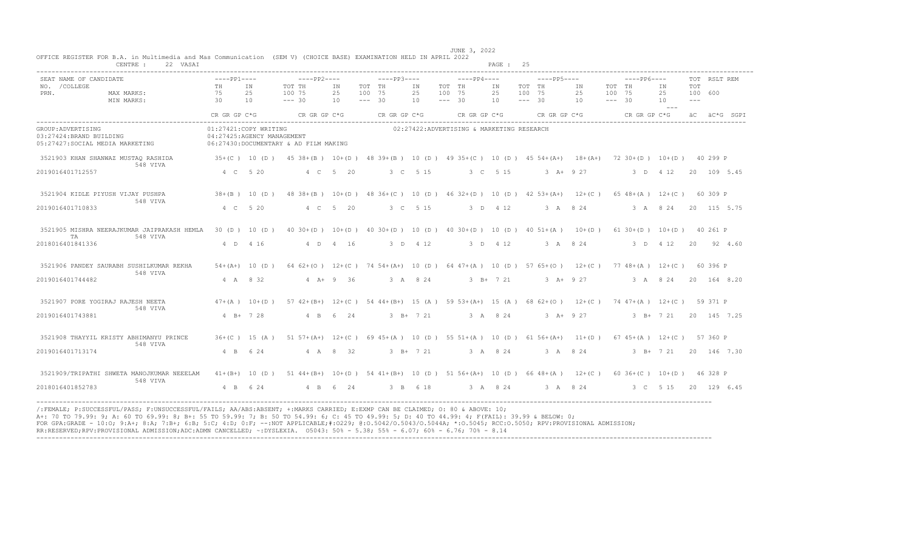|                                                                                   | CENTRE :<br>22 VASAI                                    |                                                     |                    |                                                                                                       |              |                    |              |               |                    |                                                        | PAGE :      | -25                |               |          |                    |                               |                      |                          |              |              |
|-----------------------------------------------------------------------------------|---------------------------------------------------------|-----------------------------------------------------|--------------------|-------------------------------------------------------------------------------------------------------|--------------|--------------------|--------------|---------------|--------------------|--------------------------------------------------------|-------------|--------------------|---------------|----------|--------------------|-------------------------------|----------------------|--------------------------|--------------|--------------|
| SEAT NAME OF CANDIDATE<br>NO. / COLLEGE                                           |                                                         | $---PP1---$<br>TH                                   | IN                 | $---PP2---$<br>TOT TH                                                                                 | ΙN           | TOT TH             | $---PP3---$  | ΙN            | TOT TH             | $---PP4---$                                            | IN          | TOT TH             | $---PP5---$   | ΙN       | TOT TH             | $---PP6---$                   | IN                   | TOT                      | TOT RSLT REM |              |
| PRN.                                                                              | MAX MARKS:<br>MIN MARKS:                                | 75<br>30                                            | 25<br>10           | 100 75<br>$--- 30$                                                                                    | 25<br>10     | 100 75<br>$--- 30$ |              | 25<br>10      | 100 75<br>$--- 30$ |                                                        | 25<br>10    | 100 75<br>$--- 30$ |               | 25<br>10 | 100 75<br>$--- 30$ |                               | 2.5<br>10<br>$- - -$ | 100 600<br>$\frac{1}{2}$ |              |              |
|                                                                                   |                                                         | CR GR GP C*G                                        |                    | CR GR GP C*G                                                                                          |              |                    | CR GR GP C*G |               |                    | CR GR GP C*G                                           |             |                    | CR GR GP C*G  |          |                    | CR GR GP C*G                  |                      |                          |              | äC äC*G SGPI |
| GROUP: ADVERTISING<br>03:27424: BRAND BUILDING<br>05:27427:SOCIAL MEDIA MARKETING |                                                         | 01:27421:COPY WRITING<br>04:27425:AGENCY MANAGEMENT |                    | 06:27430:DOCUMENTARY & AD FILM MAKING                                                                 |              |                    |              |               |                    | 02:27422:ADVERTISING & MARKETING RESEARCH              |             |                    |               |          |                    |                               |                      |                          |              |              |
|                                                                                   | 3521903 KHAN SHANWAZ MUSTAQ RASHIDA<br>548 VIVA         | $35+(C)$ 10 (D)                                     |                    | 45 38+(B) 10+(D) 48 39+(B) 10 (D) 49 35+(C) 10 (D) 45 54+(A+) 18+(A+) 72 30+(D) 10+(D) 40 299 P       |              |                    |              |               |                    |                                                        |             |                    |               |          |                    |                               |                      |                          |              |              |
| 2019016401712557                                                                  |                                                         | 4 C 5 20                                            |                    |                                                                                                       | 4 C 5 20     |                    |              | 3 C 5 15      |                    |                                                        | 3 C 5 15    |                    | $3 A+ 9 27$   |          |                    | 3 D 4 12                      |                      |                          | 20 109 5.45  |              |
|                                                                                   | 3521904 KIDLE PIYUSH VIJAY PUSHPA<br>548 VIVA           |                                                     | $38+(B)$ 10 (D)    | 48 38 + (B) 10 + (D) 48 36 + (C) 10 (D) 46 32 + (D) 10 (D) 42 53 + (A+) 12 + (C)                      |              |                    |              |               |                    |                                                        |             |                    |               |          |                    | $65$ 48+(A) 12+(C)            |                      |                          | 60 309 P     |              |
| 2019016401710833                                                                  |                                                         | 4 C 5 20                                            |                    |                                                                                                       | 4 C 5 20     |                    |              | 3 C 5 15      |                    |                                                        | 3 D 4 12    |                    | 3 A 8 24      |          |                    | 3 A 8 24                      |                      |                          | 20 115 5.75  |              |
| TA                                                                                | 3521905 MISHRA NEERAJKUMAR JAIPRAKASH HEMLA<br>548 VIVA |                                                     | 30 (D) 10 (D)      | $40\ 30+(D)$ $10+(D)$ $40\ 30+(D)$ $10(D)$ $40\ 30+(D)$ $10(D)$ $4051+(A)$ $10+(D)$                   |              |                    |              |               |                    |                                                        |             |                    |               |          |                    | $61$ 30+(D) $10+(D)$ 40 261 P |                      |                          |              |              |
| 2018016401841336                                                                  |                                                         | 4 D 4 16                                            |                    |                                                                                                       | 4 D 4 16     |                    |              | 3 D 4 12      |                    |                                                        | 3 D 4 12    |                    | 3 A 8 24      |          |                    | 3 D 4 12                      |                      | $20 -$                   | 92 4.60      |              |
|                                                                                   | 3521906 PANDEY SAURABH SUSHILKUMAR REKHA<br>548 VIVA    |                                                     | $54 + (A+) 10 (D)$ | 64 62+(0) 12+(C) 74 54+(A+) 10 (D) 64 47+(A) 10 (D) 57 65+(O) 12+(C) 77 48+(A) 12+(C) 60 396 P        |              |                    |              |               |                    |                                                        |             |                    |               |          |                    |                               |                      |                          |              |              |
| 2019016401744482                                                                  |                                                         | 4 A 8 32                                            |                    |                                                                                                       | $4 A + 9 36$ |                    |              | 3 A 8 24      |                    |                                                        | $3 B+ 7 21$ |                    | $3 A+ 9 27$   |          |                    | 3 A 8 24                      |                      |                          | 20 164 8.20  |              |
|                                                                                   | 3521907 PORE YOGIRAJ RAJESH NEETA<br>548 VIVA           |                                                     | $47 + (A)$ 10+(D)  | 57 42+(B+) 12+(C) 54 44+(B+) 15 (A) 59 53+(A+) 15 (A) 68 62+(O) 12+(C)                                |              |                    |              |               |                    |                                                        |             |                    |               |          |                    | 74 47+(A) 12+(C)              |                      |                          | 59 371 P     |              |
| 2019016401743881                                                                  |                                                         | $4$ R+ 7 28                                         |                    | $4 \overline{B}$                                                                                      | 6 24         |                    |              | $3$ B+ $7$ 21 |                    |                                                        | 3 A 8 24    |                    | $3$ $A+$ 9 27 |          |                    | $3$ B+ $7$ 21                 |                      |                          | 20 145 7.25  |              |
|                                                                                   | 3521908 THAYYIL KRISTY ABHIMANYU PRINCE<br>548 VIVA     |                                                     | $36+ (C)$ 15 $(A)$ | $51\ 57+(A+)$ $12+(C)$ 69 $45+(A)$ 10 (D) 55 $51+(A)$ 10 (D) 61 $56+(A+)$ 11+ (D) 67 $45+(A)$ 12+ (C) |              |                    |              |               |                    |                                                        |             |                    |               |          |                    |                               |                      |                          | 57 360 P     |              |
| 2019016401713174                                                                  |                                                         | $4$ B                                               | 6 24               |                                                                                                       | 4 A 8 32     |                    |              | $3$ B+ $7$ 21 |                    |                                                        | 3 A 8 24    |                    | 3 A 8 24      |          |                    | $3$ B+ $7$ 21                 |                      |                          | 20 146 7.30  |              |
|                                                                                   | 3521909/TRIPATHI SHWETA MANOJKUMAR NEEELAM<br>548 VIVA  | $41+ (B+)$                                          | 10(D)              | $51 \t44+(B+)$                                                                                        |              |                    |              |               |                    | $10+(D)$ 54 41+(B+) 10 (D) 51 56+(A+) 10 (D) 66 48+(A) |             |                    |               | $12+(C)$ |                    | $60$ 36+(C) $10+(D)$          |                      |                          | 46 328 P     |              |
| 2018016401852783                                                                  |                                                         | $4$ B                                               | 6 2 4              | $4$ B                                                                                                 | 6<br>24      |                    | $3 \quad B$  | 6 18          |                    |                                                        | 3 A 8 24    |                    | 3 A 8 24      |          |                    | 3 <sup>o</sup>                | 5 15                 |                          | 20 129 6.45  |              |

 JUNE 3, 2022 OFFICE REGISTER FOR B.A. in Multimedia and Mas Communication (SEM V) (CHOICE BASE) EXAMINATION HELD IN APRIL 2022<br>CENTRE : 22 VASAI PAGE : 25

/:FEMALE; P:SUCCESSFUL/PASS; F:UNSUCCESSFUL/FAILS; AA/ABS:ABSENT; +:MARKS CARRIED; E:EXMP CAN BE CLAIMED; O: 80 & ABOVE: 10; A+: 70 TO 79.99: 9; A: 60 TO 69.99: 8; B+: 55 TO 59.99: 7; B: 50 TO 54.99: 6; C: 45 TO 49.99: 5; D: 40 TO 44.99: 4; F(FAIL): 39.99 & BELOW: 0; FOR GPA:GRADE - 10:O; 9:A+; 8:A; 7:B+; 6:B; 5:C; 4:D; 0:F; --:NOT APPLICABLE;#:O229; @:O.5042/O.5043/O.5044A; \*:O.5045; RCC:O.5050; RPV:PROVISIONAL ADMISSION; RR:RESERVED;RPV:PROVISIONAL ADMISSION;ADC:ADMN CANCELLED; ~:DYSLEXIA. O5043: 50% - 5.38; 55% - 6.07; 60% - 6.76; 70% - 8.14 ----------------------------------------------------------------------------------------------------------------------------------------------------------------------------------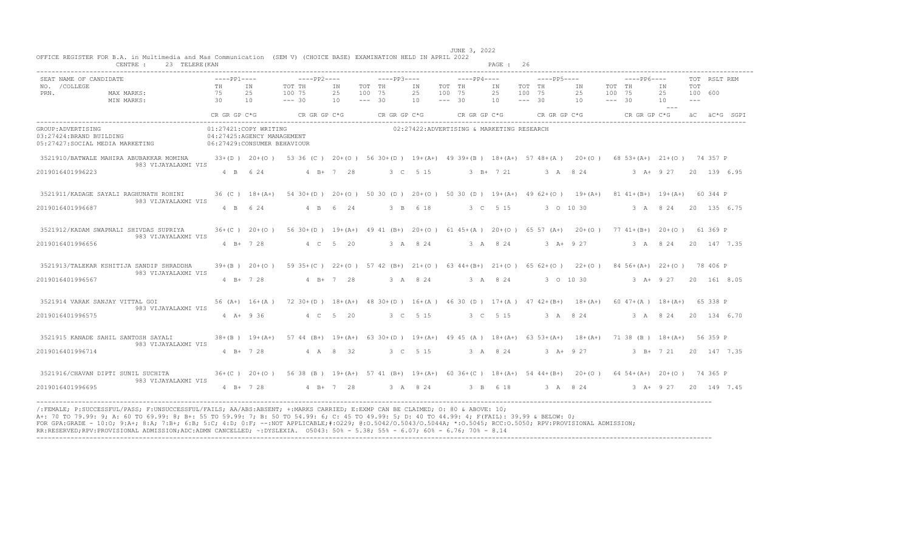| CENTRE :<br>23 TELERE (KAN                                                                                                                                                   |                                                                                    |                  |                                                                                                                  |             |                                                                                                                   |                                           |                                 | PAGE: 26 |                                 |                        |                                 |                       |                       |              |
|------------------------------------------------------------------------------------------------------------------------------------------------------------------------------|------------------------------------------------------------------------------------|------------------|------------------------------------------------------------------------------------------------------------------|-------------|-------------------------------------------------------------------------------------------------------------------|-------------------------------------------|---------------------------------|----------|---------------------------------|------------------------|---------------------------------|-----------------------|-----------------------|--------------|
| SEAT NAME OF CANDIDATE<br>NO. / COLLEGE<br>PRN.<br>MAX MARKS:                                                                                                                | $---PP1---$<br>TH<br>75                                                            | TN<br>2.5        | $---PP2---$<br>TOT TH<br>100 75                                                                                  | TN<br>2.5   | $---PP3---$<br>TOT TH<br>100 75                                                                                   | TN<br>25                                  | $---PP4---$<br>TOT TH<br>100 75 | TN<br>25 | $---PP5---$<br>TOT TH<br>100 75 | TN<br>25               | $---PP6---$<br>TOT TH<br>100 75 | TN<br>25              | <b>TOT</b><br>100 600 | TOT RSLT REM |
| MIN MARKS:                                                                                                                                                                   | 30<br>CR GR GP C*G                                                                 | 10               | $--- 30$<br>CR GR GP C*G                                                                                         | 10          | $--- 30$<br>CR GR GP C*G                                                                                          | 10                                        | $--- 30$<br>CR GR GP C*G        | 10       | $--- 30$                        | 10<br>$CR$ GR GP $C*G$ | $--- 30$<br>CR GR GP C*G        | 10<br>$  -$           | $\frac{1}{2}$         | äC äC*G SGPI |
| GROUP: ADVERTISING<br>03:27424:BRAND BUILDING<br>05:27427:SOCIAL MEDIA MARKETING                                                                                             | 01:27421:COPY WRITING<br>04:27425:AGENCY MANAGEMENT<br>06:27429:CONSUMER BEHAVIOUR |                  |                                                                                                                  |             |                                                                                                                   | 02:27422:ADVERTISING & MARKETING RESEARCH |                                 |          |                                 |                        |                                 |                       |                       |              |
| 3521910/BATWALE MAHIRA ABUBAKKAR MOMINA<br>983 VIJAYALAXMI VIS                                                                                                               |                                                                                    |                  | 33+(D) 20+(O) 53 36 (C) 20+(O) 56 30+(D) 19+(A+) 49 39+(B) 18+(A+) 57 48+(A) 20+(O) 68 53+(A+) 21+(O) 74 357 P   |             |                                                                                                                   |                                           |                                 |          |                                 |                        |                                 |                       |                       |              |
| 2019016401996223                                                                                                                                                             | 4 B 6 24                                                                           |                  | $4 B+ 7 28$                                                                                                      |             |                                                                                                                   | 3 C 5 15                                  | $3 B+ 7 21$                     |          |                                 | 3 A 8 2 4              |                                 | 3 A+ 9 27 20 139 6.95 |                       |              |
| 3521911/KADAGE SAYALI RAGHUNATH ROHINI<br>983 VIJAYALAXMI VIS<br>2019016401996687                                                                                            | $36$ (C) $18+(A+)$<br>4 B 6 24                                                     |                  |                                                                                                                  | 4 B 6 24    | 54 30 + (D) 20 + (O) 50 30 (D) 20 + (O) 50 30 (D) 19 + (A+) 49 62 + (O) 19 + (A+) 81 41 + (B+) 19 + (A+) 60 344 P | 3 B 6 18                                  |                                 | 3 C 5 15 | 3 0 10 30                       |                        |                                 | 3 A 8 24 20 135 6.75  |                       |              |
|                                                                                                                                                                              |                                                                                    |                  |                                                                                                                  |             |                                                                                                                   |                                           |                                 |          |                                 |                        |                                 |                       |                       |              |
| 3521912/KADAM SWAPNALI SHIVDAS SUPRIYA<br>983 VIJAYALAXMI VIS<br>2019016401996656                                                                                            | $36+ (C) 20+ (O)$<br>$4 B+ 7 28$                                                   |                  |                                                                                                                  | 4 C 5 20    | 56 30 + (D) 19 + (A+) 49 41 (B+) 20 + (O) 61 45 + (A) 20 + (O) 65 57 (A+) 20 + (O) 77 41 + (B+) 20 + (O) 61 369 P | 3 A 8 24                                  |                                 | 3 A 8 24 | $3 A+ 9 27$                     |                        |                                 | 3 A 8 24 20 147 7.35  |                       |              |
|                                                                                                                                                                              |                                                                                    |                  |                                                                                                                  |             |                                                                                                                   |                                           |                                 |          |                                 |                        |                                 |                       |                       |              |
| 3521913/TALEKAR KSHITIJA SANDIP SHRADDHA<br>983 VIJAYALAXMI VIS<br>2019016401996567                                                                                          | $4 B+ 7 28$                                                                        |                  | 39+(B) 20+(O) 59 35+(C) 22+(O) 57 42 (B+) 21+(O) 63 44+(B+) 21+(O) 65 62+(O) 22+(O) 84 56+(A+) 22+(O) 78 406 P   | $4 B+ 7 28$ |                                                                                                                   | 3 A 8 24                                  | 3 A 8 24                        |          | 3 0 10 30                       |                        |                                 | 3 A+ 9 27 20 161 8.05 |                       |              |
| 3521914 VARAK SANJAY VITTAL GOI                                                                                                                                              |                                                                                    |                  | 56 (A+) 16+(A) 72 30+(D) 18+(A+) 48 30+(D) 16+(A) 46 30 (D) 17+(A) 47 42+(B+) 18+(A+) 60 47+(A) 18+(A+) 65 338 P |             |                                                                                                                   |                                           |                                 |          |                                 |                        |                                 |                       |                       |              |
| 983 VIJAYALAXMI VIS<br>2019016401996575                                                                                                                                      | $4$ A+ 9 36                                                                        |                  |                                                                                                                  | 4 C 5 20    |                                                                                                                   | 3 C 5 15                                  | 3 C 5 15                        |          | 3 A 8 24                        |                        |                                 | 3 A 8 24 20 134 6.70  |                       |              |
| 3521915 KANADE SAHIL SANTOSH SAYALI                                                                                                                                          |                                                                                    | $38+(B)$ 19+(A+) | 57 44 (B+) 19+(A+) 63 30+(D) 19+(A+) 49 45 (A) 18+(A+) 63 53+(A+) 18+(A+) 71 38 (B) 18+(A+) 56 359 P             |             |                                                                                                                   |                                           |                                 |          |                                 |                        |                                 |                       |                       |              |
| 983 VIJAYALAXMI VIS<br>2019016401996714                                                                                                                                      | $4 B+ 7 28$                                                                        |                  |                                                                                                                  | 4 A 8 32    |                                                                                                                   | 3 C 5 15                                  |                                 | 3 A 8 24 | $3 A+ 9 27$                     |                        |                                 | $3$ B+ $7$ 21         |                       | 20 147 7.35  |
| 3521916/CHAVAN DIPTI SUNIL SUCHITA 365 (C) 20+(O) 56 38 (B) 19+(A+) 57 41 (B+) 19+(A+) 60 36+(C) 18+(A+) 54 44+(B+) 20+(O) 64 54+(A+) 20+(O) 74 365 P<br>983 VIJAYALAXMI VIS |                                                                                    |                  |                                                                                                                  |             |                                                                                                                   |                                           |                                 |          |                                 |                        |                                 |                       |                       |              |
| 2019016401996695<br>----------------------------------                                                                                                                       | $4 B+ 7 28$                                                                        |                  |                                                                                                                  | $4 B+ 7 28$ |                                                                                                                   | 3 A 8 24                                  | 3 B 6 18                        |          | 3 A 8 24                        |                        |                                 | 3 A+ 9 27 20 149 7.45 |                       |              |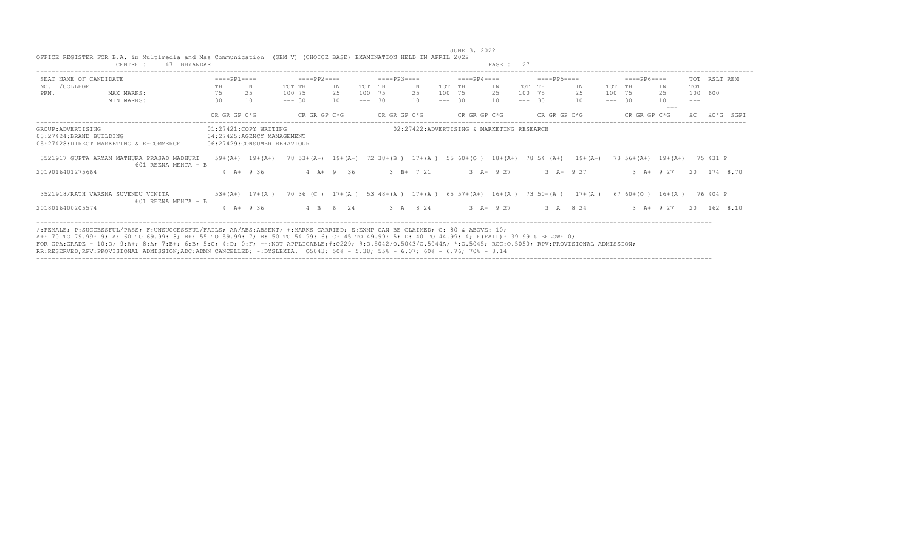| SEAT NAME OF CANDIDATE<br>/COLLEGE<br>NO.<br>PRN.<br>MAX MARKS:<br>MIN MARKS:           | $---PP1---$<br>TН<br>75<br>30<br>CR GR GP C*G<br>06:27429: CONSUMER BEHAVIOUR | IN<br>2.5<br>10<br>01:27421:COPY WRITING<br>04:27425:AGENCY MANAGEMENT | $---PP2---$<br>TOT TH<br>100 75<br>$--- 30$<br>CR GR GP C*G              | IN<br>25<br>10 | TOT TH<br>100 75<br>$--- 30$ | $---PP3---$<br>CR GR GP C*G | IN<br>25<br>10 | TOT<br>100 75<br>$--- 30$ | $---PP4---$<br>TH<br>CR GR GP C*G | IN<br>25<br>10                            | TOT TH<br>100 75<br>$--- 30$ | $---PP5---$<br>CR GR GP C*G | IN<br>25<br>10 | TOT TH<br>100 75<br>$--- 30$ | $---PP6---$<br>CR GR GP C*G | ΙN<br>25<br>10<br>$- - -$ | <b>TOT</b><br>100 600<br>$---$<br>äС | TOT RSLT REM<br>äC*G<br>SGPI |
|-----------------------------------------------------------------------------------------|-------------------------------------------------------------------------------|------------------------------------------------------------------------|--------------------------------------------------------------------------|----------------|------------------------------|-----------------------------|----------------|---------------------------|-----------------------------------|-------------------------------------------|------------------------------|-----------------------------|----------------|------------------------------|-----------------------------|---------------------------|--------------------------------------|------------------------------|
|                                                                                         |                                                                               |                                                                        |                                                                          |                |                              |                             |                |                           |                                   |                                           |                              |                             |                |                              |                             |                           |                                      |                              |
|                                                                                         |                                                                               |                                                                        |                                                                          |                |                              |                             |                |                           |                                   |                                           |                              |                             |                |                              |                             |                           |                                      |                              |
|                                                                                         |                                                                               |                                                                        |                                                                          |                |                              |                             |                |                           |                                   |                                           |                              |                             |                |                              |                             |                           |                                      |                              |
|                                                                                         |                                                                               |                                                                        |                                                                          |                |                              |                             |                |                           |                                   |                                           |                              |                             |                |                              |                             |                           |                                      |                              |
| GROUP: ADVERTISING<br>03:27424:BRAND BUILDING<br>05:27428:DIRECT MARKETING & E-COMMERCE |                                                                               |                                                                        |                                                                          |                |                              |                             |                |                           |                                   |                                           |                              |                             |                |                              |                             |                           |                                      |                              |
|                                                                                         |                                                                               |                                                                        |                                                                          |                |                              |                             |                |                           |                                   | 02:27422:ADVERTISING & MARKETING RESEARCH |                              |                             |                |                              |                             |                           |                                      |                              |
| 3521917 GUPTA ARYAN MATHURA PRASAD MADHURI<br>601 REENA MEHTA - B                       | $59+(A+)$ 19+(A+)                                                             |                                                                        | $78$ 53+(A+) 19+(A+)                                                     |                |                              | $72.38 + (B)$               |                |                           | $17+(A)$ 55 60 + (0)              | $18+(A+)$ 78 54 (A+)                      |                              |                             | $19+ (A+)$     |                              | $73\,56+(A+)$ 19+(A+)       |                           |                                      | 75 431 P                     |
| 2019016401275664                                                                        | $4 \text{ A} + 936$                                                           |                                                                        |                                                                          | $4 A + 9 36$   |                              |                             | $3$ B+ $7$ 21  |                           |                                   | $3$ $A+$ 9 27                             |                              | $3$ $A+$ 9 27               |                |                              | $3 + 927$                   |                           |                                      | 20 174 8.70                  |
| 3521918/RATH VARSHA SUVENDU VINITA<br>601 REENA MEHTA - B                               | $53 + (A+) 17 + (A)$                                                          |                                                                        | 70 36 (C) $17+(A)$ 53 48+(A) $17+(A)$ 65 57+(A+) 16+(A) 73 50+(A) 17+(A) |                |                              |                             |                |                           |                                   |                                           |                              |                             |                |                              | 67 60 + (O) 16 + (A)        |                           |                                      | 76 404 P                     |
| 2018016400205574                                                                        | $4$ $A+$ 9 36                                                                 |                                                                        |                                                                          | 4 B 6 24       |                              |                             | 3 A 8 24       |                           |                                   | $3$ $A+$ 9 27                             |                              | 3 A 8 24                    |                |                              | $3 A+ 9 27$                 |                           | 20                                   | 162 8.10                     |

JUNE 3, 2022<br>OFFICE REGISTER FOR B.A. in Multimedia and Mas Communication (SEM V) (CHOICE BASE) EXAMINATION HELD IN APRIL 2022<br>CENTRE : 47 BHYANDAR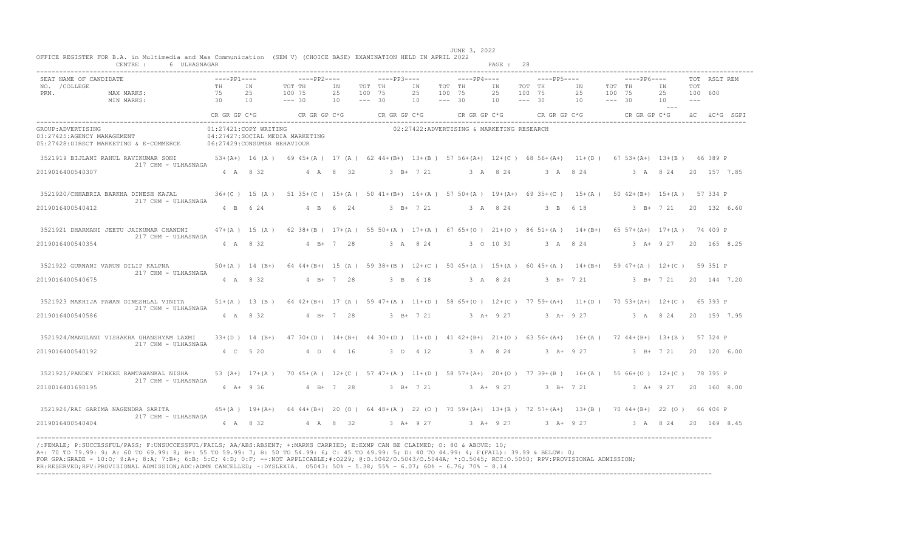|                                                  | CENTRE :<br>6 ULHASNAGAR                                                                                                                                                     |                                                         |          |                                                                                                                    |                |                              |             |                |                              |                                                    | PAGE: 28       |                              |                   |                                                                            |                              |                       |                                |                                 |              |  |
|--------------------------------------------------|------------------------------------------------------------------------------------------------------------------------------------------------------------------------------|---------------------------------------------------------|----------|--------------------------------------------------------------------------------------------------------------------|----------------|------------------------------|-------------|----------------|------------------------------|----------------------------------------------------|----------------|------------------------------|-------------------|----------------------------------------------------------------------------|------------------------------|-----------------------|--------------------------------|---------------------------------|--------------|--|
| SEAT NAME OF CANDIDATE<br>NO. / COLLEGE<br>PRN.  | MAX MARKS:<br>MIN MARKS:                                                                                                                                                     | $---PP1---$<br><b>TH</b><br>75<br>$\overline{30}$<br>10 | TN<br>25 | $---PP2---$<br>TOT TH<br>100 75<br>$--- 30$                                                                        | IN<br>25<br>10 | TOT TH<br>100 75<br>$--- 30$ | $---PP3---$ | IN<br>25<br>10 | TOT TH<br>100 75<br>$--- 30$ | $---PP4---$                                        | IN<br>25<br>10 | TOT TH<br>100 75<br>$--- 30$ | $---PP5---$       | IN<br>25<br>10                                                             | TOT TH<br>100 75<br>$--- 30$ | $---PP6---$           | IN<br>25<br>10<br>$\sim$ $  -$ | <b>TOT</b><br>100 600<br>$   -$ | TOT RSLT REM |  |
|                                                  |                                                                                                                                                                              |                                                         |          | CR GR GP $C*G$ CR GR GP $C*G$ CR GR GP $C*G$                                                                       |                |                              |             |                |                              |                                                    |                |                              |                   | CR GR GP C*G $CR$ GR GP C*G $CR$ GR GP C*G $\ddot{AC}$ aC $\ddot{AC}$ SGPI |                              |                       |                                |                                 |              |  |
| GROUP: ADVERTISING<br>03:27425:AGENCY MANAGEMENT | 05:27428:DIRECT MARKETING & E-COMMERCE 06:27429:CONSUMER BEHAVIOUR                                                                                                           | 01:27421:COPY WRITING                                   |          | 04:27427:SOCIAL MEDIA MARKETING                                                                                    |                |                              |             |                |                              | 02:27422:ADVERTISING & MARKETING RESEARCH          |                |                              |                   |                                                                            |                              |                       |                                |                                 |              |  |
|                                                  | 3521919 BIJLANI RAHUL RAVIKUMAR SONI 53+(A+) 16 (A) 69 45+(A) 17 (A) 62 44+(B+) 13+(B) 57 56+(A+) 12+(C) 68 56+(A+) 11+(D) 67 53+(A+) 13+(B) 66 389 P<br>217 CHM - ULHASNAGA |                                                         |          |                                                                                                                    |                |                              |             |                |                              |                                                    |                |                              |                   |                                                                            |                              |                       |                                |                                 |              |  |
| 2019016400540307                                 |                                                                                                                                                                              | 4 A 8 32                                                |          | 4 A 8 32                                                                                                           |                |                              | 3 B+ 7 21   |                |                              | 3 A 8 24 3 A 8 24                                  |                |                              |                   |                                                                            |                              | 3 A 8 24 20 157 7.85  |                                |                                 |              |  |
|                                                  | 3521920/CHHABRIA BARKHA DINESH KAJAL<br>217 CHM - ULHASNAGA                                                                                                                  |                                                         |          | 36+(C) 15(A) 51 35+(C) 15+(A) 50 41+(B+) 16+(A) 57 50+(A) 19+(A+) 69 35+(C) 15+(A) 50 42+(B+) 15+(A) 57 334 P      |                |                              |             |                |                              |                                                    |                |                              |                   |                                                                            |                              |                       |                                |                                 |              |  |
| 2019016400540412                                 |                                                                                                                                                                              |                                                         |          | 4 B 6 24 4 B 6 24                                                                                                  |                |                              |             |                |                              | 3 B+ 7 21 3 A 8 24 3 B 6 18                        |                |                              |                   |                                                                            |                              | 3 B+ 7 21 20 132 6.60 |                                |                                 |              |  |
|                                                  | 3521921 DHARMANI JEETU JAIKUMAR CHANDNI<br>217 CHM - ULHASNAGA                                                                                                               |                                                         |          | 47+(A) 15 (A) 62 38+(B) 17+(A) 55 50+(A) 17+(A) 67 65+(O) 21+(O) 86 51+(A) 14+(B+) 65 57+(A+) 17+(A) 74 409 P      |                |                              |             |                |                              |                                                    |                |                              |                   |                                                                            |                              |                       |                                |                                 |              |  |
| 2019016400540354                                 |                                                                                                                                                                              |                                                         | 4 A 8 32 | $4 B+ 7 28$                                                                                                        |                |                              |             |                |                              | 3 A 8 24 3 O 10 30 3 A 8 24                        |                |                              |                   |                                                                            |                              | 3 A+ 9 27 20 165 8.25 |                                |                                 |              |  |
|                                                  | 3521922 GURNANI VARUN DILIP KALPNA<br>217 CHM - ULHASNAGA                                                                                                                    |                                                         |          | 50+(A) 14 (B+) 64 44+(B+) 15 (A) 59 38+(B) 12+(C) 50 45+(A) 15+(A) 60 45+(A) 14+(B+) 59 47+(A) 12+(C) 59 351 P     |                |                              |             |                |                              |                                                    |                |                              |                   |                                                                            |                              |                       |                                |                                 |              |  |
| 2019016400540675                                 |                                                                                                                                                                              | 4 A 8 32                                                |          |                                                                                                                    | $4 B+ 7 28$    |                              |             | 3 B 6 18       |                              |                                                    | 3 A 8 24       |                              | $3 \t B+ 7 \t 21$ |                                                                            |                              |                       | 3 B+ 7 21 20 144 7.20          |                                 |              |  |
|                                                  | 3521923 MAKHIJA PAWAN DINESHLAL VINITA<br>217 CHM - ULHASNAGA                                                                                                                |                                                         |          | 51+(A) 13 (B) 64 42+(B+) 17 (A) 59 47+(A) 11+(D) 58 65+(O) 12+(C) 77 59+(A+) 11+(D) 70 53+(A+) 12+(C) 65 393 P     |                |                              |             |                |                              |                                                    |                |                              |                   |                                                                            |                              |                       |                                |                                 |              |  |
| 2019016400540586                                 |                                                                                                                                                                              |                                                         | 4 A 8 32 | $4$ B+ 7 28                                                                                                        |                |                              |             |                |                              | 3 B+ 7 21 3 A+ 9 27 3 A+ 9 27 3 A 8 24 20 159 7.95 |                |                              |                   |                                                                            |                              |                       |                                |                                 |              |  |
|                                                  | 3521924/MANGLANI VISHAKHA GHANSHYAM LAXMI<br>217 CHM - ULHASNAGA                                                                                                             |                                                         |          | $33+(D)$ 14 (B+) 47 30+(D) 14+(B+) 44 30+(D) 11+(D) 41 42+(B+) 21+(O) 63 56+(A+) 16+(A) 72 44+(B+) 13+(B) 57 324 P |                |                              |             |                |                              |                                                    |                |                              |                   |                                                                            |                              |                       |                                |                                 |              |  |
| 2019016400540192                                 |                                                                                                                                                                              | 4 C 5 20                                                |          |                                                                                                                    | 4 D 4 16       |                              |             | 3 D 4 12       |                              |                                                    | 3 A 8 24       |                              |                   | $3 A+ 9 27$                                                                |                              |                       | 3 B+ 7 21                      |                                 | 20 120 6.00  |  |
|                                                  | 3521925/PANDEY PINKEE RAMTAWANKAL NISHA<br>217 CHM - ULHASNAGA                                                                                                               |                                                         |          | 53 (A+) 17+(A) 70 45+(A) 12+(C) 57 47+(A) 11+(D) 58 57+(A+) 20+(O) 77 39+(B) 16+(A) 55 66+(O) 12+(C) 78 395 P      |                |                              |             |                |                              |                                                    |                |                              |                   |                                                                            |                              |                       |                                |                                 |              |  |
| 2018016401690195                                 |                                                                                                                                                                              |                                                         |          | 4 A+ 9 36 4 B+ 7 28                                                                                                |                |                              |             |                |                              | 3 B+ 7 21 3 A+ 9 27 3 B+ 7 21                      |                |                              |                   |                                                                            |                              |                       | 3 A+ 9 27 20 160 8.00          |                                 |              |  |
|                                                  | 3521926/RAI GARIMA NAGENDRA SARITA 45+(A) 19+(A+) 64 44+(B+) 20 (O) 64 48+(A) 22 (O) 70 59+(A+) 13+(B) 72 57+(A+) 13+(B) 70 44+(B+) 22 (O) 66 406 P<br>217 CHM - ULHASNAGA   |                                                         |          |                                                                                                                    |                |                              |             |                |                              |                                                    |                |                              |                   |                                                                            |                              |                       |                                |                                 |              |  |
| 2019016400540404                                 |                                                                                                                                                                              |                                                         |          | 4 A 8 32 4 A 8 32                                                                                                  |                |                              |             |                |                              | 3 A+ 9 27 3 A+ 9 27 3 A+ 9 27 3 A 8 24 20 169 8.45 |                |                              |                   |                                                                            |                              |                       |                                |                                 |              |  |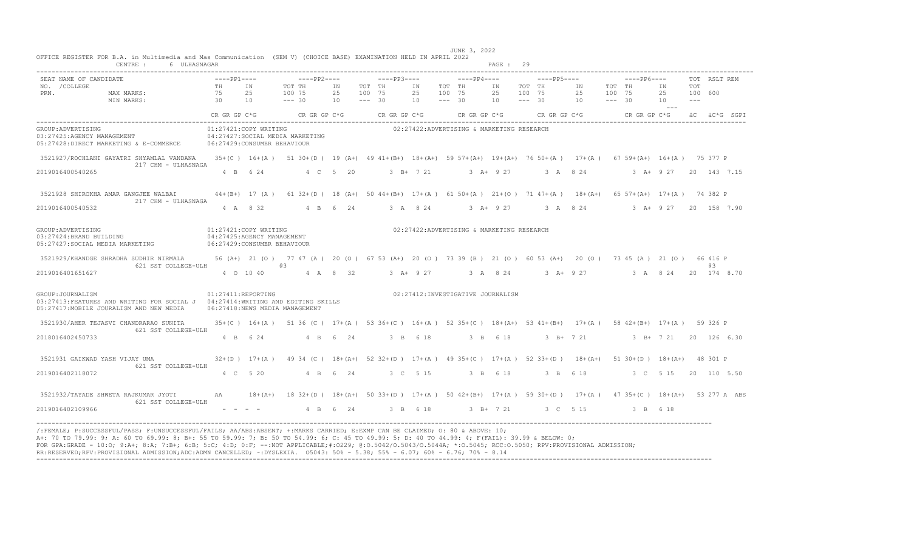|                                                                                  | CENTRE :<br>6 ULHASNAGAR                                                                                                   |                                            |                                                                                     |                                                                                                                      |                |                              |                                |                |                              |                                           | PAGE: 29       |                              |             |                     |                              |             |                           |                         |                           |
|----------------------------------------------------------------------------------|----------------------------------------------------------------------------------------------------------------------------|--------------------------------------------|-------------------------------------------------------------------------------------|----------------------------------------------------------------------------------------------------------------------|----------------|------------------------------|--------------------------------|----------------|------------------------------|-------------------------------------------|----------------|------------------------------|-------------|---------------------|------------------------------|-------------|---------------------------|-------------------------|---------------------------|
| SEAT NAME OF CANDIDATE<br>NO. / COLLEGE<br>PRN.                                  | MAX MARKS:<br>MIN MARKS:                                                                                                   | $---PP1---$<br>TH<br>75<br>$\overline{30}$ | IN<br>25<br>10                                                                      | $---PP2---$<br>TOT TH<br>100 75<br>$--- 30$                                                                          | IN<br>25<br>10 | TOT TH<br>100 75<br>$--- 30$ | $---PP3---$                    | IN<br>25<br>10 | TOT TH<br>100 75<br>$--- 30$ | $---PP4---$                               | IN<br>25<br>10 | TOT TH<br>100 75<br>$--- 30$ | $---PP5---$ | IN<br>25<br>10      | TOT TH<br>100 75<br>$--- 30$ | $---PP6---$ | ΙN<br>25<br>10<br>$- - -$ | TOT<br>100 600<br>$---$ | TOT RSLT REM              |
|                                                                                  |                                                                                                                            |                                            |                                                                                     | $CR$ GR GP $C*G$ CR GR GP $C*G$                                                                                      |                |                              | CR GR GP C*G                   |                |                              | CR GR GP $C*G$ CR GR GP $C*G$             |                |                              |             |                     |                              |             |                           |                         | CR GR GP C*G aC aC*G SGPI |
| GROUP: ADVERTISING<br>03:27425:AGENCY MANAGEMENT                                 | 05:27428:DIRECT MARKETING & E-COMMERCE                                                                                     |                                            | 01:27421:COPY WRITING<br>06:27429: CONSUMER BEHAVIOUR                               | 04:27427:SOCIAL MEDIA MARKETING                                                                                      |                |                              |                                |                |                              | 02:27422:ADVERTISING & MARKETING RESEARCH |                |                              |             |                     |                              |             |                           |                         |                           |
|                                                                                  | 3521927/ROCHLANI GAYATRI SHYAMLAL VANDANA<br>217 CHM - ULHASNAGA                                                           |                                            |                                                                                     | 35+(C) 16+(A) 51 30+(D) 19 (A+) 49 41+(B+) 18+(A+) 59 57+(A+) 19+(A+) 76 50+(A) 17+(A) 67 59+(A+) 16+(A) 75 377 P    |                |                              |                                |                |                              |                                           |                |                              |             |                     |                              |             |                           |                         |                           |
| 2019016400540265                                                                 |                                                                                                                            |                                            | 4 B 6 24                                                                            |                                                                                                                      | 4 C 5 20       |                              |                                | $3$ B+ $7$ 21  |                              | $3 + 927$                                 |                |                              |             | 3 A 8 24            |                              |             | $3$ $\lambda +$ 9 27      |                         | 20 143 7.15               |
|                                                                                  | 3521928 SHIROKHA AMAR GANGJEE WALBAI<br>217 CHM - ULHASNAGA                                                                |                                            |                                                                                     | 44+(B+) 17 (A) 61 32+(D) 18 (A+) 50 44+(B+) 17+(A) 61 50+(A) 21+(O) 71 47+(A) 18+(A+) 65 57+(A+) 17+(A) 74 382 P     |                |                              |                                |                |                              |                                           |                |                              |             |                     |                              |             |                           |                         |                           |
| 2019016400540532                                                                 |                                                                                                                            |                                            | 4 A 8 32                                                                            |                                                                                                                      | 4 B 6 24       |                              |                                | 3 A 8 24       |                              | $3 + 9 + 27$                              |                |                              |             | 3 A 8 24            |                              |             |                           |                         | 3 A + 9 27 20 158 7.90    |
| GROUP: ADVERTISING<br>03:27424:BRAND BUILDING<br>05:27427:SOCIAL MEDIA MARKETING |                                                                                                                            |                                            | 01:27421:COPY WRITING<br>04:27425:AGENCY MANAGEMENT<br>06:27429: CONSUMER BEHAVIOUR |                                                                                                                      |                |                              |                                |                |                              | 02:27422:ADVERTISING & MARKETING RESEARCH |                |                              |             |                     |                              |             |                           |                         |                           |
|                                                                                  | 3521929/KHANDGE SHRADHA SUDHIR NIRMALA<br>621 SST COLLEGE-ULH                                                              |                                            |                                                                                     | 56 (A+) 21 (0) 77 47 (A) 20 (0) 67 53 (A+) 20 (0) 73 39 (B) 21 (0) 60 53 (A+) 20 (0) 73 45 (A) 21 (0) 66 416 P<br>@3 |                |                              |                                |                |                              |                                           |                |                              |             |                     |                              |             |                           |                         | 6.3                       |
| 2019016401651627                                                                 |                                                                                                                            |                                            | 4 0 10 40                                                                           |                                                                                                                      | 4 A 8 32       |                              | 3 A + 9 27 3 A 8 24 3 A + 9 27 |                |                              |                                           |                |                              |             |                     |                              |             |                           |                         | 3 A 8 24 20 174 8.70      |
| GROUP: JOURNALISM                                                                | 03:27413:FEATURES AND WRITING FOR SOCIAL J 04:27414:WRITING AND EDITING SKILLS<br>05:27417: MOBILE JOURALISM AND NEW MEDIA | 01:27411:REPORTING                         |                                                                                     | 06:27418:NEWS MEDIA MANAGEMENT                                                                                       |                |                              |                                |                |                              | 02:27412: INVESTIGATIVE JOURNALISM        |                |                              |             |                     |                              |             |                           |                         |                           |
|                                                                                  | 3521930/AHER TEJASVI CHANDRARAO SUNITA<br>621 SST COLLEGE-ULH                                                              |                                            |                                                                                     | 35+(C) 16+(A) 51 36 (C) 17+(A) 53 36+(C) 16+(A) 52 35+(C) 18+(A+) 53 41+(B+) 17+(A) 58 42+(B+) 17+(A) 59 326 P       |                |                              |                                |                |                              |                                           |                |                              |             |                     |                              |             |                           |                         |                           |
| 2018016402450733                                                                 |                                                                                                                            |                                            | 4 B 6 24                                                                            |                                                                                                                      | 4 B 6 24       |                              |                                | 3 B 6 18       |                              |                                           | 3 B 6 18       |                              |             | $3 \text{ B} + 721$ |                              |             |                           |                         | 3 B+ 7 21 20 126 6.30     |
|                                                                                  | 3521931 GAIKWAD YASH VIJAY UMA<br>621 SST COLLEGE-ULH                                                                      |                                            |                                                                                     | $32+(D)$ 17+(A) 49 34 (C) 18+(A+) 52 32+(D) 17+(A) 49 35+(C) 17+(A) 52 33+(D) 18+(A+) 51 30+(D) 18+(A+) 48 301 P     |                |                              |                                |                |                              |                                           |                |                              |             |                     |                              |             |                           |                         |                           |
| 2019016402118072                                                                 |                                                                                                                            |                                            | 4 C 5 20                                                                            |                                                                                                                      | 4 B 6 24       |                              |                                | 3 C 5 15       |                              |                                           | 3 B 6 18       |                              | 3 B 6 18    |                     |                              |             | 3 C 5 15                  |                         | 20 110 5.50               |
|                                                                                  | 3521932/TAYADE SHWETA RAJKUMAR JYOTI<br>621 SST COLLEGE-ULH                                                                | AA                                         |                                                                                     | 18+(A+) 18 32+(D) 18+(A+) 50 33+(D) 17+(A) 50 42+(B+) 17+(A) 59 30+(D) 17+(A) 47 35+(C) 18+(A+) 53 277 A ABS         |                |                              |                                |                |                              |                                           |                |                              |             |                     |                              |             |                           |                         |                           |
| 2019016402109966                                                                 |                                                                                                                            |                                            |                                                                                     | $-$ - - $-$ 4 B 6 24 3 B 6 18 3 B + 7 21 3 C 5 15 3 B 6 18                                                           |                |                              |                                |                |                              |                                           |                |                              |             |                     |                              |             |                           |                         |                           |

A+: 70 TO 79.99: 9; A: 60 TO 69.99: 8; B+: 55 TO 59.99: 7; B: 50 TO 54.99: 6; C: 45 TO 49.99: 5; D: 40 TO 44.99: 4; F(FAIL): 39.99 & BELOW: 0;<br>FOR GPA:GRADE - 10:O; 9:A+; 8:A; 7:B+; 6:B; 5:C; 4:D; 0:F; --:NOT APPLICABLE;#: ----------------------------------------------------------------------------------------------------------------------------------------------------------------------------------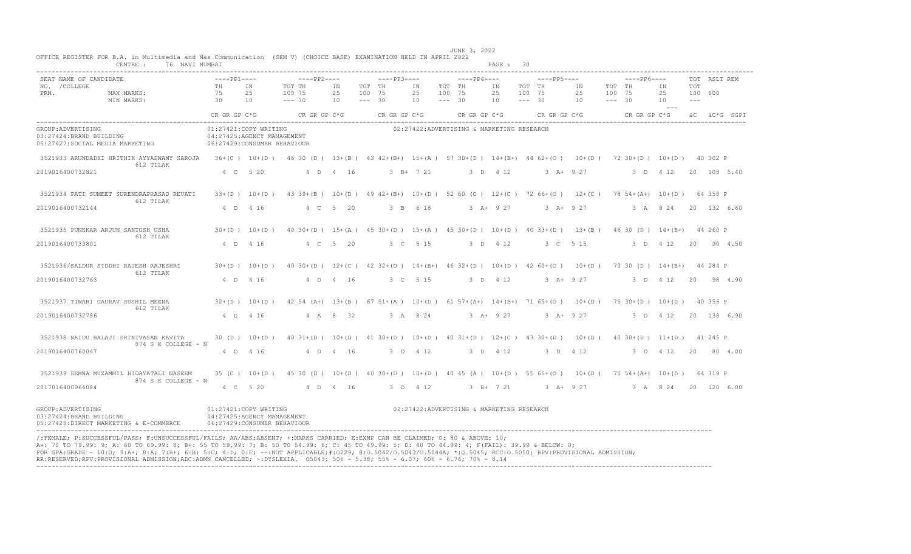|                                                                                   | 76 NAVI MUMBAI<br>CENTRE :                                                                                                                                                                                                                                                                                                                                                                                                                                                                                                                                                       |                                                                                     |                   |                                                                                                                   |          |                    |              |                              |                    |                                           | PAGE: 30      |                    |               |          |                    |                                 |                     |       |              |              |
|-----------------------------------------------------------------------------------|----------------------------------------------------------------------------------------------------------------------------------------------------------------------------------------------------------------------------------------------------------------------------------------------------------------------------------------------------------------------------------------------------------------------------------------------------------------------------------------------------------------------------------------------------------------------------------|-------------------------------------------------------------------------------------|-------------------|-------------------------------------------------------------------------------------------------------------------|----------|--------------------|--------------|------------------------------|--------------------|-------------------------------------------|---------------|--------------------|---------------|----------|--------------------|---------------------------------|---------------------|-------|--------------|--------------|
| SEAT NAME OF CANDIDATE<br>NO. / COLLEGE                                           |                                                                                                                                                                                                                                                                                                                                                                                                                                                                                                                                                                                  | $---PP1---$<br>TH                                                                   | IN                | $---PP2---$<br>TOT TH                                                                                             | ΙN       | TOT TH             | $---PP3---$  | IN                           | TOT TH             | $---PP4---$                               | IN            | TOT TH             | $---PP5---$   | ΙN       | TOT TH             | $---PP6---$                     | ΙN                  | TOT   | TOT RSLT REM |              |
| PRN.                                                                              | MAX MARKS:<br>MIN MARKS:                                                                                                                                                                                                                                                                                                                                                                                                                                                                                                                                                         | 75<br>30                                                                            | 25<br>10          | 100 75<br>$--- 30$                                                                                                | 25<br>10 | 100 75<br>$--- 30$ |              | 25<br>10                     | 100 75<br>$--- 30$ |                                           | 25<br>10      | 100 75<br>$--- 30$ |               | 25<br>10 | 100 75<br>$--- 30$ |                                 | 25<br>10<br>$- - -$ | $---$ | 100 600      |              |
|                                                                                   |                                                                                                                                                                                                                                                                                                                                                                                                                                                                                                                                                                                  | CR GR GP C*G                                                                        |                   | CR GR GP C*G                                                                                                      |          |                    | CR GR GP C*G |                              |                    | CR GR GP C*G                              |               |                    | CR GR GP C*G  |          |                    | CR GR GP C*G                    |                     |       |              | äC äC*G SGPI |
| GROUP: ADVERTISING<br>03:27424:BRAND BUILDING<br>05:27427: SOCIAL MEDIA MARKETING |                                                                                                                                                                                                                                                                                                                                                                                                                                                                                                                                                                                  | 01:27421:COPY WRITING<br>04:27425:AGENCY MANAGEMENT<br>06:27429: CONSUMER BEHAVIOUR |                   |                                                                                                                   |          |                    |              |                              |                    | 02:27422:ADVERTISING & MARKETING RESEARCH |               |                    |               |          |                    |                                 |                     |       |              |              |
|                                                                                   | 3521933 ARUNDADHI HRITHIK AYYASWAMY SAROJA<br>612 TILAK                                                                                                                                                                                                                                                                                                                                                                                                                                                                                                                          |                                                                                     |                   | 36+(C) 10+(D) 46 30 (D) 13+(B) 43 42+(B+) 15+(A) 57 30+(D) 14+(B+) 44 62+(O) 10+(D) 72 30+(D) 10+(D) 40 302 P     |          |                    |              |                              |                    |                                           |               |                    |               |          |                    |                                 |                     |       |              |              |
| 2019016400732821                                                                  |                                                                                                                                                                                                                                                                                                                                                                                                                                                                                                                                                                                  | 4 C 5 20                                                                            |                   |                                                                                                                   | 4 D 4 16 |                    |              | $3 B+ 7 21$                  |                    |                                           | 3 D 4 12      |                    | $3 A+ 9 27$   |          |                    | 3 D 4 12                        |                     |       |              | 20 108 5.40  |
|                                                                                   | 3521934 PATI SUMEET SURENDRAPRASAD REVATI<br>612 TILAK                                                                                                                                                                                                                                                                                                                                                                                                                                                                                                                           |                                                                                     | $33+(D)$ 10+(D)   | 43 39 + (B) 10 + (D) 49 42 + (B+) 10 + (D) 52 60 (O) 12 + (C) 72 66 + (O) 12 + (C)                                |          |                    |              |                              |                    |                                           |               |                    |               |          |                    | 78 54 + (A +) 10 + (D) 64 358 P |                     |       |              |              |
| 2019016400732144                                                                  |                                                                                                                                                                                                                                                                                                                                                                                                                                                                                                                                                                                  | 4 D 4 16                                                                            |                   |                                                                                                                   | 4 C 5 20 |                    |              | 3 B 6 18                     |                    |                                           | $3 A+ 9 27$   |                    | $3 A+ 9 27$   |          |                    | 3 A 8 24                        |                     |       |              | 20 132 6.60  |
|                                                                                   | 3521935 PUNEKAR ARJUN SANTOSH USHA<br>612 TILAK                                                                                                                                                                                                                                                                                                                                                                                                                                                                                                                                  |                                                                                     | $30+(D)$ $10+(D)$ | 40 30 + (D) 15 + (A) 45 30 + (D) 15 + (A) 45 30 + (D) 10 + (D) 40 33 + (D) 13 + (B) 46 30 (D) 14 + (B+) 44 260 P  |          |                    |              |                              |                    |                                           |               |                    |               |          |                    |                                 |                     |       |              |              |
| 2019016400733801                                                                  |                                                                                                                                                                                                                                                                                                                                                                                                                                                                                                                                                                                  | 4 D                                                                                 | 4 1 6             |                                                                                                                   | 4 C 5 20 |                    |              | 3 C 5 15                     |                    |                                           | 3 D 4 12      |                    | 3 C 5 15      |          |                    |                                 | 3 D 4 12            | 20    |              | 90 4.50      |
|                                                                                   | 3521936/SALDUR SIDDHI RAJESH RAJESHRI<br>612 TILAK                                                                                                                                                                                                                                                                                                                                                                                                                                                                                                                               | $30+(D)$ 10+(D)                                                                     |                   | 40 30+(D) 12+(C) 42 32+(D) 14+(B+) 46 32+(D) 10+(D) 42 60+(O) 10+(D) 70 30 (D) 14+(B+) 44 284 P                   |          |                    |              |                              |                    |                                           |               |                    |               |          |                    |                                 |                     |       |              |              |
| 2019016400732763                                                                  |                                                                                                                                                                                                                                                                                                                                                                                                                                                                                                                                                                                  | 4 D 4 16                                                                            |                   |                                                                                                                   | 4 D 4 16 |                    |              | 3 C 5 15                     |                    |                                           | 3 D 4 12      |                    | $3 A+ 9 27$   |          |                    | 3 D 4 12                        |                     | 20    |              | 98 4.90      |
|                                                                                   | 3521937 TIWARI GAURAV SUSHIL MEENA<br>612 TILAK                                                                                                                                                                                                                                                                                                                                                                                                                                                                                                                                  |                                                                                     | $32+(D)$ 10+(D)   | 42 54 (A+) 13+(B) 67 51+(A) 10+(D) 61 57+(A+) 14+(B+) 71 65+(O) 10+(D) 75 30+(D) 10+(D) 40 356 P                  |          |                    |              |                              |                    |                                           |               |                    |               |          |                    |                                 |                     |       |              |              |
| 2019016400732786                                                                  |                                                                                                                                                                                                                                                                                                                                                                                                                                                                                                                                                                                  | 4 D 4 16                                                                            |                   |                                                                                                                   | 4 A 8 32 |                    |              | 3 A 8 24                     |                    |                                           | $3 A+ 9 27$   |                    | $3 A+ 9 27$   |          |                    | 3 D 4 12                        |                     |       |              | 20 138 6.90  |
|                                                                                   | 3521938 NAIDU BALAJI SRINIVASAN KAVITA<br>874 S K COLLEGE - N                                                                                                                                                                                                                                                                                                                                                                                                                                                                                                                    |                                                                                     | $30(D) 10+(D)$    | 40 31 + (D) 10 + (D) 41 30 + (D) 10 + (D) 40 31 + (D) 12 + (C) 43 30 + (D) 10 + (D) 40 30 + (D) 11 + (D) 41 245 P |          |                    |              |                              |                    |                                           |               |                    |               |          |                    |                                 |                     |       |              |              |
| 2019016400760047                                                                  |                                                                                                                                                                                                                                                                                                                                                                                                                                                                                                                                                                                  |                                                                                     | 4 D 4 16          |                                                                                                                   | 4 D 4 16 |                    |              | 3 D 4 12                     |                    |                                           | 3 D 4 12      |                    | 3 D 4 12      |          |                    | 3 D 4 12                        |                     | 20    |              | 80 4.00      |
|                                                                                   | 3521939 SEMNA MUZAMMIL HIDAYATALI NASEEM<br>874 S K COLLEGE - N                                                                                                                                                                                                                                                                                                                                                                                                                                                                                                                  |                                                                                     | $35 (C) 10+(D)$   | 45 30 (D) 10+(D) 40 30+(D) 10+(D) 40 45 (A) 10+(D) 55 65+(O) 10+(D) 75 54+(A+) 10+(D) 64 319 P                    |          |                    |              |                              |                    |                                           |               |                    |               |          |                    |                                 |                     |       |              |              |
| 2017016400964084                                                                  |                                                                                                                                                                                                                                                                                                                                                                                                                                                                                                                                                                                  | $4 \quad C$                                                                         | 520               |                                                                                                                   | 4 D 4 16 |                    |              | $3 \quad D \quad 4 \quad 12$ |                    |                                           | $3$ B+ $7$ 21 |                    | $3$ $A+$ 9 27 |          |                    | 3 A 8 24                        |                     |       |              | 20 120 6.00  |
| GROUP: ADVERTISING<br>03:27424:BRAND BUILDING                                     | 05:27428:DIRECT MARKETING & E-COMMERCE                                                                                                                                                                                                                                                                                                                                                                                                                                                                                                                                           | 01:27421:COPY WRITING<br>04:27425:AGENCY MANAGEMENT<br>06:27429: CONSUMER BEHAVIOUR |                   |                                                                                                                   |          |                    |              |                              |                    | 02:27422:ADVERTISING & MARKETING RESEARCH |               |                    |               |          |                    |                                 |                     |       |              |              |
|                                                                                   | /:FEMALE: P:SUCCESSFUL/PASS: F:UNSUCCESSFUL/FAILS: AA/ABS:ABSENT: +:MARKS CARRIED: E:EXMP CAN BE CLAIMED: 0: 80 & ABOVE: 10:<br>A+: 70 TO 79.99: 9; A: 60 TO 69.99: 8; B+: 55 TO 59.99: 7; B: 50 TO 54.99: 6; C: 45 TO 49.99: 5; D: 40 TO 44.99: 4; F(FAIL): 39.99 & BELOW: 0;<br>FOR GPA:GRADE - 10:0; 9:A+; 8:A; 7:B+; 6:B; 5:C; 4:D; 0:F; --:NOT APPLICABLE;#:0229; 0:0.5042/0.5043/0.5044A; *:0.5045; RCC:0.5050; RPV:PROVISIONAL ADMISSION;<br>RR:RESERVED;RPV:PROVISIONAL ADMISSION;ADC:ADMN CANCELLED; ~: DYSLEXIA. 05043: 50% - 5.38; 55% - 6.07; 60% - 6.76; 70% - 8.14 |                                                                                     |                   |                                                                                                                   |          |                    |              |                              |                    |                                           |               |                    |               |          |                    |                                 |                     |       |              |              |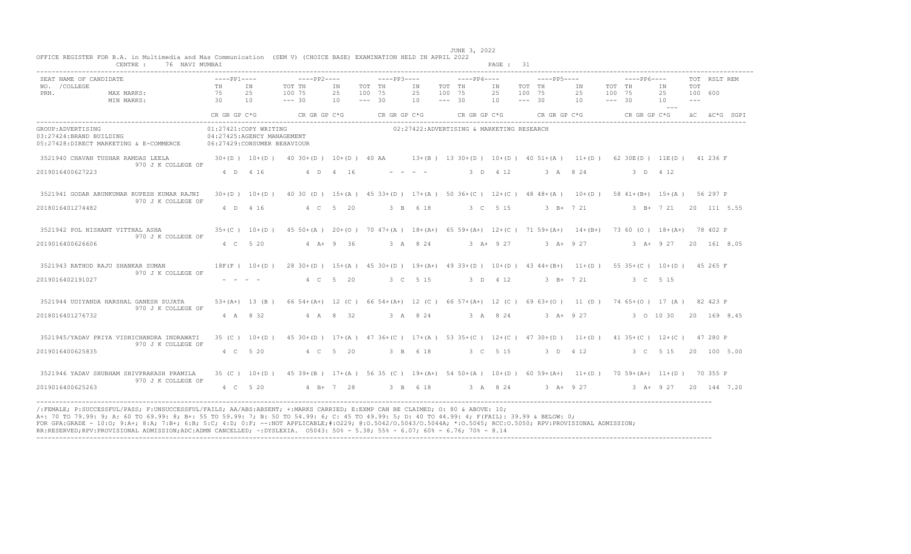| 76 NAVI MUMBAI<br>CENTRE :                                                                                                                                             |                                                                                     |                 |                                                                                                                                        |             |                                                                                                                   |                                                                                                                                                                                                                                                                                                                                                                                                                                                                                        |                                 | PAGE : 31           |                                 |                        |                                 |                             |                       |              |
|------------------------------------------------------------------------------------------------------------------------------------------------------------------------|-------------------------------------------------------------------------------------|-----------------|----------------------------------------------------------------------------------------------------------------------------------------|-------------|-------------------------------------------------------------------------------------------------------------------|----------------------------------------------------------------------------------------------------------------------------------------------------------------------------------------------------------------------------------------------------------------------------------------------------------------------------------------------------------------------------------------------------------------------------------------------------------------------------------------|---------------------------------|---------------------|---------------------------------|------------------------|---------------------------------|-----------------------------|-----------------------|--------------|
| SEAT NAME OF CANDIDATE<br>NO. / COLLEGE<br>PRN.<br>MAX MARKS:                                                                                                          | $---PP1---$<br><b>TH</b><br>75                                                      | TN<br>2.5       | $---PP2---$<br>TOT TH<br>100 75                                                                                                        | TN<br>25    | $---PP3---$<br>TOT TH<br>100 75                                                                                   | TN<br>25                                                                                                                                                                                                                                                                                                                                                                                                                                                                               | $---PP4---$<br>TOT TH<br>100 75 | TN<br>25            | $---PP5---$<br>TOT TH<br>100 75 | TN<br>25               | $---PP6---$<br>TOT TH<br>100 75 | TN<br>25                    | <b>TOT</b><br>100 600 | TOT RSLT REM |
| MIN MARKS:                                                                                                                                                             | 30<br>10<br>CR GR GP C*G                                                            |                 | $--- 30$<br>CR GR GP C*G                                                                                                               | 10          | $--- 30$<br>CR GR GP C*G                                                                                          | 10                                                                                                                                                                                                                                                                                                                                                                                                                                                                                     | $--- 30$<br>CR GR GP C*G        | 10                  | $--- 30$                        | 10<br>$CR$ GR GP $C*G$ | $--- 30$                        | 10<br>$  -$<br>CR GR GP C*G | $   -$                | äC äC*G SGPI |
| GROUP: ADVERTISING<br>03:27424:BRAND BUILDING<br>05:27428:DIRECT MARKETING & E-COMMERCE                                                                                | 01:27421:COPY WRITING<br>04:27425:AGENCY MANAGEMENT<br>06:27429: CONSUMER BEHAVIOUR |                 |                                                                                                                                        |             |                                                                                                                   | 02:27422:ADVERTISING & MARKETING RESEARCH                                                                                                                                                                                                                                                                                                                                                                                                                                              |                                 |                     |                                 |                        |                                 |                             |                       |              |
| 3521940 CHAVAN TUSHAR RAMDAS LEELA<br>970 J K COLLEGE OF                                                                                                               |                                                                                     |                 | $30+(D)$ $10+(D)$ $40\ 30+(D)$ $10+(D)$ $40$ AA $13+(B)$ $13\ 30+(D)$ $10+(D)$ $40\ 51+(A)$ $11+(D)$ $62\ 30E(D)$ $11E(D)$ $41\ 236$ F |             |                                                                                                                   |                                                                                                                                                                                                                                                                                                                                                                                                                                                                                        |                                 |                     |                                 |                        |                                 |                             |                       |              |
| 2019016400627223                                                                                                                                                       | 4 D 4 16                                                                            |                 | 4 D 4 16                                                                                                                               |             |                                                                                                                   | $\begin{array}{cccccccccccccc} \multicolumn{2}{c}{} & \multicolumn{2}{c}{} & \multicolumn{2}{c}{} & \multicolumn{2}{c}{} & \multicolumn{2}{c}{} & \multicolumn{2}{c}{} & \multicolumn{2}{c}{} & \multicolumn{2}{c}{} & \multicolumn{2}{c}{} & \multicolumn{2}{c}{} & \multicolumn{2}{c}{} & \multicolumn{2}{c}{} & \multicolumn{2}{c}{} & \multicolumn{2}{c}{} & \multicolumn{2}{c}{} & \multicolumn{2}{c}{} & \multicolumn{2}{c}{} & \multicolumn{2}{c}{} & \multicolumn{2}{c}{} & \$ | 3 D 4 12                        |                     |                                 | 3 A 8 24               |                                 | 3 D 4 12                    |                       |              |
| 3521941 GODAR ARUNKUMAR RUPESH KUMAR RAJNI<br>970 J K COLLEGE OF                                                                                                       | $30+(D)$ 10+(D)                                                                     |                 |                                                                                                                                        |             | 40 30 (D) 15+(A) 45 33+(D) 17+(A) 50 36+(C) 12+(C) 48 48+(A) 10+(D) 58 41+(B+) 15+(A) 56 297 P                    |                                                                                                                                                                                                                                                                                                                                                                                                                                                                                        |                                 |                     |                                 |                        |                                 |                             |                       |              |
| 2018016401274482                                                                                                                                                       | 4 D 4 16                                                                            |                 |                                                                                                                                        | 4 C 5 20    |                                                                                                                   | 3 B 6 18                                                                                                                                                                                                                                                                                                                                                                                                                                                                               | 3 C 5 15                        |                     |                                 | 3 B+ 7 21              |                                 | 3 B + 7 21 20 111 5.55      |                       |              |
| 3521942 POL NISHANT VITTHAL ASHA<br>970 J K COLLEGE OF                                                                                                                 |                                                                                     |                 | 35+(C) 10+(D) 45 50+(A) 20+(O) 70 47+(A) 18+(A+) 65 59+(A+) 12+(C) 71 59+(A+) 14+(B+) 73 60 (O) 18+(A+) 78 402 P                       |             |                                                                                                                   |                                                                                                                                                                                                                                                                                                                                                                                                                                                                                        |                                 |                     |                                 |                        |                                 |                             |                       |              |
| 2019016400626606                                                                                                                                                       | 4 C 5 20                                                                            |                 |                                                                                                                                        | $4 A+9 36$  |                                                                                                                   | 3 A 8 24                                                                                                                                                                                                                                                                                                                                                                                                                                                                               |                                 | $3 \text{ A} + 927$ |                                 | $3 \text{ A} + 927$    |                                 | 3 A+ 9 27 20 161 8.05       |                       |              |
| 3521943 RATHOD RAJU SHANKAR SUMAN 18F (F) 10+(D) 28 30+(D) 15+(A) 45 30+(D) 19+(A+) 49 33+(D) 10+(D) 43 44+(B+) 11+(D) 55 35+(C) 10+(D) 45 265 F<br>970 J K COLLEGE OF |                                                                                     |                 |                                                                                                                                        |             |                                                                                                                   |                                                                                                                                                                                                                                                                                                                                                                                                                                                                                        |                                 |                     |                                 |                        |                                 |                             |                       |              |
| 2019016402191027                                                                                                                                                       | $\begin{array}{cccccccccccccc} - & & - & & - & & - & & - \end{array}$               |                 |                                                                                                                                        | 4 C 5 20    | 3 C 5 15                                                                                                          |                                                                                                                                                                                                                                                                                                                                                                                                                                                                                        | 3 D 4 12                        |                     |                                 | $3 \text{ B} + 721$    |                                 | 3 C 5 15                    |                       |              |
| 3521944 UDIYANDA HARSHAL GANESH SUJATA<br>970 J K COLLEGE OF                                                                                                           |                                                                                     |                 | 53+(A+) 13 (B) 66 54+(A+) 12 (C) 66 54+(A+) 12 (C) 66 57+(A+) 12 (C) 69 63+(O) 11 (D) 74 65+(O) 17 (A) 82 423 P                        |             |                                                                                                                   |                                                                                                                                                                                                                                                                                                                                                                                                                                                                                        |                                 |                     |                                 |                        |                                 |                             |                       |              |
| 2018016401276732                                                                                                                                                       | 4 A 8 32                                                                            |                 | 4 A 8 32                                                                                                                               |             | 3 A 8 24                                                                                                          |                                                                                                                                                                                                                                                                                                                                                                                                                                                                                        | 3 A 8 24                        |                     |                                 | 3 A+ 9 27              |                                 | 3 0 10 30                   |                       | 20 169 8.45  |
| 3521945/YADAV PRIYA VIDHICHANDRA INDRAWATI<br>970 J K COLLEGE OF                                                                                                       |                                                                                     | $35 (C) 10+(D)$ |                                                                                                                                        |             | 45 30 + (D) 17 + (A) 47 36 + (C) 17 + (A) 53 35 + (C) 12 + (C) 47 30 + (D) 11 + (D) 41 35 + (C) 12 + (C) 47 280 P |                                                                                                                                                                                                                                                                                                                                                                                                                                                                                        |                                 |                     |                                 |                        |                                 |                             |                       |              |
| 2019016400625835                                                                                                                                                       | 4 C 5 20                                                                            |                 |                                                                                                                                        | 4 C 5 20    |                                                                                                                   | 3 B 6 18                                                                                                                                                                                                                                                                                                                                                                                                                                                                               |                                 | 3 C 5 15            | 3 D 4 12                        |                        |                                 | 3 C 5 15                    |                       | 20 100 5.00  |
| 3521946 YADAV SHUBHAM SHIVPRAKASH PRAMILA<br>970 J K COLLEGE OF                                                                                                        |                                                                                     |                 | 35 (C) 10+(D) 45 39+(B) 17+(A) 56 35 (C) 19+(A+) 54 50+(A) 10+(D) 60 59+(A+) 11+(D) 70 59+(A+) 11+(D) 70 355 P                         |             |                                                                                                                   |                                                                                                                                                                                                                                                                                                                                                                                                                                                                                        |                                 |                     |                                 |                        |                                 |                             |                       |              |
| 2019016400625263<br>_______________________________                                                                                                                    | 4 C 5 20                                                                            |                 |                                                                                                                                        | $4 B+ 7 28$ |                                                                                                                   | 3 B 6 18                                                                                                                                                                                                                                                                                                                                                                                                                                                                               |                                 | 3 A 8 24            | $3 A+ 9 27$                     |                        |                                 | 3 A+ 9 27 20 144 7.20       |                       |              |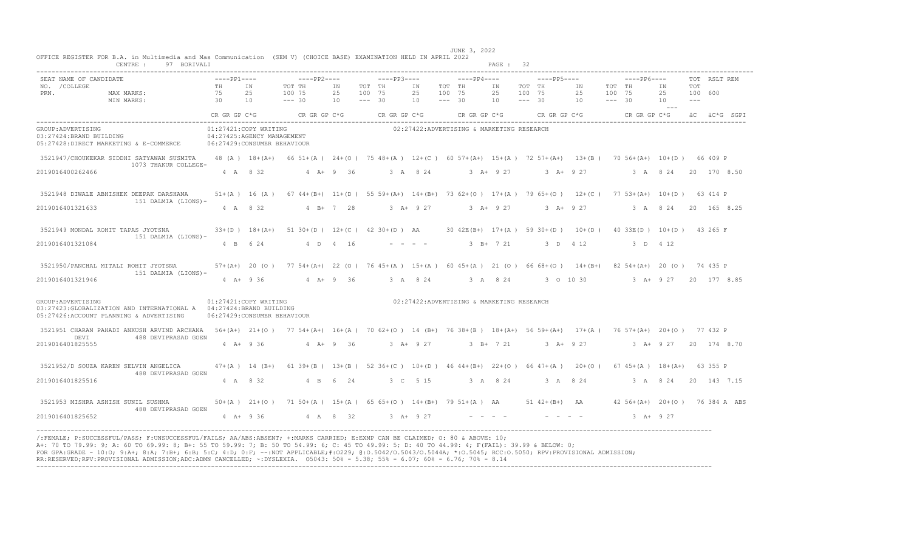|                                                 | CENTRE: 97 BORIVALI                                                                                                                                                                                                                                                                                                                                                                                                                                                                                                                                                             |                                                       |                                                                                                                 |                                    |        |                               |          |                                           | PAGE : 32                          |        |                                                           |        |             |                        |                 |              |  |
|-------------------------------------------------|---------------------------------------------------------------------------------------------------------------------------------------------------------------------------------------------------------------------------------------------------------------------------------------------------------------------------------------------------------------------------------------------------------------------------------------------------------------------------------------------------------------------------------------------------------------------------------|-------------------------------------------------------|-----------------------------------------------------------------------------------------------------------------|------------------------------------|--------|-------------------------------|----------|-------------------------------------------|------------------------------------|--------|-----------------------------------------------------------|--------|-------------|------------------------|-----------------|--------------|--|
| SEAT NAME OF CANDIDATE<br>NO. / COLLEGE<br>PRN. |                                                                                                                                                                                                                                                                                                                                                                                                                                                                                                                                                                                 | $---PP1---$                                           | ----pp2----       ----pp3----      -----pp4----                                                                 | IN<br>25 100 75<br>$10 - - - - 30$ | TOT TH | IN TOT TH<br>25 100 75<br>10  | $--- 30$ |                                           | IN<br>25 100 75<br>$10 - - - - 30$ | TOT TH | $---PP5---$<br>$\;$ IN $\;$<br>25 100 75<br>$10 \t--- 30$ | TOT TH | $---PP6---$ | IN<br>25 100 600<br>10 | TOT<br>$\cdots$ | TOT RSLT REM |  |
|                                                 |                                                                                                                                                                                                                                                                                                                                                                                                                                                                                                                                                                                 |                                                       | ––<br>CR GR GP C*G CR GR GP C*G CR GR GP C*G CR GR GP C*G CR GR GP C*G CR GR GP C*G CR GR GP C*G aC äC *G SGPI  |                                    |        |                               |          |                                           |                                    |        |                                                           |        |             |                        |                 |              |  |
| GROUP: ADVERTISING                              | 03:27424:BRAND BUILDING<br>05:27428:DIRECT MARKETING & E-COMMERCE 06:27429:CONSUMER BEHAVIOUR                                                                                                                                                                                                                                                                                                                                                                                                                                                                                   | 01:27421:COPY WRITING                                 | 04:27425:AGENCY MANAGEMENT                                                                                      |                                    |        |                               |          | 02:27422:ADVERTISING & MARKETING RESEARCH |                                    |        |                                                           |        |             |                        |                 |              |  |
|                                                 | 3521947/CHOUKEKAR SIDDHI SATYAWAN SUSMITA<br>1073 THAKUR COLLEGE-                                                                                                                                                                                                                                                                                                                                                                                                                                                                                                               |                                                       | 48 (A) 18+(A+) 66 51+(A) 24+(O) 75 48+(A) 12+(C) 60 57+(A+) 15+(A) 72 57+(A+) 13+(B) 70 56+(A+) 10+(D) 66 409 P |                                    |        |                               |          |                                           |                                    |        |                                                           |        |             |                        |                 |              |  |
| 2019016400262466                                |                                                                                                                                                                                                                                                                                                                                                                                                                                                                                                                                                                                 |                                                       | 4 A 8 32 4 A + 9 36                                                                                             |                                    |        |                               |          |                                           |                                    |        | 3 A 8 24 3 A + 9 27 3 A + 9 27 3 A + 8 24 20 170 8 50     |        |             |                        |                 |              |  |
|                                                 | 3521948 DIWALE ABHISHEK DEEPAK DARSHANA<br>151 DALMIA (LIONS)-                                                                                                                                                                                                                                                                                                                                                                                                                                                                                                                  |                                                       | 51+(A) 16 (A) 67 44+(B+) 11+(D) 55 59+(A+) 14+(B+) 73 62+(O) 17+(A) 79 65+(O) 12+(C) 77 53+(A+) 10+(D) 63 414 P |                                    |        |                               |          |                                           |                                    |        |                                                           |        |             |                        |                 |              |  |
| 2019016401321633                                |                                                                                                                                                                                                                                                                                                                                                                                                                                                                                                                                                                                 |                                                       | 4 A 8 32 4 B + 7 28 3 A + 9 27 3 A + 9 27 3 A + 9 27 3 A + 9 27 3 A + 8 24 20 165 8.25                          |                                    |        |                               |          |                                           |                                    |        |                                                           |        |             |                        |                 |              |  |
|                                                 | 3521949 MONDAL ROHIT TAPAS JYOTSNA<br>151 DALMIA (LIONS)-                                                                                                                                                                                                                                                                                                                                                                                                                                                                                                                       |                                                       | 33+(D) 18+(A+) 51 30+(D) 12+(C) 42 30+(D) AA 30 42E(B+) 17+(A) 59 30+(D) 10+(D) 40 33E(D) 10+(D) 43 265 F       |                                    |        |                               |          |                                           |                                    |        |                                                           |        |             |                        |                 |              |  |
| 2019016401321084                                |                                                                                                                                                                                                                                                                                                                                                                                                                                                                                                                                                                                 | 4 B 6 24                                              |                                                                                                                 | 4 D 4 16                           |        | and the state of the state of |          | $3 B+ 7 21$                               |                                    |        | 3 D 4 12                                                  |        | 3 D 4 12    |                        |                 |              |  |
|                                                 | 3521950/PANCHAL MITALI ROHIT JYOTSNA<br>151 DALMIA (LIONS)-                                                                                                                                                                                                                                                                                                                                                                                                                                                                                                                     |                                                       | 57+(A+) 20 (0) 77 54+(A+) 22 (0) 76 45+(A) 15+(A) 60 45+(A) 21 (0) 66 68+(0) 14+(B+) 82 54+(A+) 20 (0) 74 435 P |                                    |        |                               |          |                                           |                                    |        |                                                           |        |             |                        |                 |              |  |
| 2019016401321946                                |                                                                                                                                                                                                                                                                                                                                                                                                                                                                                                                                                                                 |                                                       | $4$ A+ 9 36 $4$ A+ 9 36 $3$ A 8 24 $3$ A 8 24 $3$ O 10 30 $3$ A+ 9 27 20 177 8.85                               |                                    |        |                               |          |                                           |                                    |        |                                                           |        |             |                        |                 |              |  |
| GROUP: ADVERTISING                              | 03:27423: GLOBALIZATION AND INTERNATIONAL A  04:27424: BRAND BUILDING<br>05:27426:ACCOUNT PLANNING & ADVERTISING                                                                                                                                                                                                                                                                                                                                                                                                                                                                | 01:27421:COPY WRITING<br>06:27429: CONSUMER BEHAVIOUR |                                                                                                                 |                                    |        |                               |          | 02:27422:ADVERTISING & MARKETING RESEARCH |                                    |        |                                                           |        |             |                        |                 |              |  |
| DEVI                                            | 3521951 CHARAN PAHADI ANKUSH ARVIND ARCHANA 56+(A+) 21+(0) 77 54+(A+) 16+(A) 70 62+(0) 14 (B+) 76 38+(B) 18+(A+) 56 59+(A+) 17+(A) 76 57+(A+) 20+(0) 77 432 P<br>488 DEVIPRASAD GOEN                                                                                                                                                                                                                                                                                                                                                                                            |                                                       |                                                                                                                 |                                    |        |                               |          |                                           |                                    |        |                                                           |        |             |                        |                 |              |  |
| 2019016401825555                                |                                                                                                                                                                                                                                                                                                                                                                                                                                                                                                                                                                                 | $4 \text{ A} + 936$                                   | $4 A + 9 36$                                                                                                    |                                    |        |                               |          |                                           |                                    |        | 3 A+ 9 27 3 B+ 7 21 3 A+ 9 27 3 A+ 9 27 20 174 8 70       |        |             |                        |                 |              |  |
|                                                 | 3521952/D SOUZA KAREN SELVIN ANGELICA<br>488 DEVIPRASAD GOEN                                                                                                                                                                                                                                                                                                                                                                                                                                                                                                                    |                                                       | 47+(A) 14 (B+) 61 39+(B) 13+(B) 52 36+(C) 10+(D) 46 44+(B+) 22+(O) 66 47+(A) 20+(O) 67 45+(A) 18+(A+) 63 355 P  |                                    |        |                               |          |                                           |                                    |        |                                                           |        |             |                        |                 |              |  |
| 2019016401825516                                |                                                                                                                                                                                                                                                                                                                                                                                                                                                                                                                                                                                 | 4 A 8 32                                              | 4 B 6 24                                                                                                        |                                    |        |                               |          |                                           |                                    |        | 3 C 5 15 3 A 8 24 3 A 8 24 3 A 8 24 20 143 7.15           |        |             |                        |                 |              |  |
|                                                 | 3521953 MISHRA ASHISH SUNIL SUSHMA 50+(A) 21+(O) 71 50+(A) 15+(A) 65 65+(O) 14+(B+) 79 51+(A) AA 51 42+(B+) AA 42 56+(A+) 20+(O) 76 384 A ABS<br>488 DEVIPRASAD GOEN                                                                                                                                                                                                                                                                                                                                                                                                            |                                                       |                                                                                                                 |                                    |        |                               |          |                                           |                                    |        |                                                           |        |             |                        |                 |              |  |
| 2019016401825652                                |                                                                                                                                                                                                                                                                                                                                                                                                                                                                                                                                                                                 |                                                       | $4$ A + 9 36 $4$ A $8$ 32 $3$ A + 9 27 $         3$ A + 9 27                                                    |                                    |        |                               |          |                                           |                                    |        |                                                           |        |             |                        |                 |              |  |
|                                                 | /:FEMALE: P:SUCCESSFUL/PASS: F:UNSUCCESSFUL/FAILS: AA/ABS:ABSENT: +:MARKS CARRIED: E:EXMP CAN BE CLAIMED: 0: 80 & ABOVE: 10:<br>A+: 70 TO 79.99: 9; A: 60 TO 69.99: 8; B+: 55 TO 59.99: 7; B: 50 TO 54.99: 6; C: 45 TO 49.99: 5; D: 40 TO 44.99: 4; F(FAIL): 39.99 & BELOW: 0;<br>FOR GPA:GRADE - 10:0; 9:A+; 8:A; 7:B+; 6:B; 5:C; 4:D; 0:F; --:NOT APPLICABLE;#:0229; 0:0.5042/0.5043/0.5044A; *:0.5045; RCC:0.5050; RPV:PROVISIONAL ADMISSION;<br>RR:RESERVED;RPV:PROVISIONAL ADMISSION;ADC:ADMN CANCELLED; ~:DYSLEXIA. 05043: 50% - 5.38; 55% - 6.07; 60% - 6.76; 70% - 8.14 |                                                       |                                                                                                                 |                                    |        |                               |          |                                           |                                    |        |                                                           |        |             |                        |                 |              |  |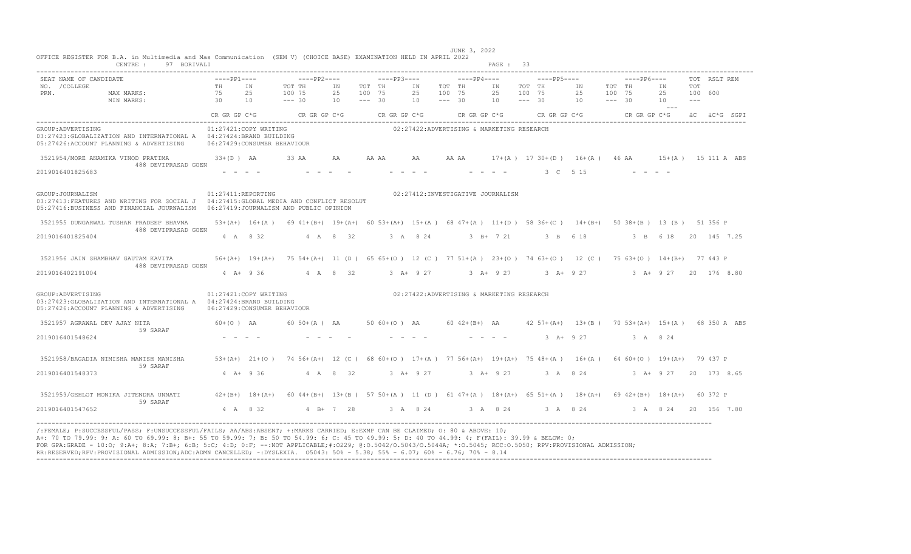|                                                 | CENTRE :<br>97 BORIVALI                                                                                                               |                                            |                                                       |                                                                                                                  |                |                              |              |                |                              |                  | PAGE: 33                                                                            |                              |                                                                                                    |                              |               |                      |                         |              |  |
|-------------------------------------------------|---------------------------------------------------------------------------------------------------------------------------------------|--------------------------------------------|-------------------------------------------------------|------------------------------------------------------------------------------------------------------------------|----------------|------------------------------|--------------|----------------|------------------------------|------------------|-------------------------------------------------------------------------------------|------------------------------|----------------------------------------------------------------------------------------------------|------------------------------|---------------|----------------------|-------------------------|--------------|--|
| SEAT NAME OF CANDIDATE<br>NO. / COLLEGE<br>PRN. | MAX MARKS:<br>MIN MARKS:                                                                                                              | $---PP1---$<br>TH<br>75<br>$\overline{30}$ | IN<br>25<br>10                                        | $---PP2---$<br>TOT TH<br>100 75<br>$--- 30$                                                                      | IN<br>25<br>10 | TOT TH<br>100 75<br>$--- 30$ | $---PP3---$  | ΙN<br>25<br>10 | TOT TH<br>100 75<br>$--- 30$ | $---PP4---$      | IN<br>25<br>10                                                                      | TOT TH<br>100 75<br>$--- 30$ | $---PP5---$<br>IN<br>25<br>10                                                                      | TOT TH<br>100 75<br>$--- 30$ | $---PP6---$   | IN<br>25<br>10       | TOT<br>100 600<br>$---$ | TOT RSLT REM |  |
|                                                 |                                                                                                                                       |                                            |                                                       | $CR$ GR $GP$ $C*G$ $CR$ GR $GP$ $C*G$                                                                            |                |                              | CR GR GP C*G |                |                              | $CR$ GR GP $C*G$ |                                                                                     |                              | CR GR GP C*G                                                                                       |                              | CR GR GP C*G  |                      |                         | äC äC*G SGPI |  |
| GROUP: ADVERTISING                              | 03:27423: GLOBALIZATION AND INTERNATIONAL A  04:27424: BRAND BUILDING<br>05:27426:ACCOUNT PLANNING & ADVERTISING                      |                                            | 01:27421:COPY WRITING<br>06:27429: CONSUMER BEHAVIOUR |                                                                                                                  |                |                              |              |                |                              |                  | 02:27422:ADVERTISING & MARKETING RESEARCH                                           |                              |                                                                                                    |                              |               |                      |                         |              |  |
| 2019016401825683                                | 3521954/MORE ANAMIKA VINOD PRATIMA 33+(D) AA<br>488 DEVIPRASAD GOEN                                                                   |                                            |                                                       | 33 AA                                                                                                            | AA             | AA AA                        |              | AA             |                              |                  |                                                                                     |                              | AA AA 17+(A) 1730+(D) 16+(A) 46 AA 15+(A) 15111 A ABS<br>3 C 5 15                                  |                              |               |                      |                         |              |  |
| GROUP: JOURNALISM                               | 03:27413: FEATURES AND WRITING FOR SOCIAL J 04:27415: GLOBAL MEDIA AND CONFLICT RESOLUT<br>05:27416:BUSINESS AND FINANCIAL JOURNALISM |                                            | 01:27411:REPORTING                                    | 06:27419:JOURNALISM AND PUBLIC OPINION                                                                           |                |                              |              |                |                              |                  | 02:27412: INVESTIGATIVE JOURNALISM                                                  |                              |                                                                                                    |                              |               |                      |                         |              |  |
|                                                 | 3521955 DUNGARWAL TUSHAR PRADEEP BHAVNA<br>488 DEVIPRASAD GOEN                                                                        |                                            |                                                       | 53+(A+) 16+(A) 69 41+(B+) 19+(A+) 60 53+(A+) 15+(A) 68 47+(A) 11+(D) 58 36+(C) 14+(B+) 50 38+(B) 13 (B) 51 356 P |                |                              |              |                |                              |                  |                                                                                     |                              |                                                                                                    |                              |               |                      |                         |              |  |
| 2019016401825404                                |                                                                                                                                       |                                            | 4 A 8 32                                              |                                                                                                                  | 4 A 8 32       |                              |              | 3 A 8 24       |                              |                  | $3 \t B+ 7 \t 21$                                                                   |                              | 3 B 6 18                                                                                           |                              | 3 B 6 18      |                      |                         | 20 145 7.25  |  |
| 2019016402191004                                | 3521956 JAIN SHAMBHAV GAUTAM KAVITA<br>488 DEVIPRASAD GOEN                                                                            |                                            | $4 \text{ A} + 936$                                   | 56+(A+) 19+(A+) 75 54+(A+) 11 (D) 65 65+(O) 12 (C) 77 51+(A) 23+(O) 74 63+(O) 12 (C) 75 63+(O) 14+(B+) 77 443 P  | 4 A 8 32       |                              |              |                |                              |                  |                                                                                     |                              | 3 A+ 9 27 3 A+ 9 27 3 A+ 9 27                                                                      |                              | $3 + 927$     |                      |                         | 20 176 8.80  |  |
| GROUP: ADVERTISING                              | 03:27423:GLOBALIZATION AND INTERNATIONAL A    04:27424:BRAND BUILDING<br>05:27426:ACCOUNT PLANNING & ADVERTISING                      |                                            | 01:27421:COPY WRITING<br>06:27429:CONSUMER BEHAVIOUR  |                                                                                                                  |                |                              |              |                |                              |                  | 02:27422:ADVERTISING & MARKETING RESEARCH                                           |                              |                                                                                                    |                              |               |                      |                         |              |  |
| 3521957 AGRAWAL DEV AJAY NITA                   | 59 SARAF                                                                                                                              | 60+(O) AA                                  |                                                       | $60 50 + (A)$ AA                                                                                                 |                |                              |              |                |                              |                  |                                                                                     |                              | 50 60 + (0) AA 60 42 + (B+) AA 42 57 + (A+) 13 + (B) 70 53 + (A+) 15 + (A) 68 350 A ABS            |                              |               |                      |                         |              |  |
| 2019016401548624                                |                                                                                                                                       |                                            |                                                       |                                                                                                                  |                |                              |              |                |                              |                  | $\begin{array}{cccccccccccccc} \bot & \bot & \bot & \bot & \bot & \bot \end{array}$ |                              | $3 + 927$                                                                                          |                              | 3 A 8 24      |                      |                         |              |  |
|                                                 | 3521958/BAGADIA NIMISHA MANISH MANISHA<br>59 SARAF                                                                                    |                                            |                                                       | 53+(A+) 21+(O) 74 56+(A+) 12 (C) 68 60+(O) 17+(A) 77 56+(A+) 19+(A+) 75 48+(A) 16+(A) 64 60+(O) 19+(A+) 79 437 P |                |                              |              |                |                              |                  |                                                                                     |                              |                                                                                                    |                              |               |                      |                         |              |  |
| 2019016401548373                                |                                                                                                                                       |                                            | $4$ A + 9 36                                          |                                                                                                                  | 4 A 8 32       |                              |              | 3 A+ 9 27      |                              |                  | $3 + 9 + 27$                                                                        |                              | 3 A 8 24                                                                                           |                              | $3$ A+ $9$ 27 |                      |                         | 20 173 8.65  |  |
|                                                 | 3521959/GEHLOT MONIKA JITENDRA UNNATI<br>59 SARAF                                                                                     |                                            | $42+(B+)$ 18+(A+)                                     |                                                                                                                  |                |                              |              |                |                              |                  |                                                                                     |                              | 60 44+(B+) 13+(B) 57 50+(A) 11 (D) 61 47+(A) 18+(A+) 65 51+(A) 18+(A+) 69 42+(B+) 18+(A+) 60 372 P |                              |               |                      |                         |              |  |
| 2019016401547652                                |                                                                                                                                       |                                            | 4 A 8 32                                              |                                                                                                                  | $4 B+ 7 28$    |                              |              |                |                              |                  |                                                                                     |                              | 3 A 8 24 3 A 8 24 3 A 8 24                                                                         |                              |               | 3 A 8 24 20 156 7.80 |                         |              |  |

A+: 70 TO 79.99: 9; A: 60 TO 69.99: 8; B+: 55 TO 59.99: 7; B: 50 TO 54.99: 6; C: 45 TO 49.99: 5; D: 40 TO 44.99: 4; F(FAIL): 39.99 & BELOW: 0; FOR GPA:GRADE - 10:0; 9:A+; 8:A; 7:B+; 6:B; 5:C; 4:D; 0:F; --:NOT APPLICABLE;#:O229; @:O.5042/O.5043/O.5044A; \*:O.5045; RCC:O.5050; RPV:PROVISIONAL ADMISSION;<br>RR:RESERVED;RPV:PROVISIONAL ADMISSION;ADC:ADMN CANCELLED; ~:DYS ----------------------------------------------------------------------------------------------------------------------------------------------------------------------------------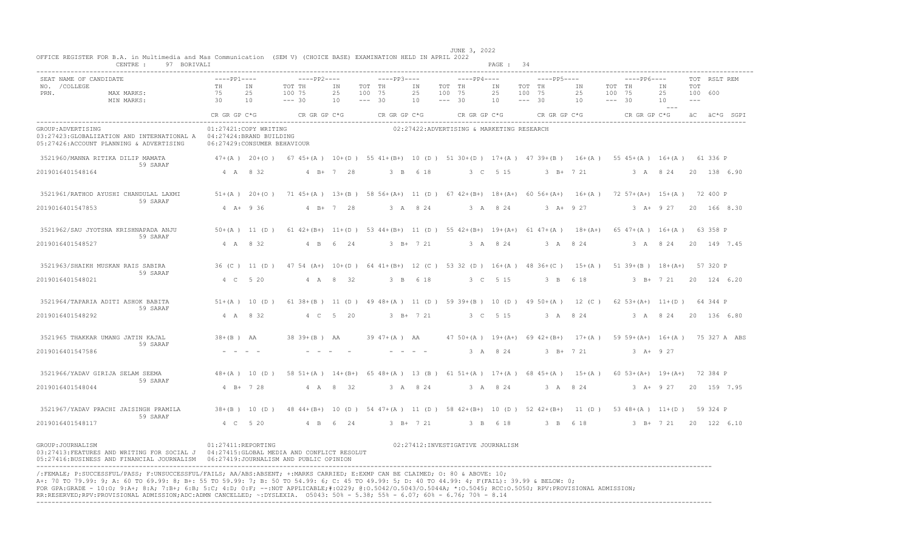| CENTRE :<br>97 BORIVALI                                                                                                                                                                                                                                                                                                                                                                                                                                                                                                                                                          |                                                       |                 |                                                                                                                       |             |                    |                   |             |                    |                                           | PAGE: 34 |                    |             |                                                                                |                    |              |                      |        |              |              |
|----------------------------------------------------------------------------------------------------------------------------------------------------------------------------------------------------------------------------------------------------------------------------------------------------------------------------------------------------------------------------------------------------------------------------------------------------------------------------------------------------------------------------------------------------------------------------------|-------------------------------------------------------|-----------------|-----------------------------------------------------------------------------------------------------------------------|-------------|--------------------|-------------------|-------------|--------------------|-------------------------------------------|----------|--------------------|-------------|--------------------------------------------------------------------------------|--------------------|--------------|----------------------|--------|--------------|--------------|
| SEAT NAME OF CANDIDATE<br>NO. / COLLEGE                                                                                                                                                                                                                                                                                                                                                                                                                                                                                                                                          | $---PP1---$<br>TH                                     | IN              | $---PP2---$<br>TOT TH                                                                                                 | IN          | TOT TH             | $---PP3---$       | IN          | TOT TH             | $---PP4---$                               | IN       | TOT TH             | ----PP5---- | IN                                                                             | TOT TH             | $---PP6---$  | IN                   | TOT    | TOT RSLT REM |              |
| PRN.<br>MAX MARKS:<br>MIN MARKS:                                                                                                                                                                                                                                                                                                                                                                                                                                                                                                                                                 | 75<br>30                                              | 25<br>10        | 100 75<br>$--- 30$                                                                                                    | 25<br>10    | 100 75<br>$--- 30$ |                   | 25<br>10    | 100 75<br>$--- 30$ |                                           | 25<br>10 | 100 75<br>$--- 30$ |             | 25<br>10                                                                       | 100 75<br>$--- 30$ |              | 25<br>10             | $--\,$ | 100 600      |              |
|                                                                                                                                                                                                                                                                                                                                                                                                                                                                                                                                                                                  | CR GR GP C*G                                          |                 | CR GR GP C*G                                                                                                          |             |                    | CR GR GP C*G      |             |                    | CR GR GP C*G                              |          |                    |             | $CR$ GR GP $C*G$                                                               |                    | CR GR GP C*G |                      |        |              | äC äC*G SGPI |
|                                                                                                                                                                                                                                                                                                                                                                                                                                                                                                                                                                                  |                                                       |                 |                                                                                                                       |             |                    |                   |             |                    |                                           |          |                    |             |                                                                                |                    |              |                      |        |              |              |
| GROUP: ADVERTISING<br>03:27423: GLOBALIZATION AND INTERNATIONAL A  04:27424: BRAND BUILDING<br>05:27426:ACCOUNT PLANNING & ADVERTISING                                                                                                                                                                                                                                                                                                                                                                                                                                           | 01:27421:COPY WRITING<br>06:27429: CONSUMER BEHAVIOUR |                 |                                                                                                                       |             |                    |                   |             |                    | 02:27422:ADVERTISING & MARKETING RESEARCH |          |                    |             |                                                                                |                    |              |                      |        |              |              |
| 3521960/MANNA RITIKA DILIP MAMATA<br>59 SARAF                                                                                                                                                                                                                                                                                                                                                                                                                                                                                                                                    |                                                       |                 | 47+(A) 20+(O) 67 45+(A) 10+(D) 55 41+(B+) 10 (D) 51 30+(D) 17+(A) 47 39+(B) 16+(A) 55 45+(A) 16+(A) 61 336 P          |             |                    |                   |             |                    |                                           |          |                    |             |                                                                                |                    |              |                      |        |              |              |
| 2019016401548164                                                                                                                                                                                                                                                                                                                                                                                                                                                                                                                                                                 | 4 A 8 32                                              |                 |                                                                                                                       | $4 B+ 7 28$ |                    |                   | 3 B 6 18    |                    |                                           | 3 C 5 15 |                    |             | $3$ B+ $7$ 21                                                                  |                    |              | 3 A 8 24 20 138 6.90 |        |              |              |
| 3521961/RATHOD AYUSHI CHANDULAL LAXMI<br>59 SARAF                                                                                                                                                                                                                                                                                                                                                                                                                                                                                                                                |                                                       |                 | 51+(A) 20+(O) 71 45+(A) 13+(B) 58 56+(A+) 11 (D) 67 42+(B+) 18+(A+) 60 56+(A+) 16+(A) 72 57+(A+) 15+(A) 72 400 P      |             |                    |                   |             |                    |                                           |          |                    |             |                                                                                |                    |              |                      |        |              |              |
| 2019016401547853                                                                                                                                                                                                                                                                                                                                                                                                                                                                                                                                                                 | $4$ A+ 9 36                                           |                 |                                                                                                                       | $4 B+ 7 28$ |                    |                   | 3 A 8 24    |                    |                                           | 3 A 8 24 |                    |             | $3 A+ 9 27$                                                                    |                    | $3 A+ 9 27$  |                      |        |              | 20 166 8.30  |
| 3521962/SAU JYOTSNA KRISHNAPADA ANJU<br>59 SARAF                                                                                                                                                                                                                                                                                                                                                                                                                                                                                                                                 |                                                       |                 | 50+(A) 11 (D) 61 42+(B+) 11+(D) 53 44+(B+) 11 (D) 55 42+(B+) 19+(A+) 61 47+(A) 18+(A+) 65 47+(A) 16+(A) 63 358 P      |             |                    |                   |             |                    |                                           |          |                    |             |                                                                                |                    |              |                      |        |              |              |
| 2019016401548527                                                                                                                                                                                                                                                                                                                                                                                                                                                                                                                                                                 | 4 A 8 32                                              |                 |                                                                                                                       | 4 B 6 24    |                    |                   | $3 B+ 7 21$ |                    |                                           | 3 A 8 24 |                    |             | 3 A 8 24                                                                       |                    |              | 3 A 8 24             |        |              | 20 149 7.45  |
| 3521963/SHAIKH MUSKAN RAIS SABIRA<br>59 SARAF                                                                                                                                                                                                                                                                                                                                                                                                                                                                                                                                    |                                                       |                 | 36 (C) 11 (D) 47 54 (A+) 10+ (D) 64 41+ (B+) 12 (C) 53 32 (D) 16+ (A) 48 36+ (C) 15+ (A) 51 39+ (B) 18+ (A+) 57 320 P |             |                    |                   |             |                    |                                           |          |                    |             |                                                                                |                    |              |                      |        |              |              |
| 2019016401548021                                                                                                                                                                                                                                                                                                                                                                                                                                                                                                                                                                 | 4 C 5 20                                              |                 |                                                                                                                       | 4 A 8 32    |                    |                   | 3 B 6 18    |                    |                                           | 3 C 5 15 |                    |             | 3 B 6 18                                                                       |                    |              | $3 \text{ B} + 721$  |        |              | 20 124 6.20  |
| 3521964/TAPARIA ADITI ASHOK BABITA<br>59 SARAF                                                                                                                                                                                                                                                                                                                                                                                                                                                                                                                                   |                                                       | $51+(A)$ 10 (D) | 61 38+(B) 11 (D) 49 48+(A) 11 (D) 59 39+(B) 10 (D) 49 50+(A) 12 (C) 62 53+(A+) 11+(D) 64 344 P                        |             |                    |                   |             |                    |                                           |          |                    |             |                                                                                |                    |              |                      |        |              |              |
| 2019016401548292                                                                                                                                                                                                                                                                                                                                                                                                                                                                                                                                                                 | 4 A 8 32                                              |                 |                                                                                                                       | 4 C 5 20    |                    |                   | $3 B+ 7 21$ |                    |                                           | 3 C 5 15 |                    |             | 3 A 8 24                                                                       |                    |              | 3 A 8 24             |        |              | 20 136 6.80  |
| 3521965 THAKKAR UMANG JATIN KAJAL<br>59 SARAF                                                                                                                                                                                                                                                                                                                                                                                                                                                                                                                                    | $38+(B)$ AA                                           |                 | 38 39+ (B) AA                                                                                                         |             |                    | $39 \t47+ (A)$ AA |             |                    |                                           |          |                    |             | 47 50 + (A) 19 + (A+) 69 42 + (B+) 17 + (A) 59 59 + (A+) 16 + (A) 75 327 A ABS |                    |              |                      |        |              |              |
| 2019016401547586                                                                                                                                                                                                                                                                                                                                                                                                                                                                                                                                                                 |                                                       |                 |                                                                                                                       |             |                    |                   |             |                    |                                           | 3 A 8 24 |                    |             | $3 B+ 7 21$                                                                    |                    | $3 A+ 9 27$  |                      |        |              |              |
| 3521966/YADAV GIRIJA SELAM SEEMA<br>59 SARAF                                                                                                                                                                                                                                                                                                                                                                                                                                                                                                                                     |                                                       |                 | 48+(A) 10 (D) 58 51+(A) 14+(B+) 65 48+(A) 13 (B) 61 51+(A) 17+(A) 68 45+(A) 15+(A) 60 53+(A+) 19+(A+) 72 384 P        |             |                    |                   |             |                    |                                           |          |                    |             |                                                                                |                    |              |                      |        |              |              |
| 2019016401548044                                                                                                                                                                                                                                                                                                                                                                                                                                                                                                                                                                 | $4 B+ 7 28$                                           |                 |                                                                                                                       | 4 A 8 32    |                    |                   | 3 A 8 24    |                    |                                           | 3 A 8 24 |                    |             | 3 A 8 24                                                                       |                    |              | 3 A+ 9 27            |        |              | 20 159 7.95  |
| 3521967/YADAV PRACHI JAISINGH PRAMILA<br>59 SARAF                                                                                                                                                                                                                                                                                                                                                                                                                                                                                                                                |                                                       | $38+(B)$ 10 (D) | 48 44+(B+) 10 (D) 54 47+(A) 11 (D) 58 42+(B+) 10 (D) 52 42+(B+) 11 (D) 53 48+(A) 11+(D) 59 324 P                      |             |                    |                   |             |                    |                                           |          |                    |             |                                                                                |                    |              |                      |        |              |              |
| 2019016401548117                                                                                                                                                                                                                                                                                                                                                                                                                                                                                                                                                                 | 4 C 5 20                                              |                 |                                                                                                                       | 4 B 6 24    |                    |                   | $3 B+ 7 21$ |                    |                                           | 3 B 6 18 |                    |             | 3 B 6 18                                                                       |                    | 3 B+ 7 21    |                      |        |              | 20 122 6.10  |
| GROUP: JOURNALISM<br>03:27413:FEATURES AND WRITING FOR SOCIAL J 04:27415:GLOBAL MEDIA AND CONFLICT RESOLUT                                                                                                                                                                                                                                                                                                                                                                                                                                                                       | 01:27411:REPORTING                                    |                 |                                                                                                                       |             |                    |                   |             |                    | 02:27412: INVESTIGATIVE JOURNALISM        |          |                    |             |                                                                                |                    |              |                      |        |              |              |
| /:FEMALE; P:SUCCESSFUL/PASS; F:UNSUCCESSFUL/FAILS; AA/ABS:ABSENT; +:MARKS CARRIED; E:EXMP CAN BE CLAIMED; 0: 80 & ABOVE: 10;<br>A+: 70 TO 79.99: 9; A: 60 TO 69.99: 8; B+: 55 TO 59.99: 7; B: 50 TO 54.99: 6; C: 45 TO 49.99: 5; D: 40 TO 44.99: 4; F(FAIL): 39.99 & BELOW: 0;<br>FOR GPA:GRADE - 10:0; 9:A+; 8:A; 7:B+; 6:B; 5:C; 4:D; 0:F; --:NOT APPLICABLE;#:0229; 0:0.5042/0.5043/0.5044A; *:0.5045; RCC:0.5050; RPV:PROVISIONAL ADMISSION;<br>RR:RESERVED;RPV:PROVISIONAL ADMISSION;ADC:ADMN CANCELLED; ~: DYSLEXIA. 05043: 50% - 5.38; 55% - 6.07; 60% - 6.76; 70% - 8.14 |                                                       |                 |                                                                                                                       |             |                    |                   |             |                    |                                           |          |                    |             |                                                                                |                    |              |                      |        |              |              |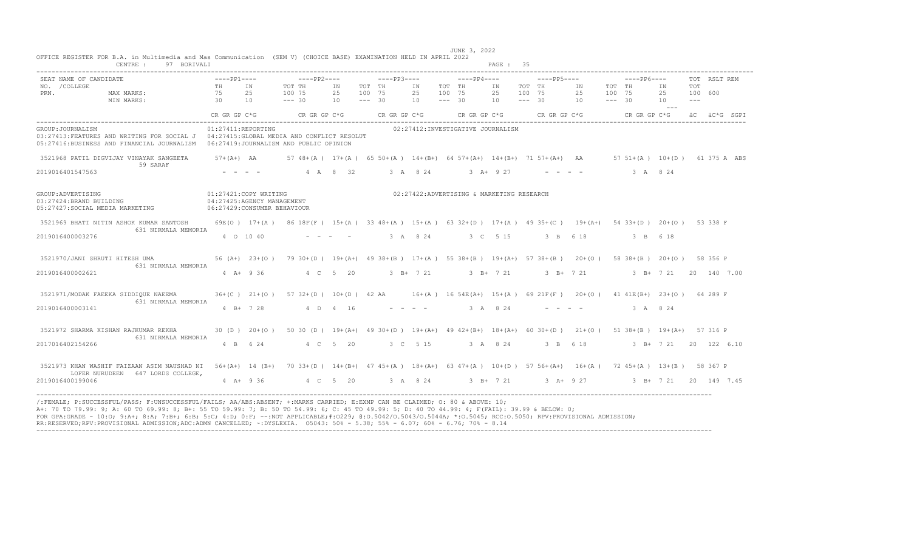| CENTRE :<br>97 BORIVALI                                                                                                                                      |                       |                              |                                                                                                                  |           |                    |                                           |                    |                                   | PAGE : 35 |                    |          |                   |                    |              |                              |                          |              |  |
|--------------------------------------------------------------------------------------------------------------------------------------------------------------|-----------------------|------------------------------|------------------------------------------------------------------------------------------------------------------|-----------|--------------------|-------------------------------------------|--------------------|-----------------------------------|-----------|--------------------|----------|-------------------|--------------------|--------------|------------------------------|--------------------------|--------------|--|
| SEAT NAME OF CANDIDATE                                                                                                                                       | $---PP1---$           |                              | $---PP2---$                                                                                                      |           |                    | $---PP3---$                               |                    | $---PP4---$                       |           | $---PP5---$        |          |                   |                    | $---PP6---$  |                              |                          | TOT RSLT REM |  |
| NO. / COLLEGE                                                                                                                                                | TH                    | IN                           | TOT TH                                                                                                           | IN        | TOT TH             | IN                                        | TOT TH             |                                   | IN        | TOT TH             |          | IN                | TOT TH             |              | IN                           | TOT                      |              |  |
| PRN.<br>MAX MARKS:<br>MIN MARKS:                                                                                                                             | 75<br>$\overline{30}$ | 2.5<br>10                    | 100 75<br>$--- 30$                                                                                               | 2.5<br>10 | 100 75<br>$--- 30$ | 25<br>10                                  | 100 75<br>$--- 30$ |                                   | 2.5<br>10 | 100 75<br>$--- 30$ |          | 25<br>10          | 100 75<br>$--- 30$ |              | 2.5<br>10                    | 100 600<br>$\frac{1}{2}$ |              |  |
|                                                                                                                                                              |                       |                              |                                                                                                                  |           |                    |                                           |                    |                                   |           |                    |          |                   |                    |              | $- - - -$                    |                          |              |  |
|                                                                                                                                                              | CR GR GP C*G          |                              | CR GR GP C*G                                                                                                     |           |                    | CR GR GP C*G                              |                    | $CR$ GR GP $C*G$ $CR$ GR GP $C*G$ |           |                    |          |                   |                    | CR GR GP C*G |                              |                          | äC äC*G SGPI |  |
| GROUP: JOURNALISM                                                                                                                                            |                       | 01:27411:REPORTING           |                                                                                                                  |           |                    | 02:27412:INVESTIGATIVE JOURNALISM         |                    |                                   |           |                    |          |                   |                    |              |                              |                          |              |  |
| 03:27413:FEATURES AND WRITING FOR SOCIAL J 04:27415:GLOBAL MEDIA AND CONFLICT RESOLUT                                                                        |                       |                              |                                                                                                                  |           |                    |                                           |                    |                                   |           |                    |          |                   |                    |              |                              |                          |              |  |
| 05:27416:BUSINESS AND FINANCIAL JOURNALISM                                                                                                                   |                       |                              | 06:27419:JOURNALISM AND PUBLIC OPINION                                                                           |           |                    |                                           |                    |                                   |           |                    |          |                   |                    |              |                              |                          |              |  |
|                                                                                                                                                              |                       |                              |                                                                                                                  |           |                    |                                           |                    |                                   |           |                    |          |                   |                    |              |                              |                          |              |  |
| 3521968 PATIL DIGVIJAY VINAYAK SANGEETA<br>59 SARAF                                                                                                          | $57 + (A+)$ AA        |                              | 57 48+(A) 17+(A) 65 50+(A) 14+(B+) 64 57+(A+) 14+(B+) 71 57+(A+) AA 57 51+(A) 10+(D) 61 375 A ABS                |           |                    |                                           |                    |                                   |           |                    |          |                   |                    |              |                              |                          |              |  |
| 2019016401547563                                                                                                                                             |                       |                              |                                                                                                                  | 4 A 8 32  |                    | 3 A 8 24                                  |                    |                                   | $3 + 927$ |                    |          |                   |                    | 3 A 8 24     |                              |                          |              |  |
|                                                                                                                                                              |                       |                              |                                                                                                                  |           |                    |                                           |                    |                                   |           |                    |          |                   |                    |              |                              |                          |              |  |
| GROUP: ADVERTISING                                                                                                                                           |                       | 01:27421:COPY WRITING        |                                                                                                                  |           |                    | 02:27422:ADVERTISING & MARKETING RESEARCH |                    |                                   |           |                    |          |                   |                    |              |                              |                          |              |  |
| 03:27424:BRAND BUILDING                                                                                                                                      |                       | 04:27425:AGENCY MANAGEMENT   |                                                                                                                  |           |                    |                                           |                    |                                   |           |                    |          |                   |                    |              |                              |                          |              |  |
| 05:27427:SOCIAL MEDIA MARKETING                                                                                                                              |                       | 06:27429: CONSUMER BEHAVIOUR |                                                                                                                  |           |                    |                                           |                    |                                   |           |                    |          |                   |                    |              |                              |                          |              |  |
| 3521969 BHATI NITIN ASHOK KUMAR SANTOSH                                                                                                                      |                       |                              | 69E(O) 17+(A) 86 18F(F) 15+(A) 33 48+(A) 15+(A) 63 32+(D) 17+(A) 49 35+(C) 19+(A+) 54 33+(D) 20+(O) 53 338 F     |           |                    |                                           |                    |                                   |           |                    |          |                   |                    |              |                              |                          |              |  |
| 631 NIRMALA MEMORIA                                                                                                                                          |                       |                              |                                                                                                                  |           |                    |                                           |                    |                                   |           |                    |          |                   |                    |              |                              |                          |              |  |
| 2019016400003276                                                                                                                                             |                       | 4 0 10 40                    |                                                                                                                  |           |                    | 3 A 8 24                                  |                    | 3 C 5 15                          |           |                    | 3 B 6 18 |                   |                    | 3 B 6 18     |                              |                          |              |  |
|                                                                                                                                                              |                       |                              |                                                                                                                  |           |                    |                                           |                    |                                   |           |                    |          |                   |                    |              |                              |                          |              |  |
| 3521970/JANI SHRUTI HITESH UMA                                                                                                                               |                       |                              | 56 (A+) 23+(O) 79 30+(D) 19+(A+) 49 38+(B) 17+(A) 55 38+(B) 19+(A+) 57 38+(B) 20+(O) 58 38+(B) 20+(O) 58 356 P   |           |                    |                                           |                    |                                   |           |                    |          |                   |                    |              |                              |                          |              |  |
| 631 NIRMALA MEMORIA                                                                                                                                          |                       |                              |                                                                                                                  |           |                    |                                           |                    |                                   |           |                    |          |                   |                    |              |                              |                          |              |  |
| 2019016400002621                                                                                                                                             |                       | $4$ $\overline{A}$ + 9 36    |                                                                                                                  | 4 C 5 20  |                    | 3 B+ 7 21 3 B+ 7 21                       |                    |                                   |           |                    |          | $3 \t B+ 7 \t 21$ |                    |              | $3 \text{ B} + 7 \text{ 21}$ |                          | 20 140 7.00  |  |
|                                                                                                                                                              |                       |                              |                                                                                                                  |           |                    |                                           |                    |                                   |           |                    |          |                   |                    |              |                              |                          |              |  |
| 3521971/MODAK FAEEKA SIDDIOUE NAEEMA                                                                                                                         |                       |                              | 36+(C) 21+(O) 57 32+(D) 10+(D) 42 AA 16+(A) 16 54E(A+) 15+(A) 69 21F(F) 20+(O) 41 41E(B+) 23+(O) 64 289 F        |           |                    |                                           |                    |                                   |           |                    |          |                   |                    |              |                              |                          |              |  |
| 631 NIRMALA MEMORIA                                                                                                                                          |                       |                              |                                                                                                                  |           |                    |                                           |                    |                                   |           |                    |          |                   |                    |              |                              |                          |              |  |
| 2019016400003141                                                                                                                                             |                       | $4 B+ 7 28$                  |                                                                                                                  | 4 D 4 16  |                    |                                           |                    |                                   | 3 A 8 24  |                    |          |                   |                    | 3 A 8 24     |                              |                          |              |  |
|                                                                                                                                                              |                       |                              |                                                                                                                  |           |                    |                                           |                    |                                   |           |                    |          |                   |                    |              |                              |                          |              |  |
| 3521972 SHARMA KISHAN RAJKUMAR REKHA                                                                                                                         |                       |                              | 30 (D) 20+(O) 50 30 (D) 19+(A+) 49 30+(D) 19+(A+) 49 42+(B+) 18+(A+) 60 30+(D) 21+(O) 51 38+(B) 19+(A+) 57 316 P |           |                    |                                           |                    |                                   |           |                    |          |                   |                    |              |                              |                          |              |  |
| 631 NIRMALA MEMORIA                                                                                                                                          |                       |                              |                                                                                                                  |           |                    |                                           |                    |                                   |           |                    |          |                   |                    |              |                              |                          |              |  |
| 2017016402154266                                                                                                                                             |                       | 4 B 6 24                     |                                                                                                                  | 4 C 5 20  |                    | 3 C 5 15                                  |                    | 3 A 8 24                          |           |                    | 3 B 6 18 |                   |                    |              | 3 B+ 7 21 20 122 6.10        |                          |              |  |
|                                                                                                                                                              |                       |                              |                                                                                                                  |           |                    |                                           |                    |                                   |           |                    |          |                   |                    |              |                              |                          |              |  |
| 3521973 KHAN WASHIF FAIZAAN ASIM NAUSHAD NI 56+(A+) 14 (B+) 70 33+(D) 14+(B+) 47 45+(A) 18+(A+) 63 47+(A) 10+(D) 57 56+(A+) 16+(A) 72 45+(A) 13+(B) 58 367 P |                       |                              |                                                                                                                  |           |                    |                                           |                    |                                   |           |                    |          |                   |                    |              |                              |                          |              |  |
| LOFER NURUDEEN 647 LORDS COLLEGE,                                                                                                                            |                       |                              |                                                                                                                  |           |                    |                                           |                    |                                   |           |                    |          |                   |                    |              |                              |                          |              |  |
| 2019016400199046                                                                                                                                             |                       | 4 A + 9 36                   | 4 C 5 20 3 A 8 24 3 B+ 7 21 3 A+ 9 27 3 B+ 7 21 20 149 7.45                                                      |           |                    |                                           |                    |                                   |           |                    |          |                   |                    |              |                              |                          |              |  |
|                                                                                                                                                              |                       |                              |                                                                                                                  |           |                    |                                           |                    |                                   |           |                    |          |                   |                    |              |                              |                          |              |  |

 JUNE 3, 2022 OFFICE REGISTER FOR B.A. in Multimedia and Mas Communication (SEM V) (CHOICE BASE) EXAMINATION HELD IN APRIL 2022 CENTRE : 97 BORIVALI PAGE : 35

RR:RESERVED;RPV:PROVISIONAL ADMISSION;ADC:ADMN CANCELLED; ~:DYSLEXIA. O5043: 50% - 5.38; 55% - 6.07; 60% - 6.76; 70% - 8.14 ----------------------------------------------------------------------------------------------------------------------------------------------------------------------------------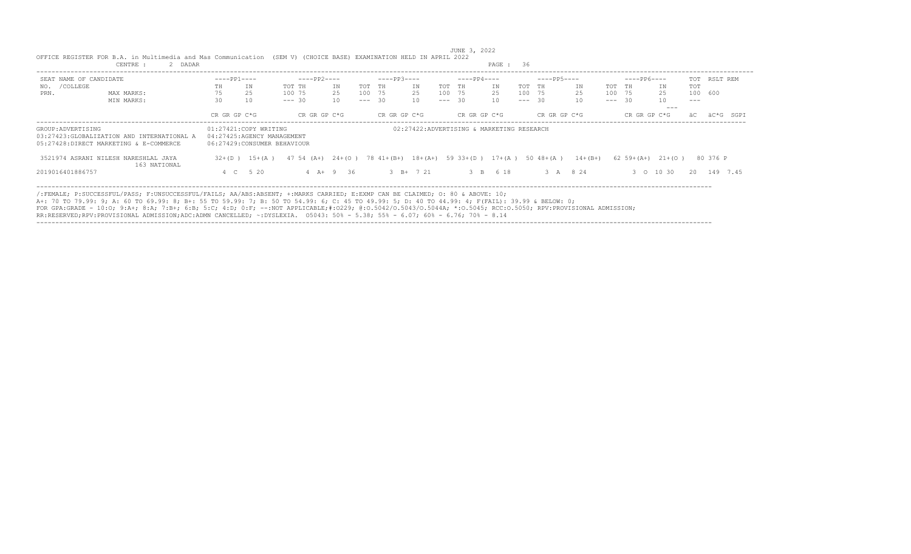|                        | OFFICE REGISTER FOR B.A. in Multimedia and Mas Communication                                                                                                                                                                                                                                                                                                                                                                                                                                                                                                                    |              |                                                                                    | (SEM V) (CHOICE BASE) EXAMINATION HELD IN APRIL 2022 |              |          |              |           |           | JUNE 3, 2022 |                                                       |          |              |              |                         |               |              |  |
|------------------------|---------------------------------------------------------------------------------------------------------------------------------------------------------------------------------------------------------------------------------------------------------------------------------------------------------------------------------------------------------------------------------------------------------------------------------------------------------------------------------------------------------------------------------------------------------------------------------|--------------|------------------------------------------------------------------------------------|------------------------------------------------------|--------------|----------|--------------|-----------|-----------|--------------|-------------------------------------------------------|----------|--------------|--------------|-------------------------|---------------|--------------|--|
|                        | CENTRE :<br>2 DADAR                                                                                                                                                                                                                                                                                                                                                                                                                                                                                                                                                             |              |                                                                                    |                                                      |              |          |              |           |           |              | PAGE: 36                                              |          |              |              |                         |               |              |  |
| SEAT NAME OF CANDIDATE |                                                                                                                                                                                                                                                                                                                                                                                                                                                                                                                                                                                 | $---PP1---$  |                                                                                    | $---PP2---$                                          |              |          | $---PP3---$  |           |           | $---PP4---$  |                                                       |          | $---PP5---$  | $---PP6---$  |                         |               | TOT RSLT REM |  |
| /COLLEGE<br>NO.        |                                                                                                                                                                                                                                                                                                                                                                                                                                                                                                                                                                                 | TН           | IN                                                                                 | TOT TH                                               | ΙN           | TOT TH   |              | IN        | TOT<br>TH |              | IN                                                    | TOT TH   | ΙN.          | TOT TH       | IN                      | <b>TOT</b>    |              |  |
| PRN.                   | MAX MARKS:                                                                                                                                                                                                                                                                                                                                                                                                                                                                                                                                                                      |              | 2.5                                                                                | 100 75                                               | 25           | 100 75   |              | 25        | 100 75    |              | 25                                                    | 100 75   | 25           | 100 75       | 25                      | 100 600       |              |  |
|                        | MIN MARKS:                                                                                                                                                                                                                                                                                                                                                                                                                                                                                                                                                                      | 30           | 10                                                                                 | $--- 30$                                             | 10           | $--- 30$ |              | 10        | $--- 30$  |              | 10                                                    | $--- 30$ | 10           | $--- 30$     | 10                      | $\frac{1}{2}$ |              |  |
|                        |                                                                                                                                                                                                                                                                                                                                                                                                                                                                                                                                                                                 | CR GR GP C*G |                                                                                    |                                                      | CR GR GP C*G |          | CR GR GP C*G |           |           | CR GR GP C*G |                                                       |          | CR GR GP C*G | CR GR GP C*G | $- - -$                 |               |              |  |
| GROUP: ADVERTISING     | 03:27423:GLOBALIZATION AND INTERNATIONAL A<br>05:27428:DIRECT MARKETING & E-COMMERCE                                                                                                                                                                                                                                                                                                                                                                                                                                                                                            |              | 01:27421:COPY WRITING<br>04:27425:AGENCY MANAGEMENT<br>06:27429:CONSUMER BEHAVIOUR |                                                      |              |          |              |           |           |              | 02:27422:ADVERTISING & MARKETING RESEARCH             |          |              |              |                         |               |              |  |
|                        | 3521974 ASRANI NILESH NARESHLAL JAYA<br>163 NATIONAL                                                                                                                                                                                                                                                                                                                                                                                                                                                                                                                            |              | $32+(D)$ 15+(A)                                                                    | $47\,54\,(A+)$ $24+(O)$                              |              |          |              |           |           |              | 78 $41+(B+)$ $18+(A+)$ 59 $33+(D)$ 17+(A) 50 $48+(A)$ |          | $14 + (B+)$  |              | $62 \t59+(A+) \t21+(O)$ |               | 80 376 P     |  |
| 2019016401886757       |                                                                                                                                                                                                                                                                                                                                                                                                                                                                                                                                                                                 | 4 C          | 5 20                                                                               |                                                      | $4$ A + 9 36 |          |              | 3 B+ 7 21 |           |              | 3 B 6 18                                              |          | 3 A 8 24     |              | 3 0 10 30               | 20            | 149 7.45     |  |
|                        | /:FEMALE; P:SUCCESSFUL/PASS; F:UNSUCCESSFUL/FAILS; AA/ABS:ABSENT; +:MARKS CARRIED; E:EXMP CAN BE CLAIMED; 0: 80 & ABOVE: 10;<br>A+: 70 TO 79.99: 9; A: 60 TO 69.99: 8; B+: 55 TO 59.99: 7; B: 50 TO 54.99: 6; C: 45 TO 49.99: 5; D: 40 TO 44.99: 4; F(FAIL): 39.99 & BELOW: 0;<br>FOR GPA:GRADE - 10:0; 9:A+; 8:A; 7:B+; 6:B; 5:C; 4:D; 0:F; --:NOT APPLICABLE;#:0229; 0:0.5042/0.5043/0.5044A; *:0.5045; RCC:0.5050; RPV:PROVISIONAL ADMISSION;<br>RR:RESERVED;RPV:PROVISIONAL ADMISSION;ADC:ADMN CANCELLED; ~:DYSLEXIA. 05043: 50% - 5.38; 55% - 6.07; 60% - 6.76; 70% - 8.14 |              |                                                                                    |                                                      |              |          |              |           |           |              |                                                       |          |              |              |                         |               |              |  |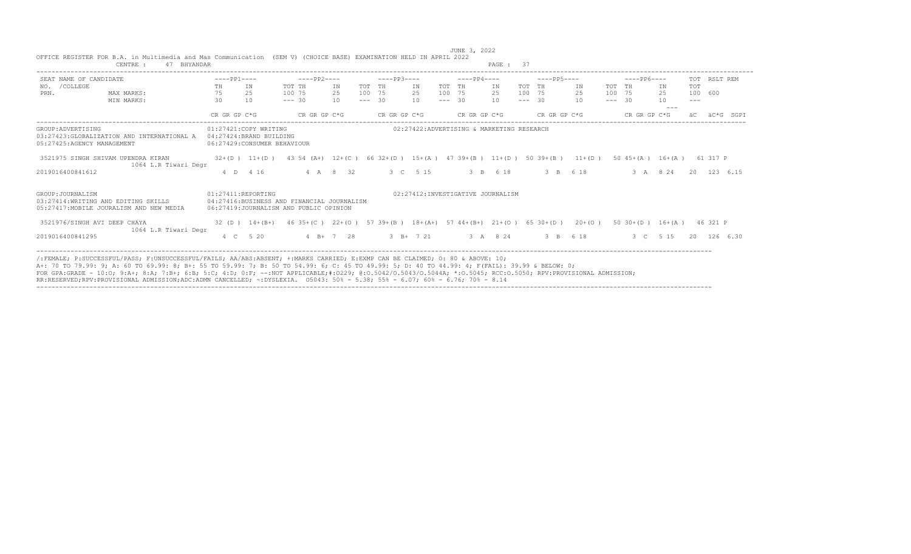|                                                                                  | CENTRE :<br>BHYANDAR |              |                                                  |                                                                                      |             |          |                                               |             |          |                                   | PAGE :                                    |          |              |           |          |              |                             |         |              |
|----------------------------------------------------------------------------------|----------------------|--------------|--------------------------------------------------|--------------------------------------------------------------------------------------|-------------|----------|-----------------------------------------------|-------------|----------|-----------------------------------|-------------------------------------------|----------|--------------|-----------|----------|--------------|-----------------------------|---------|--------------|
| SEAT NAME OF CANDIDATE                                                           |                      | $---PP1---$  |                                                  | $---PP2---$                                                                          |             |          | $---PP3---$                                   |             |          | $---PP4---$                       |                                           |          | $---PP5---$  |           |          | $---PP6---$  |                             |         | TOT RSLT REM |
| /COLLEGE<br>NO.                                                                  |                      | TH           | IN                                               | TOT TH                                                                               | ΙN          | TOT TH   |                                               | ΙN          | TOT TH   |                                   | IN                                        | TOT TH   |              | ΙN        | TOT TH   |              | IN                          | TOT     |              |
| PRN.                                                                             | MAX MARKS:           | 75           | 2.5                                              | 100 75                                                                               | 25          | 100 75   |                                               | 25          | 100 75   |                                   | 25                                        | 100 75   |              | 25        | 100 75   |              | 2.5                         | 100 600 |              |
|                                                                                  | MIN MARKS:           | 30           | 10                                               | $--- 30$                                                                             | 10          | $--- 30$ |                                               | 10          | $--- 30$ |                                   | 10                                        | $--- 30$ |              | 10        | $--- 30$ |              | 10                          |         |              |
|                                                                                  |                      | CR GR GP C*G |                                                  | CR GR GP C*G                                                                         |             |          | CR GR GP C*G                                  |             |          | CR GR GP C*G                      |                                           |          | CR GR GP C*G |           |          | CR GR GP C*G |                             |         | äC*G<br>SGPI |
| GROUP: ADVERTISING<br>03:27423: GLOBALIZATION AND INTERNATIONAL A                |                      |              | 01:27421:COPY WRITING<br>04:27424:BRAND BUILDING |                                                                                      |             |          |                                               |             |          |                                   | 02:27422:ADVERTISING & MARKETING RESEARCH |          |              |           |          |              |                             |         |              |
| 05:27425:AGENCY MANAGEMENT                                                       |                      |              | 06:27429: CONSUMER BEHAVIOUR                     |                                                                                      |             |          |                                               |             |          |                                   |                                           |          |              |           |          |              |                             |         |              |
| 3521975 SINGH SHIVAM UPENDRA KIRAN                                               | 1064 L.R Tiwari Degr |              | $32+(D)$ 11+(D)                                  | 43 54 (A+) 12+(C) 66 32+(D) 15+(A) 47 39+(B) 11+(D) 50 39+(B)                        |             |          |                                               |             |          |                                   |                                           |          |              | $11+(D)$  |          |              | $50 \t45+(A) \t16+(A)$      |         | 61 317 P     |
| 2019016400841612                                                                 |                      |              | 4 D 4 16                                         |                                                                                      | 4 A 8 32    |          |                                               | 3 C 5 15    |          |                                   | 3 B 6 18                                  |          | 3 B 6 18     |           |          |              | 3 A 8 24                    |         | 20 123 6.15  |
| GROUP: JOURNALISM                                                                |                      |              | 01:27411:REPORTING                               |                                                                                      |             |          |                                               |             |          | 02:27412:INVESTIGATIVE JOURNALISM |                                           |          |              |           |          |              |                             |         |              |
| 03:27414: WRITING AND EDITING SKILLS<br>05:27417: MOBILE JOURALISM AND NEW MEDIA |                      |              |                                                  | 04:27416:BUSINESS AND FINANCIAL JOURNALISM<br>06:27419:JOURNALISM AND PUBLIC OPINION |             |          |                                               |             |          |                                   |                                           |          |              |           |          |              |                             |         |              |
| 3521976/SINGH AVI DEEP CHAYA                                                     | 1064 L.R Tiwari Degr |              | $32$ (D) $14+(B+)$                               | $46.35 + (C)$                                                                        | $22+(0)$    |          | 57 39+(B) 18+(A+) 57 44+(B+) 21+(O) 65 30+(D) |             |          |                                   |                                           |          |              | $20+ (0)$ |          |              | $50 \, 30 + (D)$ $16 + (A)$ |         | 46 321 P     |
| 2019016400841295                                                                 |                      |              | 4 C 5 20                                         |                                                                                      | $4 B+ 7 28$ |          |                                               | $3 B+ 7 21$ |          |                                   | 3 A 8 24                                  |          | 3 B 6 18     |           |          |              | 3 C 5 15                    | 20      | 126 6.30     |

----------------------------------------------------------------------------------------------------------------------------------------------------------------------------------

JUNE 3, 2022<br>OFFICE REGISTER FOR B.A. in Multimedia and Mas Communication (SEM V) (CHOICE BASE) EXAMINATION HELD IN APRIL 2022<br>PAGE : 37

FOR GPA:GRADE - 10:O; 9:A+; 8:A; 7:B+; 6:B; 5:C; 4:D; 0:F; --:NOT APPLICABLE;#:O229; @:O.5042/O.5043/O.5044A; \*:O.5045; RCC:O.5050; RPV:PROVISIONAL ADMISSION; RR:RESERVED;RPV:PROVISIONAL ADMISSION;ADC:ADMN CANCELLED; ~:DYSLEXIA. O5043: 50% - 5.38; 55% - 6.07; 60% - 6.76; 70% - 8.14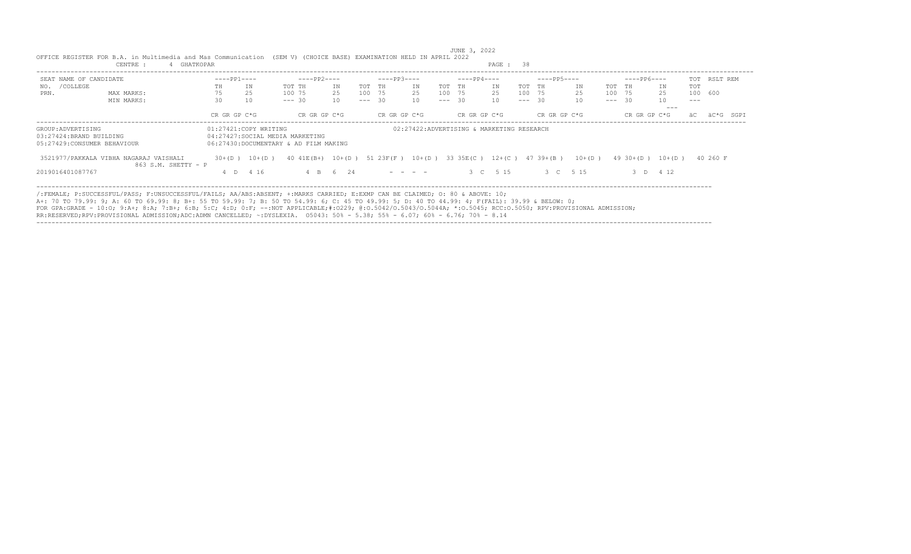|                                                                              |                                                                                                                                                                                                                                                                                                                                                                                                                                                  | PAGE : 38    |                       |                                                                          |           |          |              |                                                                                                                                                                                                                                                                                                                                                                                                                                                                                        |          |              |                                           |        |                               |           |  |              |           |            |              |
|------------------------------------------------------------------------------|--------------------------------------------------------------------------------------------------------------------------------------------------------------------------------------------------------------------------------------------------------------------------------------------------------------------------------------------------------------------------------------------------------------------------------------------------|--------------|-----------------------|--------------------------------------------------------------------------|-----------|----------|--------------|----------------------------------------------------------------------------------------------------------------------------------------------------------------------------------------------------------------------------------------------------------------------------------------------------------------------------------------------------------------------------------------------------------------------------------------------------------------------------------------|----------|--------------|-------------------------------------------|--------|-------------------------------|-----------|--|--------------|-----------|------------|--------------|
| SEAT NAME OF CANDIDATE                                                       |                                                                                                                                                                                                                                                                                                                                                                                                                                                  | $---PP1---$  |                       | ----PP2----                                                              |           |          | $---PP3---$  |                                                                                                                                                                                                                                                                                                                                                                                                                                                                                        |          | $---PP4---$  |                                           |        | $---PP5---$                   |           |  | $---PP6---$  |           |            | TOT RSLT REM |
| /COLLEGE<br>NO.                                                              |                                                                                                                                                                                                                                                                                                                                                                                                                                                  | TH           | IN                    | TOT TH                                                                   | TN        | TOT TH   |              | IN                                                                                                                                                                                                                                                                                                                                                                                                                                                                                     | TOT TH   |              | IN                                        | TOT TH |                               | IN.       |  | TOT TH       | TN        | <b>TOT</b> |              |
| PRN.                                                                         | MAX MARKS:                                                                                                                                                                                                                                                                                                                                                                                                                                       | 75           | 25                    | 100 75                                                                   | 2.5       | 100 75   |              | 25                                                                                                                                                                                                                                                                                                                                                                                                                                                                                     | 100 75   |              | 25                                        | 100 75 |                               | 25        |  | 100 75       | 25        | 100 600    |              |
|                                                                              | MIN MARKS:                                                                                                                                                                                                                                                                                                                                                                                                                                       | 30           | 10                    | $--- 30$                                                                 | 10        | $--- 30$ |              | 10                                                                                                                                                                                                                                                                                                                                                                                                                                                                                     | $--- 30$ |              | 10                                        |        | $--- 30$                      | 10        |  | $--- 30$     | 10        | $---$      |              |
|                                                                              |                                                                                                                                                                                                                                                                                                                                                                                                                                                  |              |                       |                                                                          |           |          |              |                                                                                                                                                                                                                                                                                                                                                                                                                                                                                        |          |              |                                           |        |                               |           |  |              | $- - -$   |            |              |
|                                                                              |                                                                                                                                                                                                                                                                                                                                                                                                                                                  | CR GR GP C*G |                       | CR GR GP C*G                                                             |           |          | CR GR GP C*G |                                                                                                                                                                                                                                                                                                                                                                                                                                                                                        |          | CR GR GP C*G |                                           |        | CR GR GP C*G                  |           |  | CR GR GP C*G |           |            | äC*G<br>SGPT |
| GROUP: ADVERTISING<br>03:27424:BRAND BUILDING<br>05:27429:CONSUMER BEHAVIOUR |                                                                                                                                                                                                                                                                                                                                                                                                                                                  |              | 01:27421:COPY WRITING | 04:27427:SOCIAL MEDIA MARKETING<br>06:27430:DOCUMENTARY & AD FILM MAKING |           |          |              |                                                                                                                                                                                                                                                                                                                                                                                                                                                                                        |          |              | 02:27422:ADVERTISING & MARKETING RESEARCH |        |                               |           |  |              |           |            |              |
|                                                                              | 3521977/PAKKALA VIBHA NAGARAJ VAISHALI<br>$863$ S.M. SHETTY - P                                                                                                                                                                                                                                                                                                                                                                                  | $30+ (D)$    | $10+ (D)$             | $40 \ 41E(B+)$                                                           | $10+$ (D) |          | 51 23F(F)    | $10+$ (D)                                                                                                                                                                                                                                                                                                                                                                                                                                                                              |          |              |                                           |        | 33 35E (C) 12+ (C) 47 39+ (B) | $10+ (D)$ |  | $49.30+(D)$  | $10+ (D)$ |            | 40 260 F     |
| 2019016401087767                                                             |                                                                                                                                                                                                                                                                                                                                                                                                                                                  |              | 4 D 4 16              |                                                                          | 4 B 6 24  |          |              | $\begin{array}{cccccccccccccc} \multicolumn{2}{c}{} & \multicolumn{2}{c}{} & \multicolumn{2}{c}{} & \multicolumn{2}{c}{} & \multicolumn{2}{c}{} & \multicolumn{2}{c}{} & \multicolumn{2}{c}{} & \multicolumn{2}{c}{} & \multicolumn{2}{c}{} & \multicolumn{2}{c}{} & \multicolumn{2}{c}{} & \multicolumn{2}{c}{} & \multicolumn{2}{c}{} & \multicolumn{2}{c}{} & \multicolumn{2}{c}{} & \multicolumn{2}{c}{} & \multicolumn{2}{c}{} & \multicolumn{2}{c}{} & \multicolumn{2}{c}{} & \$ |          |              | 3 C 5 15                                  |        |                               | 3 C 5 15  |  |              | 4 1 2     |            |              |
|                                                                              | /:FEMALE; P:SUCCESSFUL/PASS; F:UNSUCCESSFUL/FAILS; AA/ABS:ABSENT; +:MARKS CARRIED; E:EXMP CAN BE CLAIMED; O: 80 & ABOVE: 10;<br>A+: 70 TO 79.99: 9; A: 60 TO 69.99: 8; B+: 55 TO 59.99: 7; B: 50 TO 54.99: 6; C: 45 TO 49.99: 5; D: 40 TO 44.99: 4; F(FAIL): 39.99 & BELOW: 0;<br>FOR GPA:GRADE - 10:0; 9:A+; 8:A; 7:B+; 6:B; 5:C; 4:D; 0:F; --:NOT APPLICABLE;#:0229; 0:0.5042/0.5043/0.5044A; *:0.5045; RCC:0.5050; RPV:PROVISIONAL ADMISSION; |              |                       |                                                                          |           |          |              |                                                                                                                                                                                                                                                                                                                                                                                                                                                                                        |          |              |                                           |        |                               |           |  |              |           |            |              |

JUNE 3, 2022<br>OFFICE REGISTER FOR B.A. in Multimedia and Mas Communication (SEM V) (CHOICE BASE) EXAMINATION HELD IN APRIL 2022<br>CENTRE : 4 GHATKOPAR

RR:RESERVED;RPV:PROVISIONAL ADMISSION;ADC:ADMN CANCELLED; ~:DYSLEXIA. O5043: 50% - 5.38; 55% - 6.07; 60% - 6.76; 70% - 8.14 ----------------------------------------------------------------------------------------------------------------------------------------------------------------------------------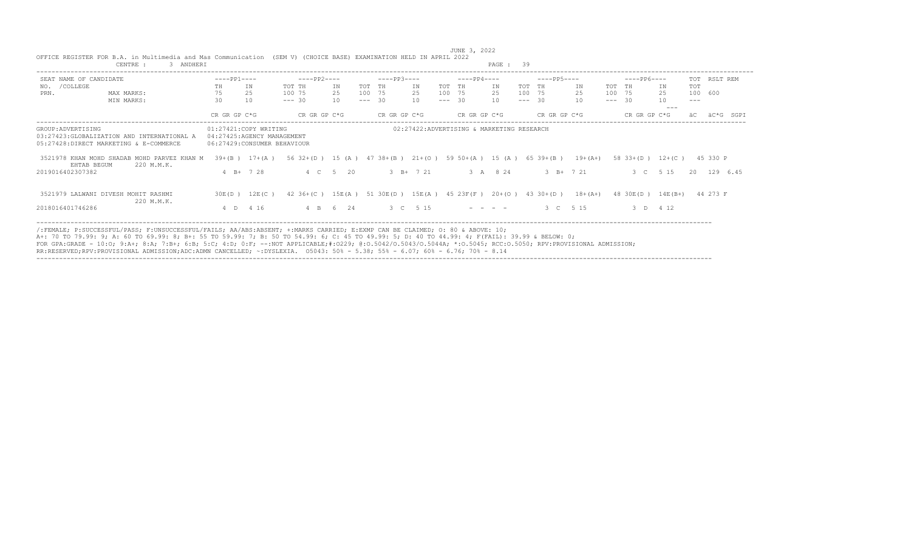|                        | CENTRE :<br>3 ANDHERI                                                                 |              |                                                                                    |                                                                        |          |                    |              |               |                    |                                   | PAGE : 39                                   |          |              |             |          |                    |           |                    |              |
|------------------------|---------------------------------------------------------------------------------------|--------------|------------------------------------------------------------------------------------|------------------------------------------------------------------------|----------|--------------------|--------------|---------------|--------------------|-----------------------------------|---------------------------------------------|----------|--------------|-------------|----------|--------------------|-----------|--------------------|--------------|
| SEAT NAME OF CANDIDATE |                                                                                       | $---PP1---$  |                                                                                    | $---PP2---$                                                            |          |                    | $---PP3---$  |               |                    | $---PP4---$                       |                                             |          | $---PP5---$  |             |          | $---PP6---$        |           |                    | TOT RSLT REM |
| /COLLEGE<br>NO.        |                                                                                       | TH           | IN                                                                                 | TOT TH                                                                 | IN       | TOT TH             |              | ΙN            | TOT TH             |                                   | IN.                                         | TOT TH   |              | IN          | TOT TH   |                    | IN        | TOT                |              |
| PRN.                   | MAX MARKS:<br>MIN MARKS:                                                              | 75<br>30     | 25<br>10                                                                           | 100 75<br>$--- 30$                                                     | 25<br>10 | 100 75<br>$--- 30$ |              | 25<br>10      | 100 75<br>$--- 30$ |                                   | 25<br>10                                    | $--- 30$ | 100 75       | 25<br>10    | $--- 30$ | 100 75             | 25<br>10  | 100 600<br>$- - -$ |              |
|                        |                                                                                       | CR GR GP C*G |                                                                                    | CR GR GP C*G                                                           |          |                    | CR GR GP C*G |               |                    | CR GR GP C*G                      |                                             |          | CR GR GP C*G |             |          | CR GR GP C*G       | $--$      |                    | SGPT         |
| GROUP: ADVERTISING     | 03:27423: GLOBALIZATION AND INTERNATIONAL A<br>05:27428:DIRECT MARKETING & E-COMMERCE |              | 01:27421:COPY WRITING<br>04:27425:AGENCY MANAGEMENT<br>06:27429:CONSUMER BEHAVIOUR |                                                                        |          |                    |              |               |                    |                                   | 02:27422:ADVERTISING & MARKETING RESEARCH   |          |              |             |          |                    |           |                    |              |
| EHTAB BEGUM            | 3521978 KHAN MOHD SHADAB MOHD PARVEZ KHAN M<br>220 M.M.K.                             |              | $39+(B)$ 17+(A)                                                                    | 56 32 + (D) 15 (A) 47 38 + (B) 21 + (O) 59 50 + (A) 15 (A) 65 39 + (B) |          |                    |              |               |                    |                                   |                                             |          |              | $19+ (A+)$  |          | $58$ 33+(D) 12+(C) |           |                    | 45 330 P     |
| 2019016402307382       |                                                                                       |              | $4$ B+ $7$ 28                                                                      |                                                                        | 4 C 5 20 |                    |              | $3$ B+ $7$ 21 |                    |                                   | 3 A 8 24                                    |          | $3 B+ 7 21$  |             |          | 3 C 5 15           |           |                    | 20 129 6.45  |
|                        | 3521979 LALWANI DIVESH MOHIT RASHMI<br>220 M.M.K.                                     | 30E(D)       | 12E(C)                                                                             | $42 \t36+ (C)$                                                         | 15E (A)  |                    |              |               |                    |                                   | 51 30E(D) 15E(A) 45 23F(F) 20+(O) 43 30+(D) |          |              | $18 + (A+)$ |          | 48 30 E (D)        | $14E(B+)$ |                    | 44 273 F     |
| 2018016401746286       |                                                                                       |              | 4 D 4 16                                                                           |                                                                        | 4 B 6 24 |                    |              | 3 C 5 15      |                    | and the state of the state of the |                                             |          | 3 C 5 15     |             |          | 3 D 4 12           |           |                    |              |

FOR GPA:GRADE - 10:0; 9:A+; 8:A; 7:B+; 6:B; 5:C; 4:D; 0:F; --:NOT APPLICABLE;#:O229; @:O.5042/O.5043/O.5044A; \*:O.5045; RCC:O.5050; RPV:PROVISIONAL ADMISSION;<br>RR:RESERVED;RPV:PROVISIONAL ADMISSION;ADC:ADMN CANCELLED; ~:DYS ----------------------------------------------------------------------------------------------------------------------------------------------------------------------------------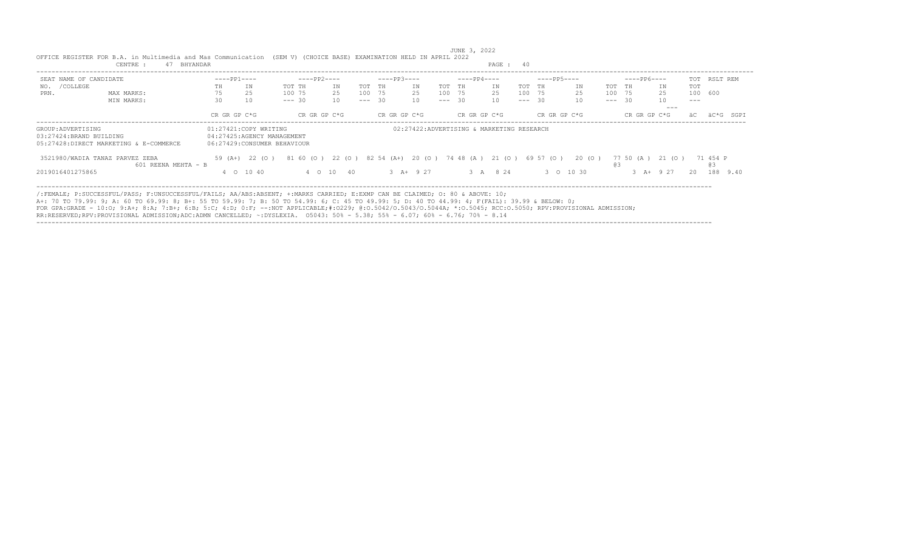| CENTRE :<br>41<br>BHYANDAR                   |                                                                                                                                                                                                                                                                                                                                                                                                                                                                                                                                                                    |              |                                                                                     |          |              |                                                               |  |          | PAGE : 40    |    |  |          |              |                                           |        |          |              |       |           |              |             |     |                       |          |
|----------------------------------------------|--------------------------------------------------------------------------------------------------------------------------------------------------------------------------------------------------------------------------------------------------------------------------------------------------------------------------------------------------------------------------------------------------------------------------------------------------------------------------------------------------------------------------------------------------------------------|--------------|-------------------------------------------------------------------------------------|----------|--------------|---------------------------------------------------------------|--|----------|--------------|----|--|----------|--------------|-------------------------------------------|--------|----------|--------------|-------|-----------|--------------|-------------|-----|-----------------------|----------|
| SEAT NAME OF CANDIDATE                       |                                                                                                                                                                                                                                                                                                                                                                                                                                                                                                                                                                    | $---PP1---$  |                                                                                     |          | ----PP2----  |                                                               |  |          | $---PP3---$  |    |  |          | $---PP4---$  |                                           |        |          | $---PP5---$  |       |           | ----PP6----  |             |     | TOT RSLT REM          |          |
| /COLLEGE<br>NO.                              |                                                                                                                                                                                                                                                                                                                                                                                                                                                                                                                                                                    | TH.          | ΙN                                                                                  | TOT TH   |              | ΙN                                                            |  | TOT TH   |              | IN |  | TOT TH   |              | IN                                        |        | TOT TH   |              | IN    | TOT TH    |              | ΙN          | TOT |                       |          |
| PRN.                                         | MAX MARKS:                                                                                                                                                                                                                                                                                                                                                                                                                                                                                                                                                         | 75           | 25                                                                                  | 100 75   |              | 25                                                            |  | 100 75   |              | 25 |  | 100 75   |              | 25                                        | 100 75 |          |              | 25    |           | 100 75       | 25          |     | 100 600               |          |
|                                              | MIN MARKS:                                                                                                                                                                                                                                                                                                                                                                                                                                                                                                                                                         | 30           | 10                                                                                  | $--- 30$ |              | 10                                                            |  | $--- 30$ |              | 10 |  | $--- 30$ |              | 10                                        |        | $--- 30$ |              | 10    |           | $--- 30$     |             | --- |                       |          |
|                                              |                                                                                                                                                                                                                                                                                                                                                                                                                                                                                                                                                                    |              |                                                                                     |          |              |                                                               |  |          |              |    |  |          |              |                                           |        |          |              |       |           |              | ---         |     |                       |          |
|                                              |                                                                                                                                                                                                                                                                                                                                                                                                                                                                                                                                                                    | CR GR GP C*G |                                                                                     |          | CR GR GP C*G |                                                               |  |          | CR GR GP C*G |    |  |          | CR GR GP C*G |                                           |        |          | CR GR GP C*G |       |           | CR GR GP C*G |             |     | äC*G                  | SGPT     |
| GROUP:ADVERTISING<br>03:27424:BRAND BUILDING | 05:27428:DIRECT MARKETING & E-COMMERCE                                                                                                                                                                                                                                                                                                                                                                                                                                                                                                                             |              | 01:27421:COPY WRITING<br>04:27425:AGENCY MANAGEMENT<br>06:27429: CONSUMER BEHAVIOUR |          |              |                                                               |  |          |              |    |  |          |              | 02:27422:ADVERTISING & MARKETING RESEARCH |        |          |              |       |           |              |             |     |                       |          |
|                                              | 3521980/WADIA TANAZ PARVEZ ZEBA<br>$601$ REENA MEHTA - B                                                                                                                                                                                                                                                                                                                                                                                                                                                                                                           |              | 59 (A+) 22 (O)                                                                      |          |              | 81 60 (0) 22 (0) 82 54 (A+) 20 (0) 74 48 (A) 21 (0) 69 57 (0) |  |          |              |    |  |          |              |                                           |        |          |              | 20(0) | <b>@3</b> | 77 50 (A)    | 21 (0)      |     | 71 454 P<br><b>@3</b> |          |
| 2019016401275865                             |                                                                                                                                                                                                                                                                                                                                                                                                                                                                                                                                                                    |              | 4 0 10 40                                                                           |          |              | 4 0 10 40                                                     |  |          | $3 A+ 9 27$  |    |  |          |              | 3 A 8 24                                  |        |          | 3 0 10 30    |       |           |              | $3 A+ 9 27$ | 20  |                       | 188 9.40 |
|                                              | /:FEMALE: P:SUCCESSFUL/PASS: F:UNSUCCESSFUL/FAILS: AA/ABS:ABSENT: +:MARKS CARRIED: E:EXMP CAN BE CLAIMED: 0: 80 & ABOVE: 10:<br>A+: 70 TO 79.99: 9; A: 60 TO 69.99: 8; B+: 55 TO 59.99: 7; B: 50 TO 54.99: 6; C: 45 TO 49.99: 5; D: 40 TO 44.99: 4; F(FAIL): 39.99 & BELOW: 0;<br>FOR GPA:GRADE - 10:0; 9:A+; 8:A; 7:B+; 6:B; 5:C; 4:D; 0:F; --:NOT APPLICABLE:#:0229; 0:0.5042/0.5043/0.5044A; *:0.5045; RCC:0.5050; RPV:PROVISIONAL ADMISSION;<br>AB BEARBURD BRU BBAUTATAUST SBUTAATAU SBA SBUU ASUARTTER – BUATRUTS – AFAIA – FAA – F-AA – F-AA – F-AA – A-A-A |              |                                                                                     |          |              |                                                               |  |          |              |    |  |          |              |                                           |        |          |              |       |           |              |             |     |                       |          |

RR:RESERVED;RPV:PROVISIONAL ADMISSION;ADC:ADMN CANCELLED; ~:DYSLEXIA. O5043: 50% - 5.38; 55% - 6.07; 60% - 6.76; 70% - 8.14 ----------------------------------------------------------------------------------------------------------------------------------------------------------------------------------